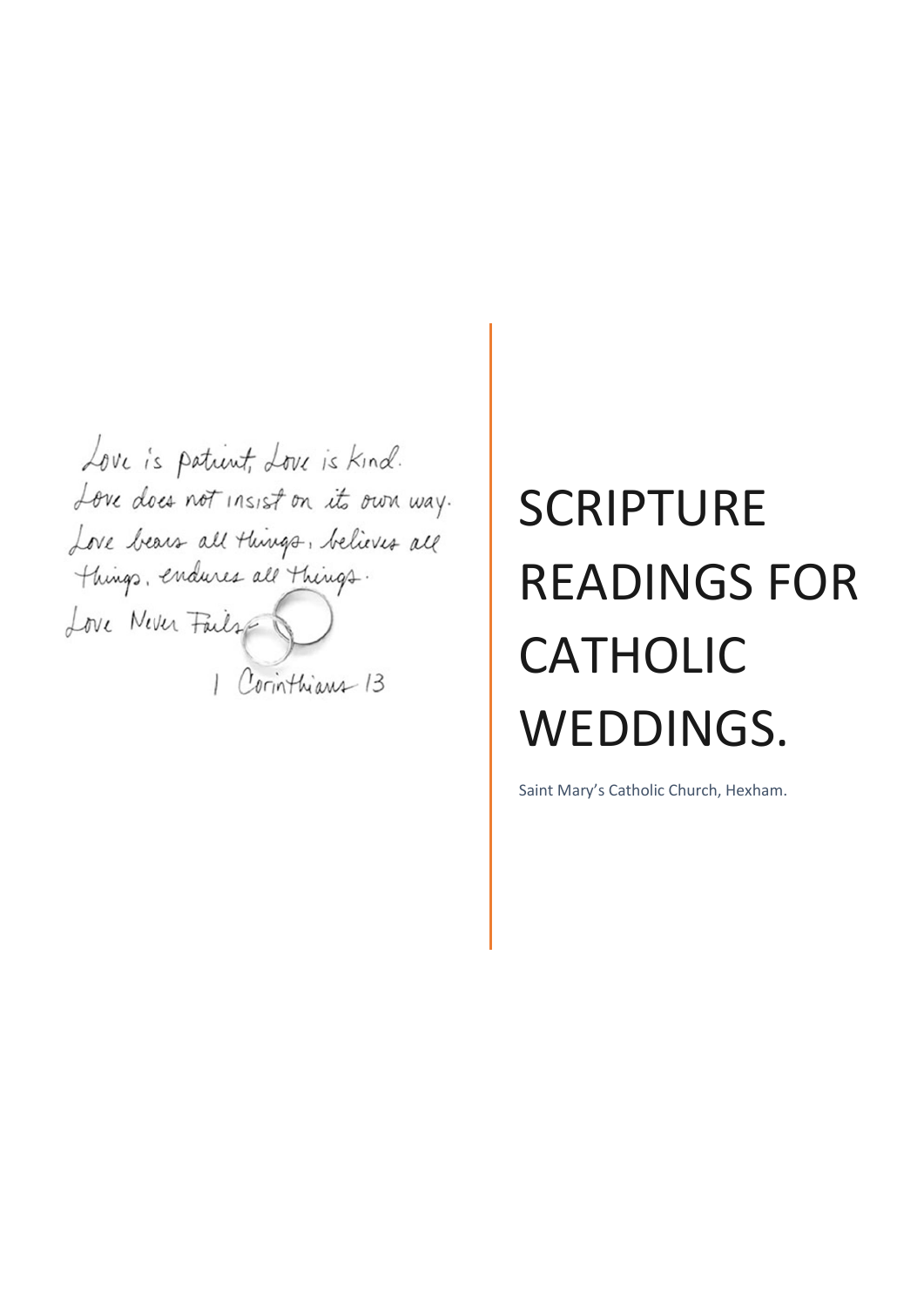Love is patient, Love is kind. Love does not insist on its own way. Love bears all things, believes all things, endures all things. Love Never Fails Corinthians 13

# SCRIPTURE READINGS FOR CATHOLIC WEDDINGS.

Saint Mary's Catholic Church, Hexham.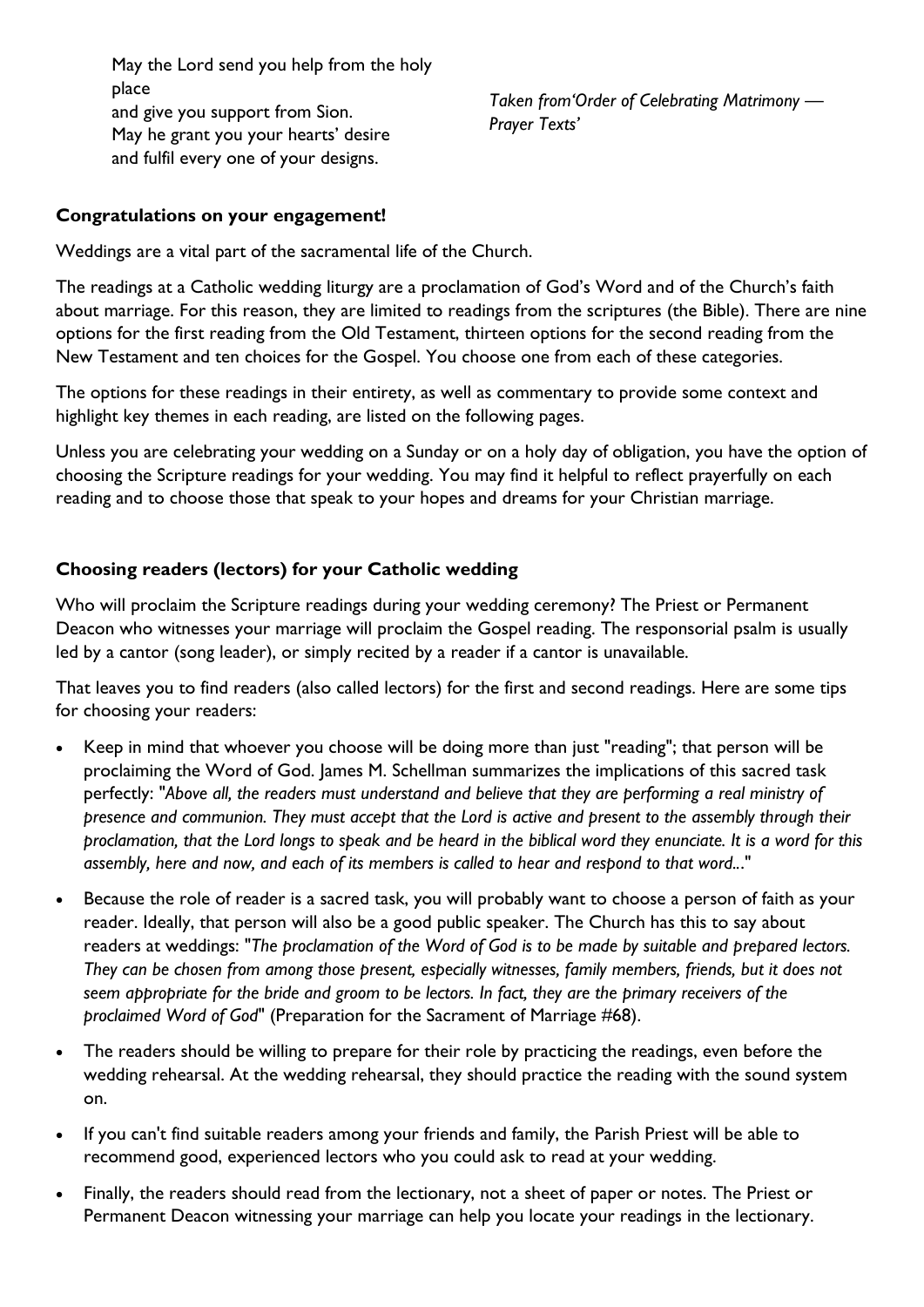May the Lord send you help from the holy place and give you support from Sion. May he grant you your hearts' desire and fulfil every one of your designs.

*Taken from'Order of Celebrating Matrimony — Prayer Texts'*

#### **Congratulations on your engagement!**

Weddings are a vital part of the sacramental life of the Church.

The readings at a Catholic wedding liturgy are a proclamation of God's Word and of the Church's faith about marriage. For this reason, they are limited to readings from the scriptures (the Bible). There are nine options for the first reading from the Old Testament, thirteen options for the second reading from the New Testament and ten choices for the Gospel. You choose one from each of these categories.

The options for these readings in their entirety, as well as commentary to provide some context and highlight key themes in each reading, are listed on the following pages.

Unless you are celebrating your wedding on a Sunday or on a holy day of obligation, you have the option of choosing the Scripture readings for your wedding. You may find it helpful to reflect prayerfully on each reading and to choose those that speak to your hopes and dreams for your Christian marriage.

#### **Choosing readers (lectors) for your Catholic wedding**

Who will proclaim the Scripture readings during your wedding ceremony? The Priest or Permanent Deacon who witnesses your marriage will proclaim the Gospel reading. The responsorial psalm is usually led by a cantor (song leader), or simply recited by a reader if a cantor is unavailable.

That leaves you to find readers (also called lectors) for the first and second readings. Here are some tips for choosing your readers:

- Keep in mind that whoever you choose will be doing more than just "reading"; that person will be proclaiming the Word of God. James M. Schellman summarizes the implications of this sacred task perfectly: "*Above all, the readers must understand and believe that they are performing a real ministry of presence and communion. They must accept that the Lord is active and present to the assembly through their proclamation, that the Lord longs to speak and be heard in the biblical word they enunciate. It is a word for this assembly, here and now, and each of its members is called to hear and respond to that word..*."
- Because the role of reader is a sacred task, you will probably want to choose a person of faith as your reader. Ideally, that person will also be a good public speaker. The Church has this to say about readers at weddings: "*The proclamation of the Word of God is to be made by suitable and prepared lectors. They can be chosen from among those present, especially witnesses, family members, friends, but it does not seem appropriate for the bride and groom to be lectors. In fact, they are the primary receivers of the proclaimed Word of God*" (Preparation for the Sacrament of Marriage #68).
- The readers should be willing to prepare for their role by practicing the readings, even before the wedding rehearsal. At the wedding rehearsal, they should practice the reading with the sound system on.
- If you can't find suitable readers among your friends and family, the Parish Priest will be able to recommend good, experienced lectors who you could ask to read at your wedding.
- Finally, the readers should read from the lectionary, not a sheet of paper or notes. The Priest or Permanent Deacon witnessing your marriage can help you locate your readings in the lectionary.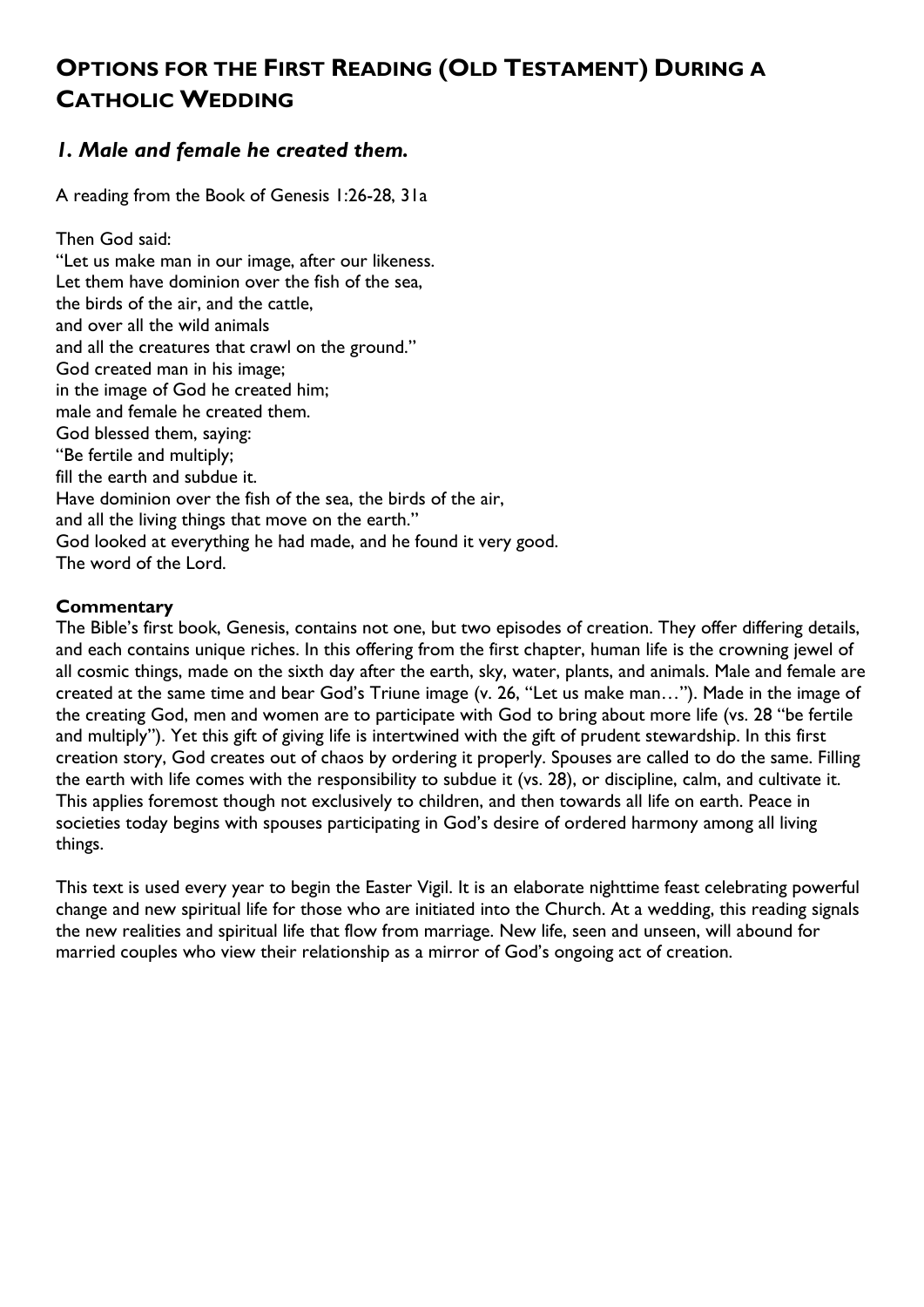# **OPTIONS FOR THE FIRST READING (OLD TESTAMENT) DURING A CATHOLIC WEDDING**

# *1. Male and female he created them.*

A reading from the Book of Genesis 1:26-28, 31a

Then God said:

"Let us make man in our image, after our likeness. Let them have dominion over the fish of the sea, the birds of the air, and the cattle, and over all the wild animals and all the creatures that crawl on the ground." God created man in his image; in the image of God he created him; male and female he created them. God blessed them, saying: "Be fertile and multiply; fill the earth and subdue it. Have dominion over the fish of the sea, the birds of the air, and all the living things that move on the earth." God looked at everything he had made, and he found it very good. The word of the Lord.

#### **Commentary**

The Bible's first book, Genesis, contains not one, but two episodes of creation. They offer differing details, and each contains unique riches. In this offering from the first chapter, human life is the crowning jewel of all cosmic things, made on the sixth day after the earth, sky, water, plants, and animals. Male and female are created at the same time and bear God's Triune image (v. 26, "Let us make man…"). Made in the image of the creating God, men and women are to participate with God to bring about more life (vs. 28 "be fertile and multiply"). Yet this gift of giving life is intertwined with the gift of prudent stewardship. In this first creation story, God creates out of chaos by ordering it properly. Spouses are called to do the same. Filling the earth with life comes with the responsibility to subdue it (vs. 28), or discipline, calm, and cultivate it. This applies foremost though not exclusively to children, and then towards all life on earth. Peace in societies today begins with spouses participating in God's desire of ordered harmony among all living things.

This text is used every year to begin the Easter Vigil. It is an elaborate nighttime feast celebrating powerful change and new spiritual life for those who are initiated into the Church. At a wedding, this reading signals the new realities and spiritual life that flow from marriage. New life, seen and unseen, will abound for married couples who view their relationship as a mirror of God's ongoing act of creation.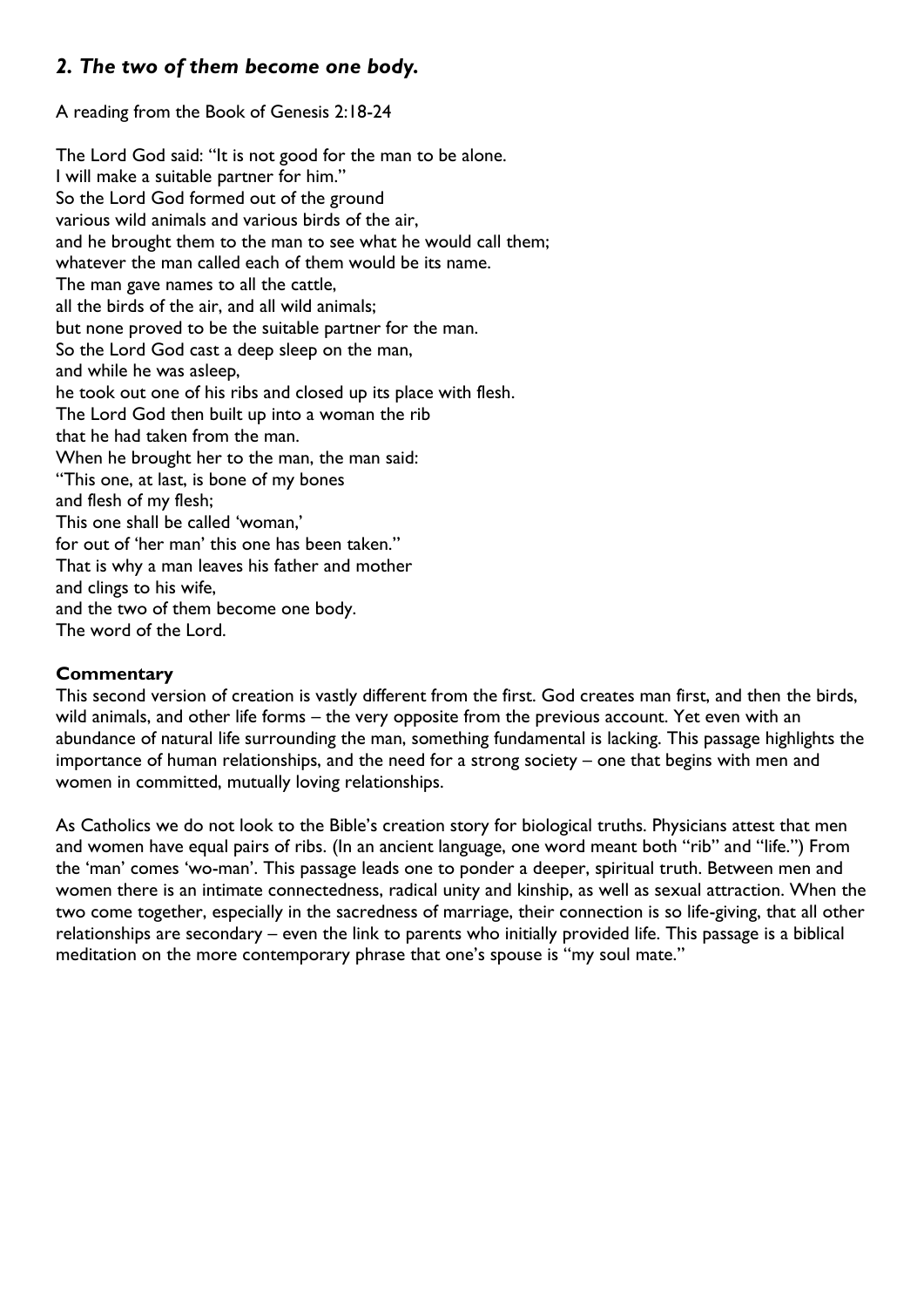# *2. The two of them become one body.*

A reading from the Book of Genesis 2:18-24

The Lord God said: "It is not good for the man to be alone. I will make a suitable partner for him." So the Lord God formed out of the ground various wild animals and various birds of the air, and he brought them to the man to see what he would call them; whatever the man called each of them would be its name. The man gave names to all the cattle, all the birds of the air, and all wild animals; but none proved to be the suitable partner for the man. So the Lord God cast a deep sleep on the man, and while he was asleep, he took out one of his ribs and closed up its place with flesh. The Lord God then built up into a woman the rib that he had taken from the man. When he brought her to the man, the man said: "This one, at last, is bone of my bones and flesh of my flesh; This one shall be called 'woman,' for out of 'her man' this one has been taken." That is why a man leaves his father and mother and clings to his wife, and the two of them become one body. The word of the Lord.

#### **Commentary**

This second version of creation is vastly different from the first. God creates man first, and then the birds, wild animals, and other life forms – the very opposite from the previous account. Yet even with an abundance of natural life surrounding the man, something fundamental is lacking. This passage highlights the importance of human relationships, and the need for a strong society – one that begins with men and women in committed, mutually loving relationships.

As Catholics we do not look to the Bible's creation story for biological truths. Physicians attest that men and women have equal pairs of ribs. (In an ancient language, one word meant both "rib" and "life.") From the 'man' comes 'wo-man'. This passage leads one to ponder a deeper, spiritual truth. Between men and women there is an intimate connectedness, radical unity and kinship, as well as sexual attraction. When the two come together, especially in the sacredness of marriage, their connection is so life-giving, that all other relationships are secondary – even the link to parents who initially provided life. This passage is a biblical meditation on the more contemporary phrase that one's spouse is "my soul mate."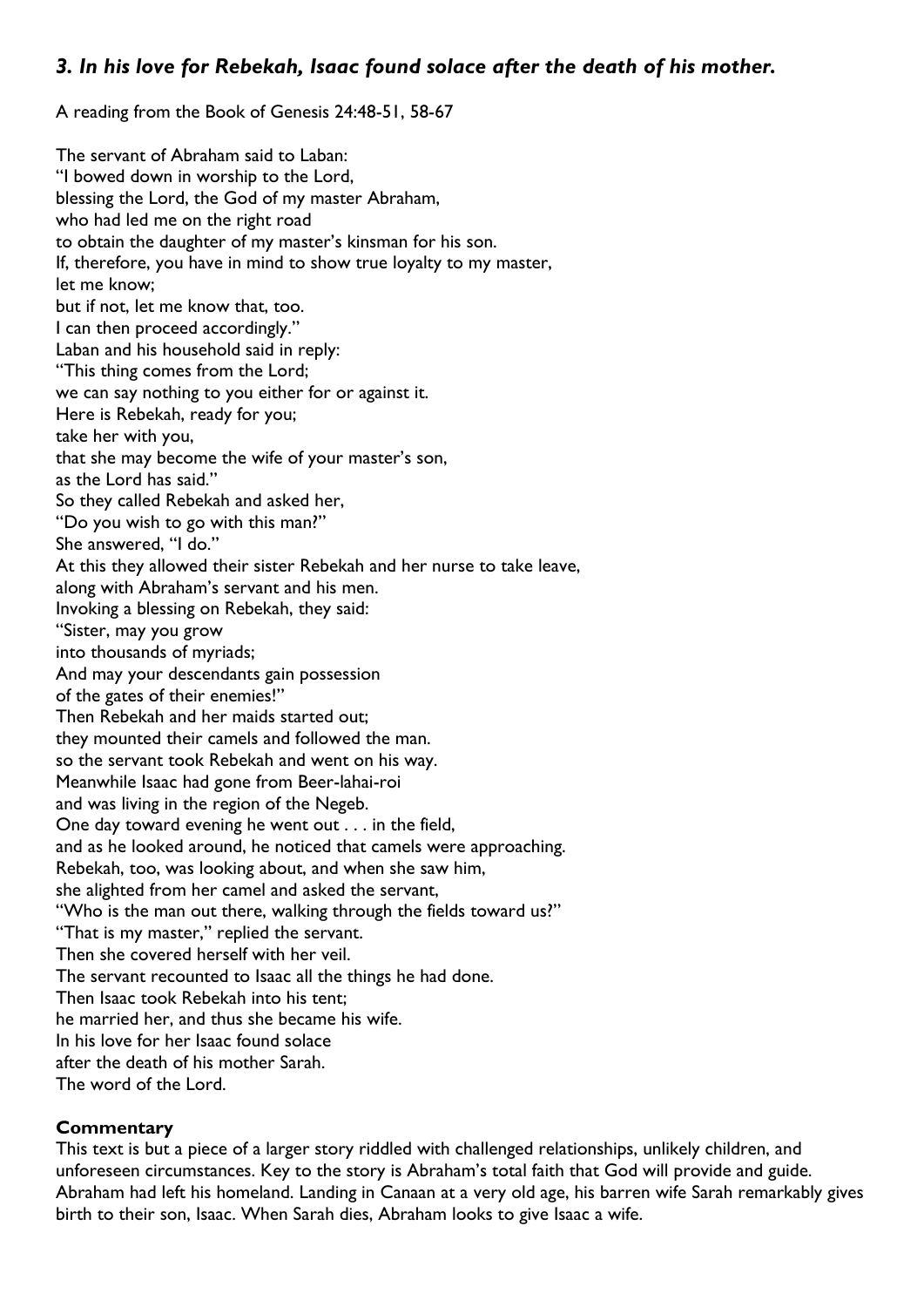# *3. In his love for Rebekah, Isaac found solace after the death of his mother.*

A reading from the Book of Genesis 24:48-51, 58-67

The servant of Abraham said to Laban: "I bowed down in worship to the Lord, blessing the Lord, the God of my master Abraham, who had led me on the right road to obtain the daughter of my master's kinsman for his son. If, therefore, you have in mind to show true loyalty to my master, let me know; but if not, let me know that, too. I can then proceed accordingly." Laban and his household said in reply: "This thing comes from the Lord; we can say nothing to you either for or against it. Here is Rebekah, ready for you; take her with you, that she may become the wife of your master's son, as the Lord has said." So they called Rebekah and asked her, "Do you wish to go with this man?" She answered, "I do." At this they allowed their sister Rebekah and her nurse to take leave, along with Abraham's servant and his men. Invoking a blessing on Rebekah, they said: "Sister, may you grow into thousands of myriads; And may your descendants gain possession of the gates of their enemies!" Then Rebekah and her maids started out; they mounted their camels and followed the man. so the servant took Rebekah and went on his way. Meanwhile Isaac had gone from Beer-lahai-roi and was living in the region of the Negeb. One day toward evening he went out . . . in the field, and as he looked around, he noticed that camels were approaching. Rebekah, too, was looking about, and when she saw him, she alighted from her camel and asked the servant, "Who is the man out there, walking through the fields toward us?" "That is my master," replied the servant. Then she covered herself with her veil. The servant recounted to Isaac all the things he had done. Then Isaac took Rebekah into his tent; he married her, and thus she became his wife. In his love for her Isaac found solace after the death of his mother Sarah. The word of the Lord.

#### **Commentary**

This text is but a piece of a larger story riddled with challenged relationships, unlikely children, and unforeseen circumstances. Key to the story is Abraham's total faith that God will provide and guide. Abraham had left his homeland. Landing in Canaan at a very old age, his barren wife Sarah remarkably gives birth to their son, Isaac. When Sarah dies, Abraham looks to give Isaac a wife.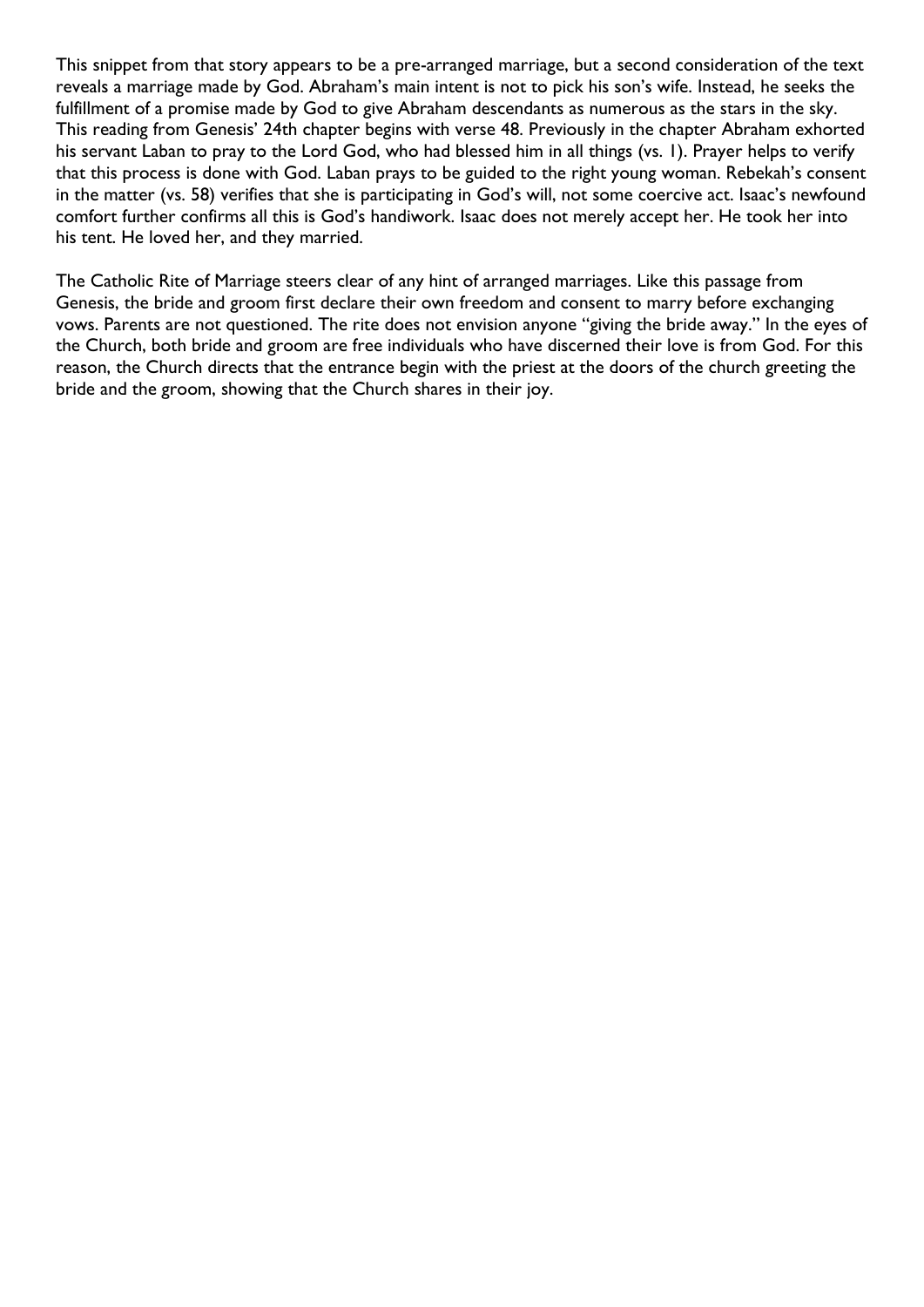This snippet from that story appears to be a pre-arranged marriage, but a second consideration of the text reveals a marriage made by God. Abraham's main intent is not to pick his son's wife. Instead, he seeks the fulfillment of a promise made by God to give Abraham descendants as numerous as the stars in the sky. This reading from Genesis' 24th chapter begins with verse 48. Previously in the chapter Abraham exhorted his servant Laban to pray to the Lord God, who had blessed him in all things (vs. 1). Prayer helps to verify that this process is done with God. Laban prays to be guided to the right young woman. Rebekah's consent in the matter (vs. 58) verifies that she is participating in God's will, not some coercive act. Isaac's newfound comfort further confirms all this is God's handiwork. Isaac does not merely accept her. He took her into his tent. He loved her, and they married.

The Catholic Rite of Marriage steers clear of any hint of arranged marriages. Like this passage from Genesis, the bride and groom first declare their own freedom and consent to marry before exchanging vows. Parents are not questioned. The rite does not envision anyone "giving the bride away." In the eyes of the Church, both bride and groom are free individuals who have discerned their love is from God. For this reason, the Church directs that the entrance begin with the priest at the doors of the church greeting the bride and the groom, showing that the Church shares in their joy.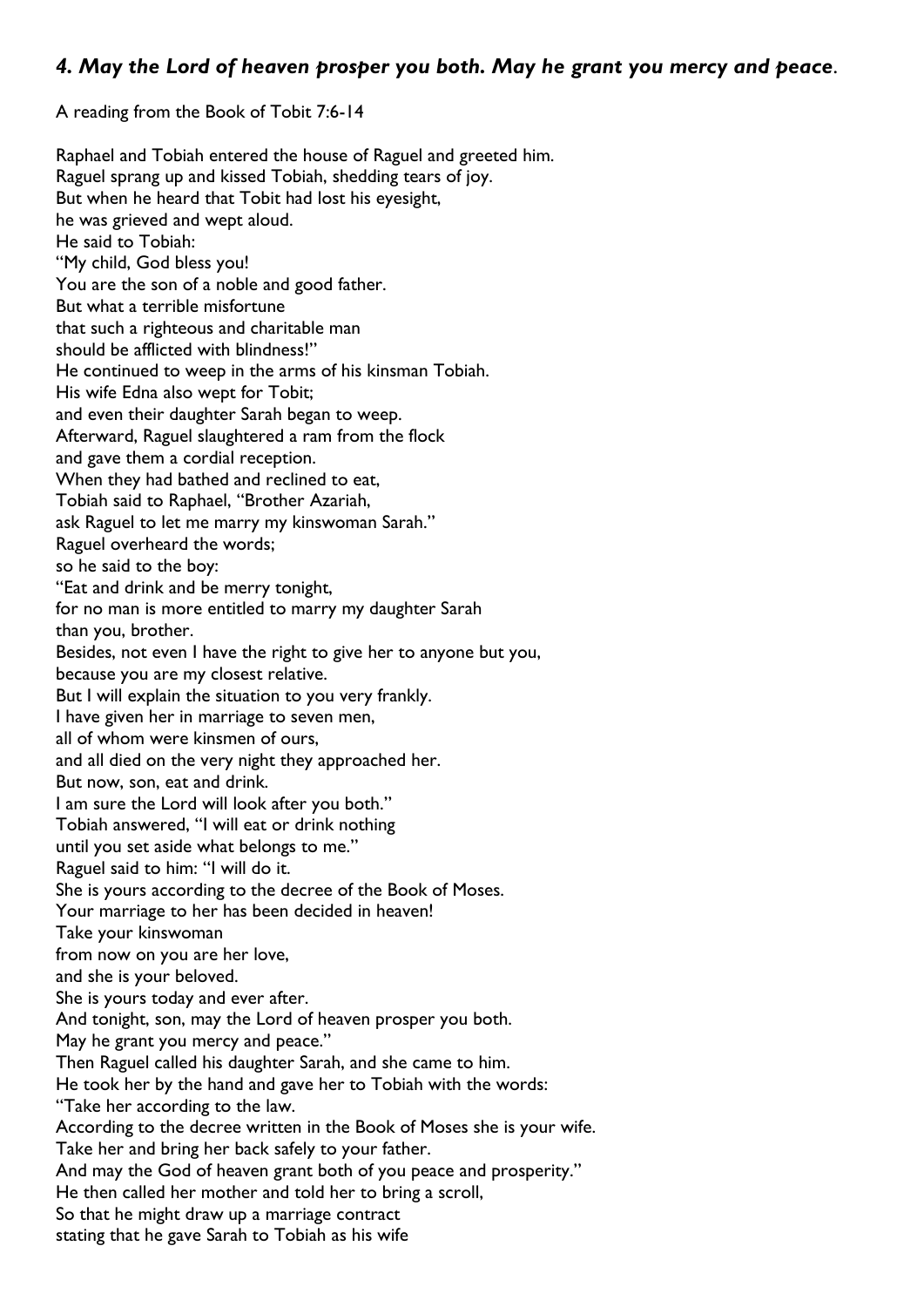# *4. May the Lord of heaven prosper you both. May he grant you mercy and peace*.

A reading from the Book of Tobit 7:6-14

Raphael and Tobiah entered the house of Raguel and greeted him. Raguel sprang up and kissed Tobiah, shedding tears of joy. But when he heard that Tobit had lost his eyesight, he was grieved and wept aloud. He said to Tobiah: "My child, God bless you! You are the son of a noble and good father. But what a terrible misfortune that such a righteous and charitable man should be afflicted with blindness!" He continued to weep in the arms of his kinsman Tobiah. His wife Edna also wept for Tobit; and even their daughter Sarah began to weep. Afterward, Raguel slaughtered a ram from the flock and gave them a cordial reception. When they had bathed and reclined to eat, Tobiah said to Raphael, "Brother Azariah, ask Raguel to let me marry my kinswoman Sarah." Raguel overheard the words; so he said to the boy: "Eat and drink and be merry tonight, for no man is more entitled to marry my daughter Sarah than you, brother. Besides, not even I have the right to give her to anyone but you, because you are my closest relative. But I will explain the situation to you very frankly. I have given her in marriage to seven men, all of whom were kinsmen of ours, and all died on the very night they approached her. But now, son, eat and drink. I am sure the Lord will look after you both." Tobiah answered, "I will eat or drink nothing until you set aside what belongs to me." Raguel said to him: "I will do it. She is yours according to the decree of the Book of Moses. Your marriage to her has been decided in heaven! Take your kinswoman from now on you are her love, and she is your beloved. She is yours today and ever after. And tonight, son, may the Lord of heaven prosper you both. May he grant you mercy and peace." Then Raguel called his daughter Sarah, and she came to him. He took her by the hand and gave her to Tobiah with the words: "Take her according to the law. According to the decree written in the Book of Moses she is your wife. Take her and bring her back safely to your father. And may the God of heaven grant both of you peace and prosperity." He then called her mother and told her to bring a scroll, So that he might draw up a marriage contract stating that he gave Sarah to Tobiah as his wife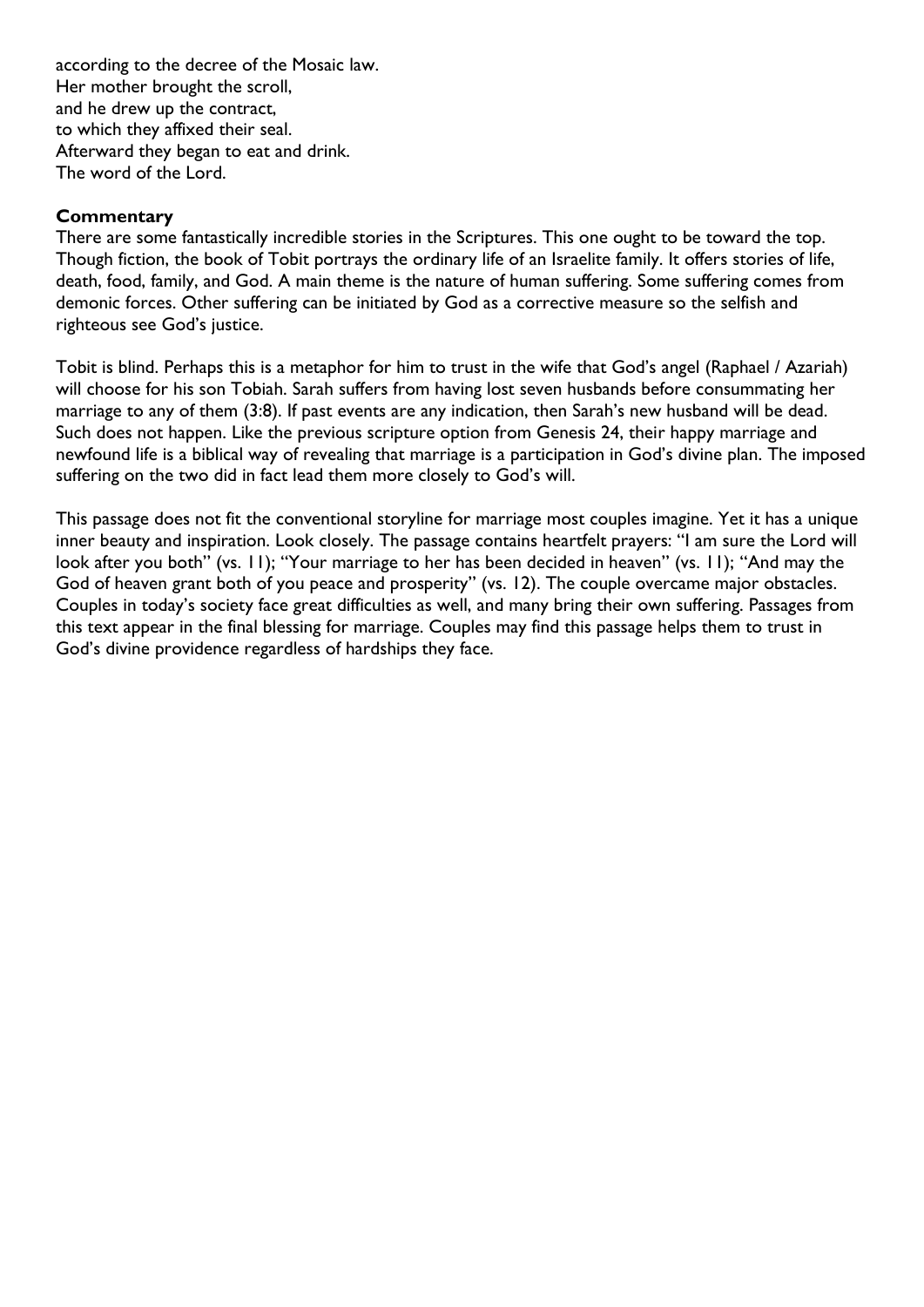according to the decree of the Mosaic law. Her mother brought the scroll, and he drew up the contract, to which they affixed their seal. Afterward they began to eat and drink. The word of the Lord.

#### **Commentary**

There are some fantastically incredible stories in the Scriptures. This one ought to be toward the top. Though fiction, the book of Tobit portrays the ordinary life of an Israelite family. It offers stories of life, death, food, family, and God. A main theme is the nature of human suffering. Some suffering comes from demonic forces. Other suffering can be initiated by God as a corrective measure so the selfish and righteous see God's justice.

Tobit is blind. Perhaps this is a metaphor for him to trust in the wife that God's angel (Raphael / Azariah) will choose for his son Tobiah. Sarah suffers from having lost seven husbands before consummating her marriage to any of them (3:8). If past events are any indication, then Sarah's new husband will be dead. Such does not happen. Like the previous scripture option from Genesis 24, their happy marriage and newfound life is a biblical way of revealing that marriage is a participation in God's divine plan. The imposed suffering on the two did in fact lead them more closely to God's will.

This passage does not fit the conventional storyline for marriage most couples imagine. Yet it has a unique inner beauty and inspiration. Look closely. The passage contains heartfelt prayers: "I am sure the Lord will look after you both" (vs. 11); "Your marriage to her has been decided in heaven" (vs. 11); "And may the God of heaven grant both of you peace and prosperity" (vs. 12). The couple overcame major obstacles. Couples in today's society face great difficulties as well, and many bring their own suffering. Passages from this text appear in the final blessing for marriage. Couples may find this passage helps them to trust in God's divine providence regardless of hardships they face.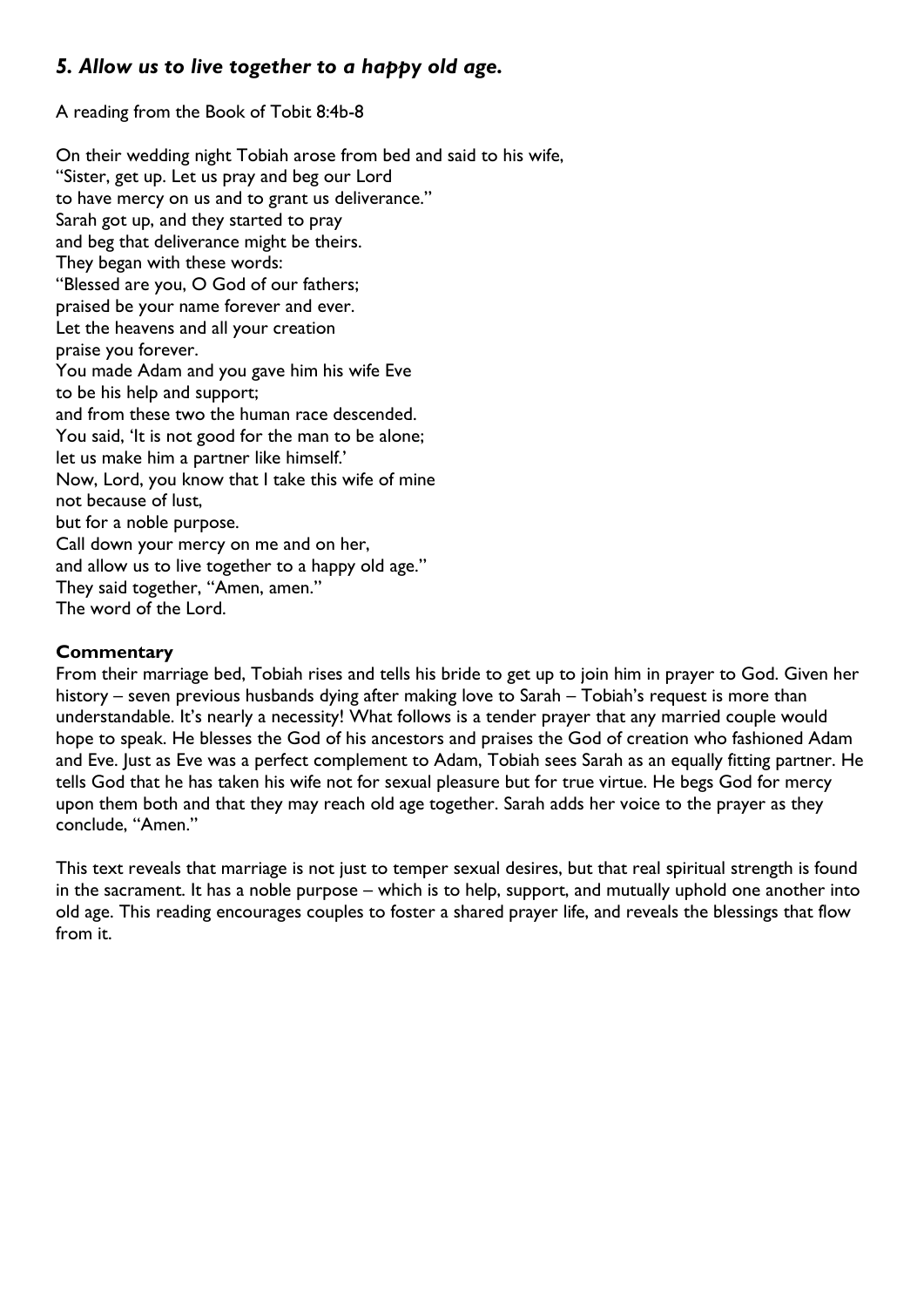# *5. Allow us to live together to a happy old age.*

A reading from the Book of Tobit 8:4b-8

On their wedding night Tobiah arose from bed and said to his wife, "Sister, get up. Let us pray and beg our Lord to have mercy on us and to grant us deliverance." Sarah got up, and they started to pray and beg that deliverance might be theirs. They began with these words: "Blessed are you, O God of our fathers; praised be your name forever and ever. Let the heavens and all your creation praise you forever. You made Adam and you gave him his wife Eve to be his help and support; and from these two the human race descended. You said, 'It is not good for the man to be alone; let us make him a partner like himself.' Now, Lord, you know that I take this wife of mine not because of lust, but for a noble purpose. Call down your mercy on me and on her, and allow us to live together to a happy old age." They said together, "Amen, amen." The word of the Lord.

#### **Commentary**

From their marriage bed, Tobiah rises and tells his bride to get up to join him in prayer to God. Given her history – seven previous husbands dying after making love to Sarah – Tobiah's request is more than understandable. It's nearly a necessity! What follows is a tender prayer that any married couple would hope to speak. He blesses the God of his ancestors and praises the God of creation who fashioned Adam and Eve. Just as Eve was a perfect complement to Adam, Tobiah sees Sarah as an equally fitting partner. He tells God that he has taken his wife not for sexual pleasure but for true virtue. He begs God for mercy upon them both and that they may reach old age together. Sarah adds her voice to the prayer as they conclude, "Amen."

This text reveals that marriage is not just to temper sexual desires, but that real spiritual strength is found in the sacrament. It has a noble purpose – which is to help, support, and mutually uphold one another into old age. This reading encourages couples to foster a shared prayer life, and reveals the blessings that flow from it.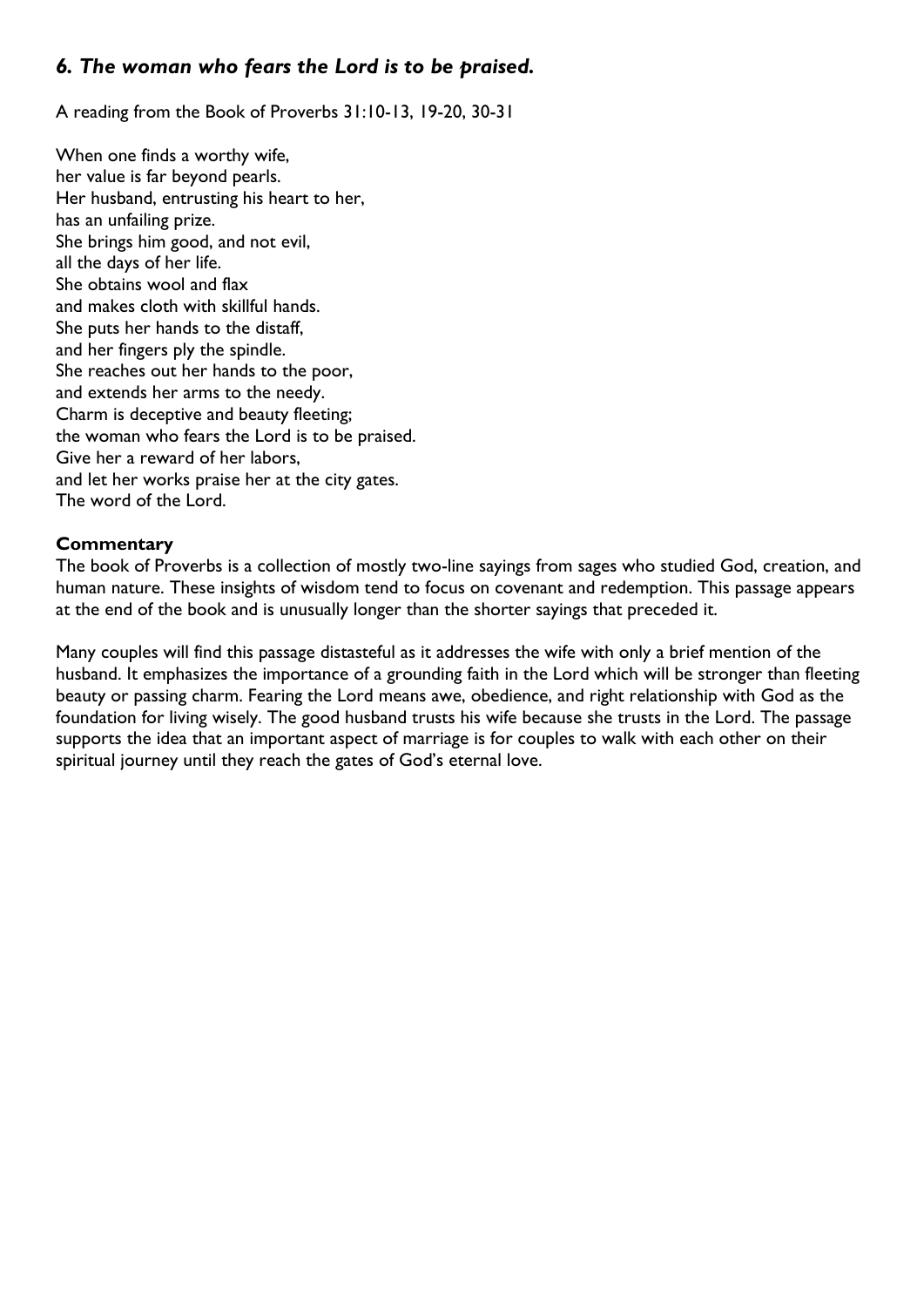# *6. The woman who fears the Lord is to be praised.*

A reading from the Book of Proverbs 31:10-13, 19-20, 30-31

When one finds a worthy wife, her value is far beyond pearls. Her husband, entrusting his heart to her, has an unfailing prize. She brings him good, and not evil, all the days of her life. She obtains wool and flax and makes cloth with skillful hands. She puts her hands to the distaff, and her fingers ply the spindle. She reaches out her hands to the poor, and extends her arms to the needy. Charm is deceptive and beauty fleeting; the woman who fears the Lord is to be praised. Give her a reward of her labors, and let her works praise her at the city gates. The word of the Lord.

#### **Commentary**

The book of Proverbs is a collection of mostly two-line sayings from sages who studied God, creation, and human nature. These insights of wisdom tend to focus on covenant and redemption. This passage appears at the end of the book and is unusually longer than the shorter sayings that preceded it.

Many couples will find this passage distasteful as it addresses the wife with only a brief mention of the husband. It emphasizes the importance of a grounding faith in the Lord which will be stronger than fleeting beauty or passing charm. Fearing the Lord means awe, obedience, and right relationship with God as the foundation for living wisely. The good husband trusts his wife because she trusts in the Lord. The passage supports the idea that an important aspect of marriage is for couples to walk with each other on their spiritual journey until they reach the gates of God's eternal love.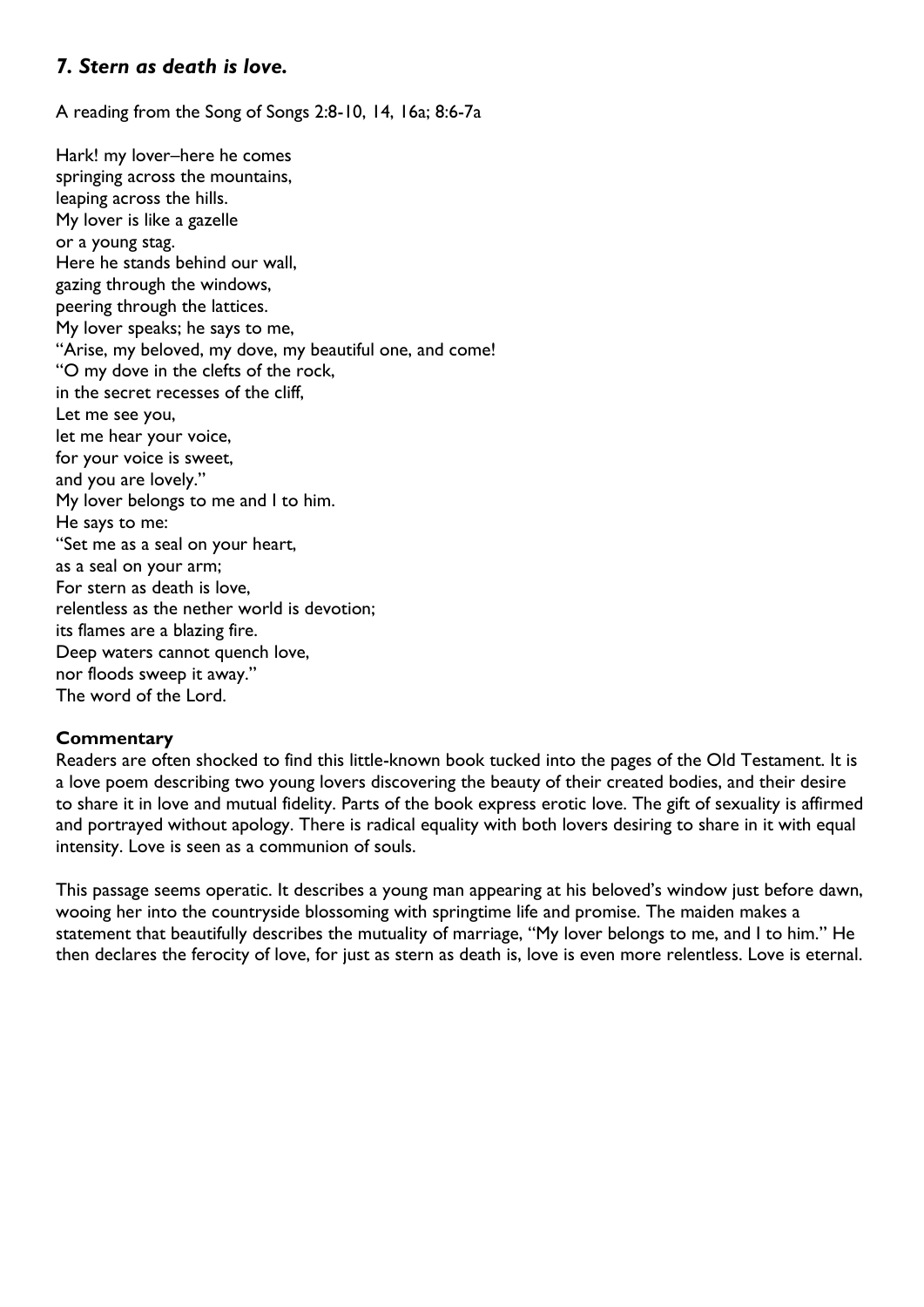# *7. Stern as death is love.*

A reading from the Song of Songs 2:8-10, 14, 16a; 8:6-7a

Hark! my lover–here he comes springing across the mountains, leaping across the hills. My lover is like a gazelle or a young stag. Here he stands behind our wall, gazing through the windows, peering through the lattices. My lover speaks; he says to me, "Arise, my beloved, my dove, my beautiful one, and come! "O my dove in the clefts of the rock, in the secret recesses of the cliff, Let me see you, let me hear your voice, for your voice is sweet, and you are lovely." My lover belongs to me and I to him. He says to me: "Set me as a seal on your heart, as a seal on your arm; For stern as death is love, relentless as the nether world is devotion; its flames are a blazing fire. Deep waters cannot quench love, nor floods sweep it away." The word of the Lord.

#### **Commentary**

Readers are often shocked to find this little-known book tucked into the pages of the Old Testament. It is a love poem describing two young lovers discovering the beauty of their created bodies, and their desire to share it in love and mutual fidelity. Parts of the book express erotic love. The gift of sexuality is affirmed and portrayed without apology. There is radical equality with both lovers desiring to share in it with equal intensity. Love is seen as a communion of souls.

This passage seems operatic. It describes a young man appearing at his beloved's window just before dawn, wooing her into the countryside blossoming with springtime life and promise. The maiden makes a statement that beautifully describes the mutuality of marriage, "My lover belongs to me, and I to him." He then declares the ferocity of love, for just as stern as death is, love is even more relentless. Love is eternal.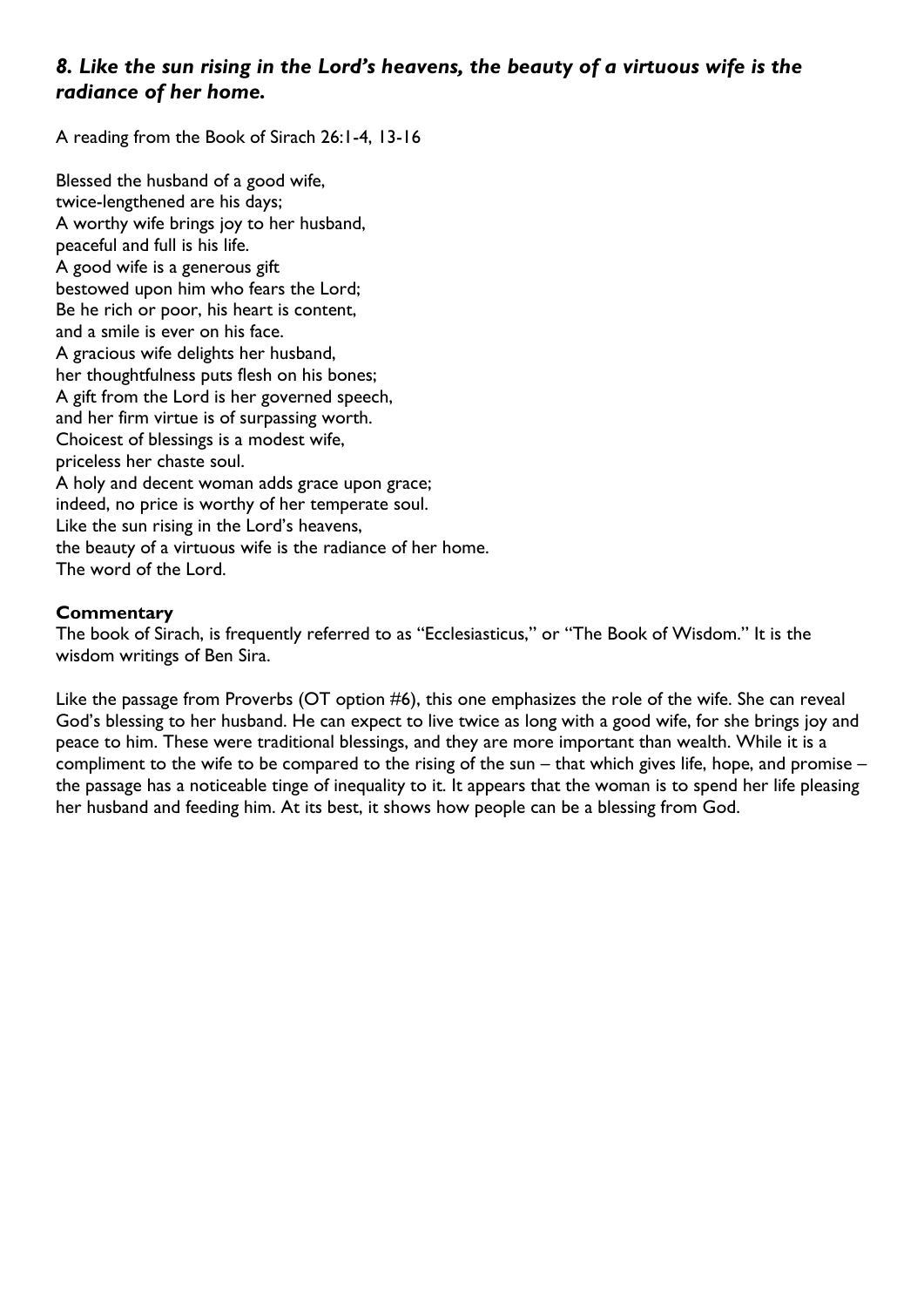# *8. Like the sun rising in the Lord's heavens, the beauty of a virtuous wife is the radiance of her home.*

A reading from the Book of Sirach 26:1-4, 13-16

Blessed the husband of a good wife, twice-lengthened are his days; A worthy wife brings joy to her husband, peaceful and full is his life. A good wife is a generous gift bestowed upon him who fears the Lord; Be he rich or poor, his heart is content, and a smile is ever on his face. A gracious wife delights her husband, her thoughtfulness puts flesh on his bones; A gift from the Lord is her governed speech, and her firm virtue is of surpassing worth. Choicest of blessings is a modest wife, priceless her chaste soul. A holy and decent woman adds grace upon grace; indeed, no price is worthy of her temperate soul. Like the sun rising in the Lord's heavens, the beauty of a virtuous wife is the radiance of her home. The word of the Lord.

#### **Commentary**

The book of Sirach, is frequently referred to as "Ecclesiasticus," or "The Book of Wisdom." It is the wisdom writings of Ben Sira.

Like the passage from Proverbs (OT option #6), this one emphasizes the role of the wife. She can reveal God's blessing to her husband. He can expect to live twice as long with a good wife, for she brings joy and peace to him. These were traditional blessings, and they are more important than wealth. While it is a compliment to the wife to be compared to the rising of the sun – that which gives life, hope, and promise – the passage has a noticeable tinge of inequality to it. It appears that the woman is to spend her life pleasing her husband and feeding him. At its best, it shows how people can be a blessing from God.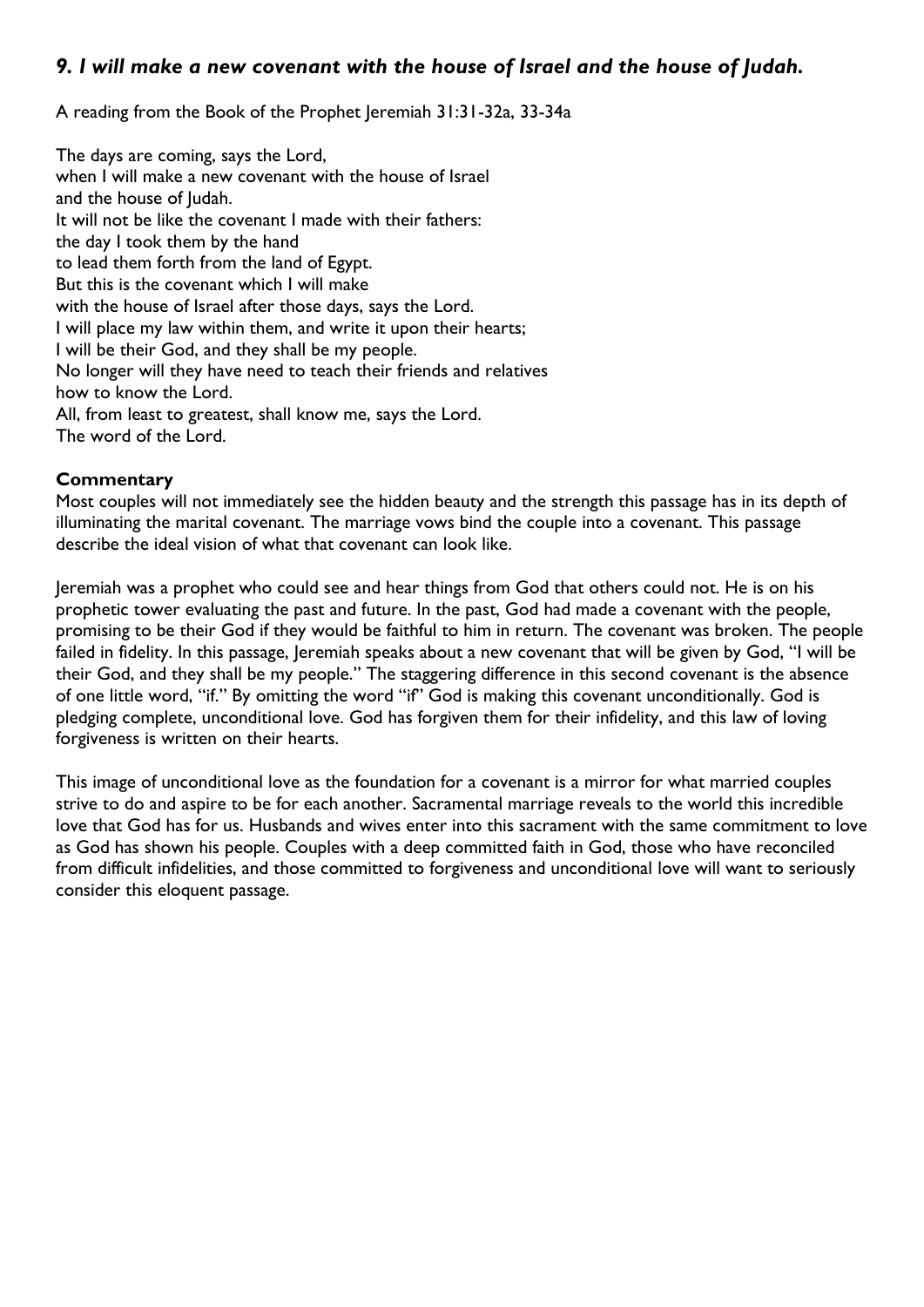# *9. I will make a new covenant with the house of Israel and the house of Judah.*

A reading from the Book of the Prophet Jeremiah 31:31-32a, 33-34a

The days are coming, says the Lord, when I will make a new covenant with the house of Israel and the house of Judah. It will not be like the covenant I made with their fathers: the day I took them by the hand to lead them forth from the land of Egypt. But this is the covenant which I will make with the house of Israel after those days, says the Lord. I will place my law within them, and write it upon their hearts; I will be their God, and they shall be my people. No longer will they have need to teach their friends and relatives how to know the Lord. All, from least to greatest, shall know me, says the Lord. The word of the Lord.

#### **Commentary**

Most couples will not immediately see the hidden beauty and the strength this passage has in its depth of illuminating the marital covenant. The marriage vows bind the couple into a covenant. This passage describe the ideal vision of what that covenant can look like.

Jeremiah was a prophet who could see and hear things from God that others could not. He is on his prophetic tower evaluating the past and future. In the past, God had made a covenant with the people, promising to be their God if they would be faithful to him in return. The covenant was broken. The people failed in fidelity. In this passage, Jeremiah speaks about a new covenant that will be given by God, "I will be their God, and they shall be my people." The staggering difference in this second covenant is the absence of one little word, "if." By omitting the word "if" God is making this covenant unconditionally. God is pledging complete, unconditional love. God has forgiven them for their infidelity, and this law of loving forgiveness is written on their hearts.

This image of unconditional love as the foundation for a covenant is a mirror for what married couples strive to do and aspire to be for each another. Sacramental marriage reveals to the world this incredible love that God has for us. Husbands and wives enter into this sacrament with the same commitment to love as God has shown his people. Couples with a deep committed faith in God, those who have reconciled from difficult infidelities, and those committed to forgiveness and unconditional love will want to seriously consider this eloquent passage.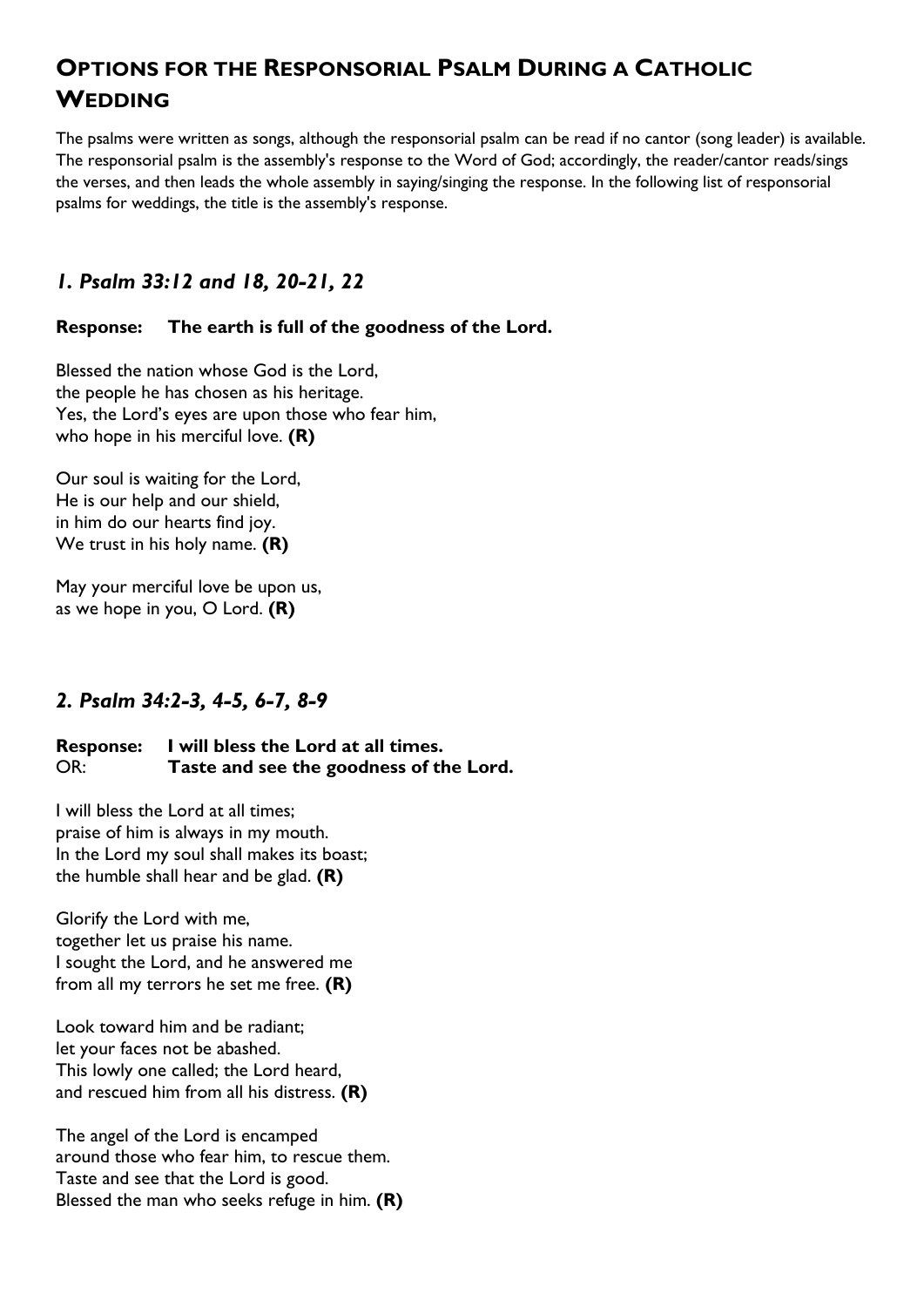# **OPTIONS FOR THE RESPONSORIAL PSALM DURING A CATHOLIC WEDDING**

The psalms were written as songs, although the responsorial psalm can be read if no cantor (song leader) is available. The responsorial psalm is the assembly's response to the Word of God; accordingly, the reader/cantor reads/sings the verses, and then leads the whole assembly in saying/singing the response. In the following list of responsorial psalms for weddings, the title is the assembly's response.

# *1. Psalm 33:12 and 18, 20-21, 22*

#### **Response: The earth is full of the goodness of the Lord.**

Blessed the nation whose God is the Lord, the people he has chosen as his heritage. Yes, the Lord's eyes are upon those who fear him, who hope in his merciful love. **(R)**

Our soul is waiting for the Lord, He is our help and our shield, in him do our hearts find joy. We trust in his holy name. **(R)**

May your merciful love be upon us, as we hope in you, O Lord. **(R)**

# *2. Psalm 34:2-3, 4-5, 6-7, 8-9*

#### **Response: I will bless the Lord at all times.** OR: **Taste and see the goodness of the Lord.**

I will bless the Lord at all times; praise of him is always in my mouth. In the Lord my soul shall makes its boast; the humble shall hear and be glad. **(R)**

Glorify the Lord with me, together let us praise his name. I sought the Lord, and he answered me from all my terrors he set me free. **(R)**

Look toward him and be radiant; let your faces not be abashed. This lowly one called; the Lord heard, and rescued him from all his distress. **(R)**

The angel of the Lord is encamped around those who fear him, to rescue them. Taste and see that the Lord is good. Blessed the man who seeks refuge in him. **(R)**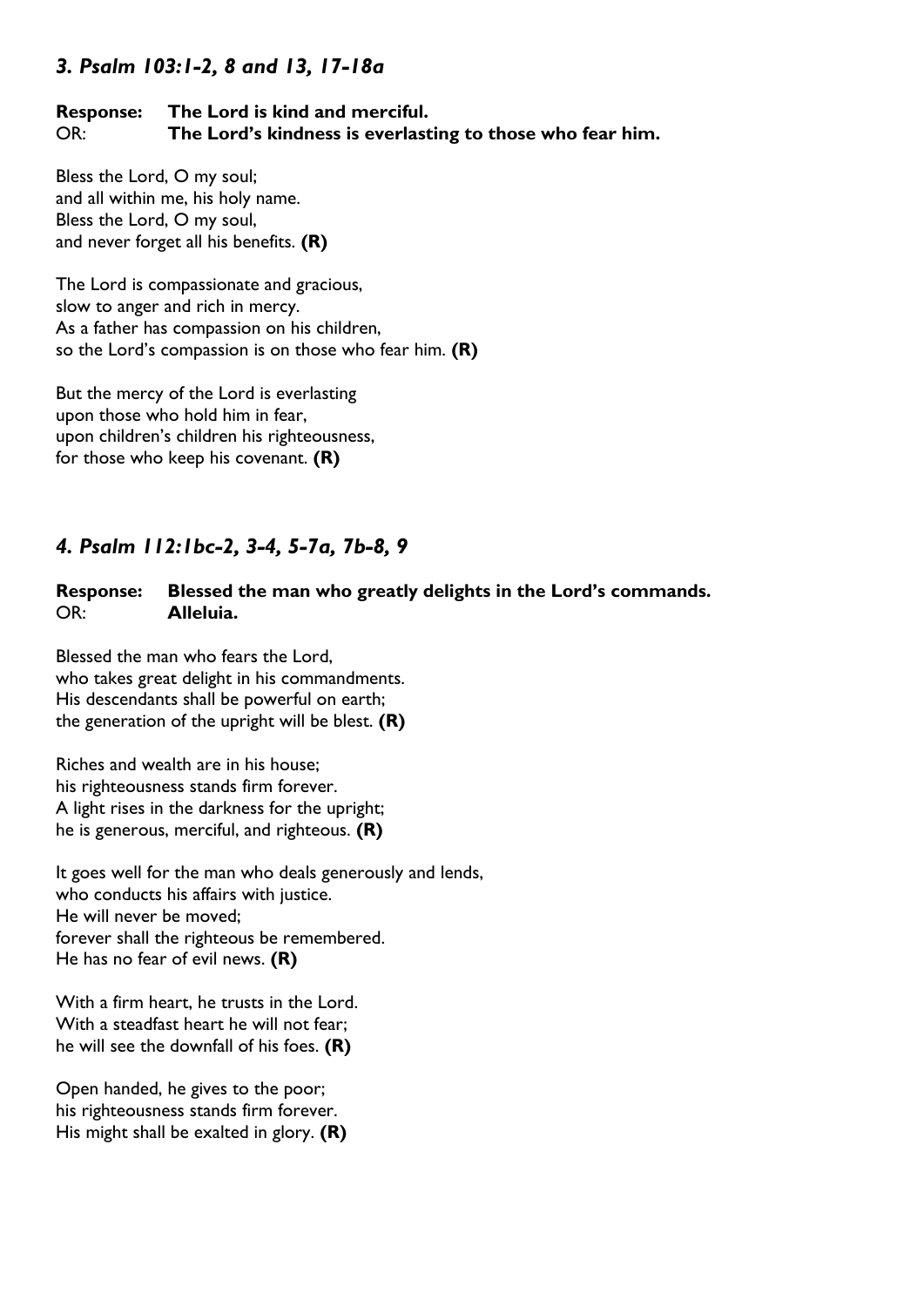## *3. Psalm 103:1-2, 8 and 13, 17-18a*

#### **Response: The Lord is kind and merciful.** OR: **The Lord's kindness is everlasting to those who fear him.**

Bless the Lord, O my soul; and all within me, his holy name. Bless the Lord, O my soul, and never forget all his benefits. **(R)**

The Lord is compassionate and gracious, slow to anger and rich in mercy. As a father has compassion on his children, so the Lord's compassion is on those who fear him. **(R)**

But the mercy of the Lord is everlasting upon those who hold him in fear, upon children's children his righteousness, for those who keep his covenant. **(R)**

# *4. Psalm 112:1bc-2, 3-4, 5-7a, 7b-8, 9*

#### **Response: Blessed the man who greatly delights in the Lord's commands.** OR: **Alleluia.**

Blessed the man who fears the Lord, who takes great delight in his commandments. His descendants shall be powerful on earth; the generation of the upright will be blest. **(R)**

Riches and wealth are in his house; his righteousness stands firm forever. A light rises in the darkness for the upright; he is generous, merciful, and righteous. **(R)**

It goes well for the man who deals generously and lends, who conducts his affairs with justice. He will never be moved; forever shall the righteous be remembered. He has no fear of evil news. **(R)**

With a firm heart, he trusts in the Lord. With a steadfast heart he will not fear; he will see the downfall of his foes. **(R)**

Open handed, he gives to the poor; his righteousness stands firm forever. His might shall be exalted in glory. **(R)**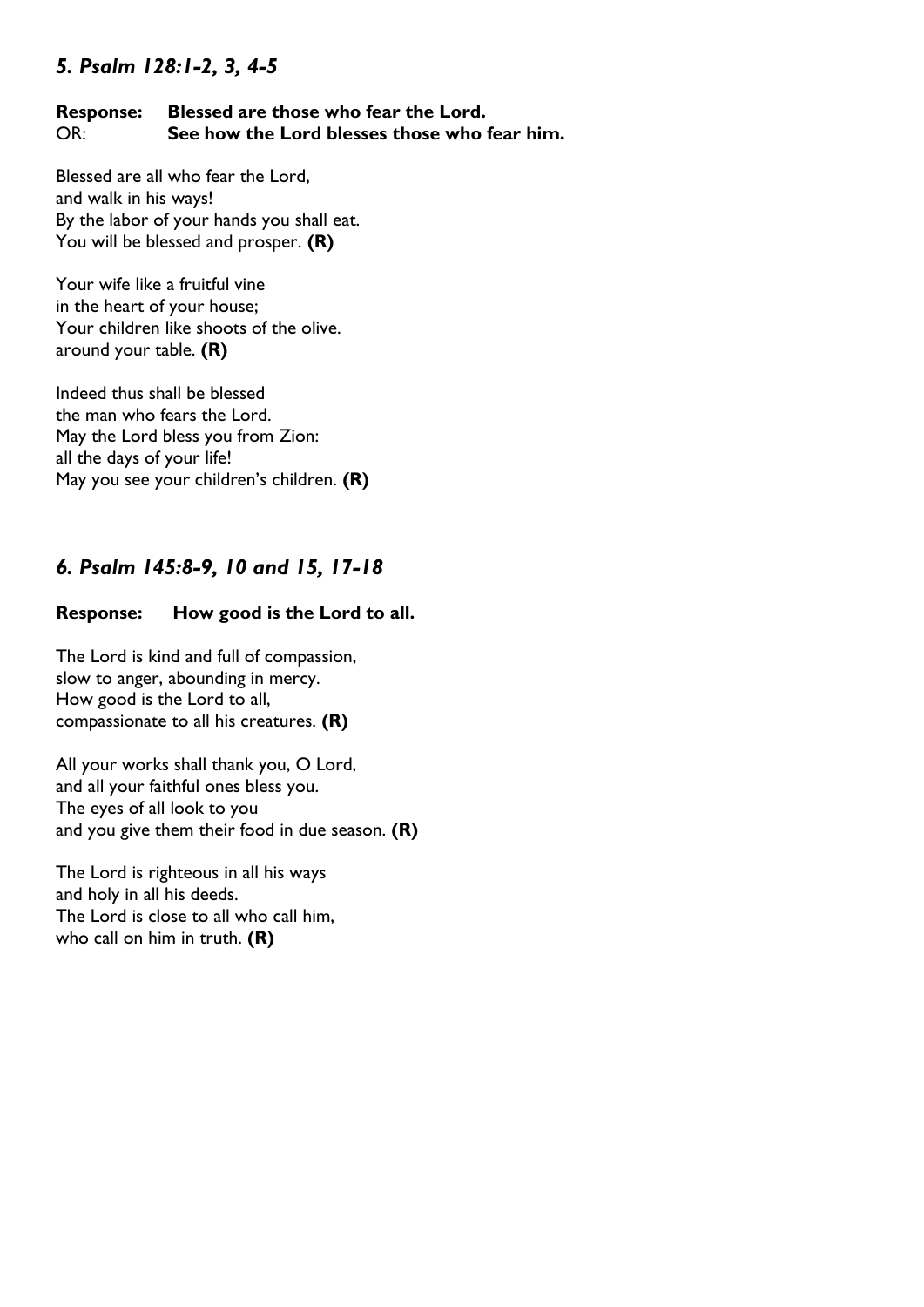## *5. Psalm 128:1-2, 3, 4-5*

#### **Response: Blessed are those who fear the Lord.** OR: **See how the Lord blesses those who fear him.**

Blessed are all who fear the Lord, and walk in his ways! By the labor of your hands you shall eat. You will be blessed and prosper. **(R)**

Your wife like a fruitful vine in the heart of your house; Your children like shoots of the olive. around your table. **(R)**

Indeed thus shall be blessed the man who fears the Lord. May the Lord bless you from Zion: all the days of your life! May you see your children's children. **(R)**

# *6. Psalm 145:8-9, 10 and 15, 17-18*

#### **Response: How good is the Lord to all.**

The Lord is kind and full of compassion, slow to anger, abounding in mercy. How good is the Lord to all, compassionate to all his creatures. **(R)**

All your works shall thank you, O Lord, and all your faithful ones bless you. The eyes of all look to you and you give them their food in due season. **(R)**

The Lord is righteous in all his ways and holy in all his deeds. The Lord is close to all who call him, who call on him in truth. **(R)**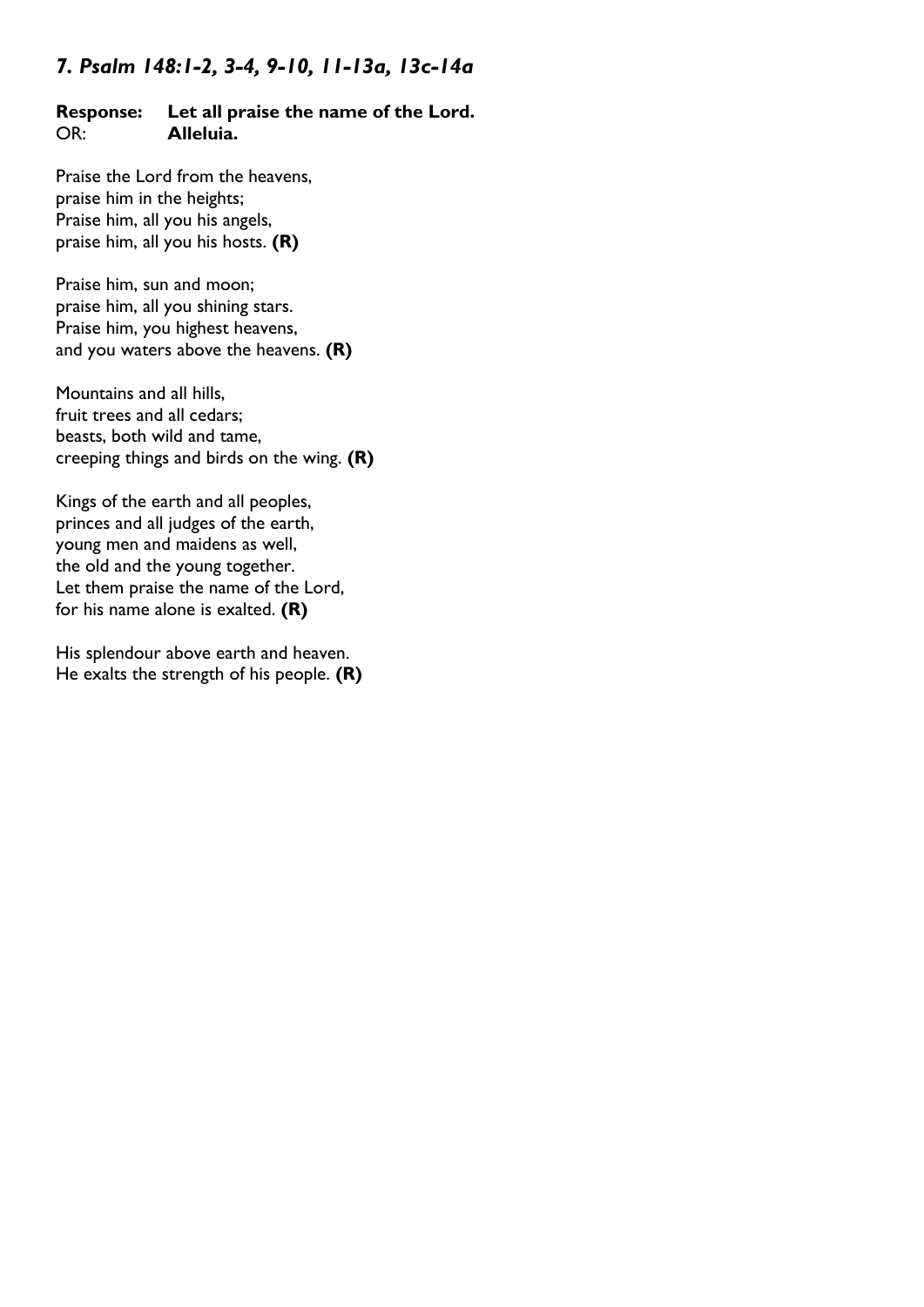# *7. Psalm 148:1-2, 3-4, 9-10, 11-13a, 13c-14a*

#### **Response: Let all praise the name of the Lord.** OR: **Alleluia.**

Praise the Lord from the heavens, praise him in the heights; Praise him, all you his angels, praise him, all you his hosts. **(R)**

Praise him, sun and moon; praise him, all you shining stars. Praise him, you highest heavens, and you waters above the heavens. **(R)**

Mountains and all hills, fruit trees and all cedars; beasts, both wild and tame, creeping things and birds on the wing. **(R)**

Kings of the earth and all peoples, princes and all judges of the earth, young men and maidens as well, the old and the young together. Let them praise the name of the Lord, for his name alone is exalted. **(R)**

His splendour above earth and heaven. He exalts the strength of his people. **(R)**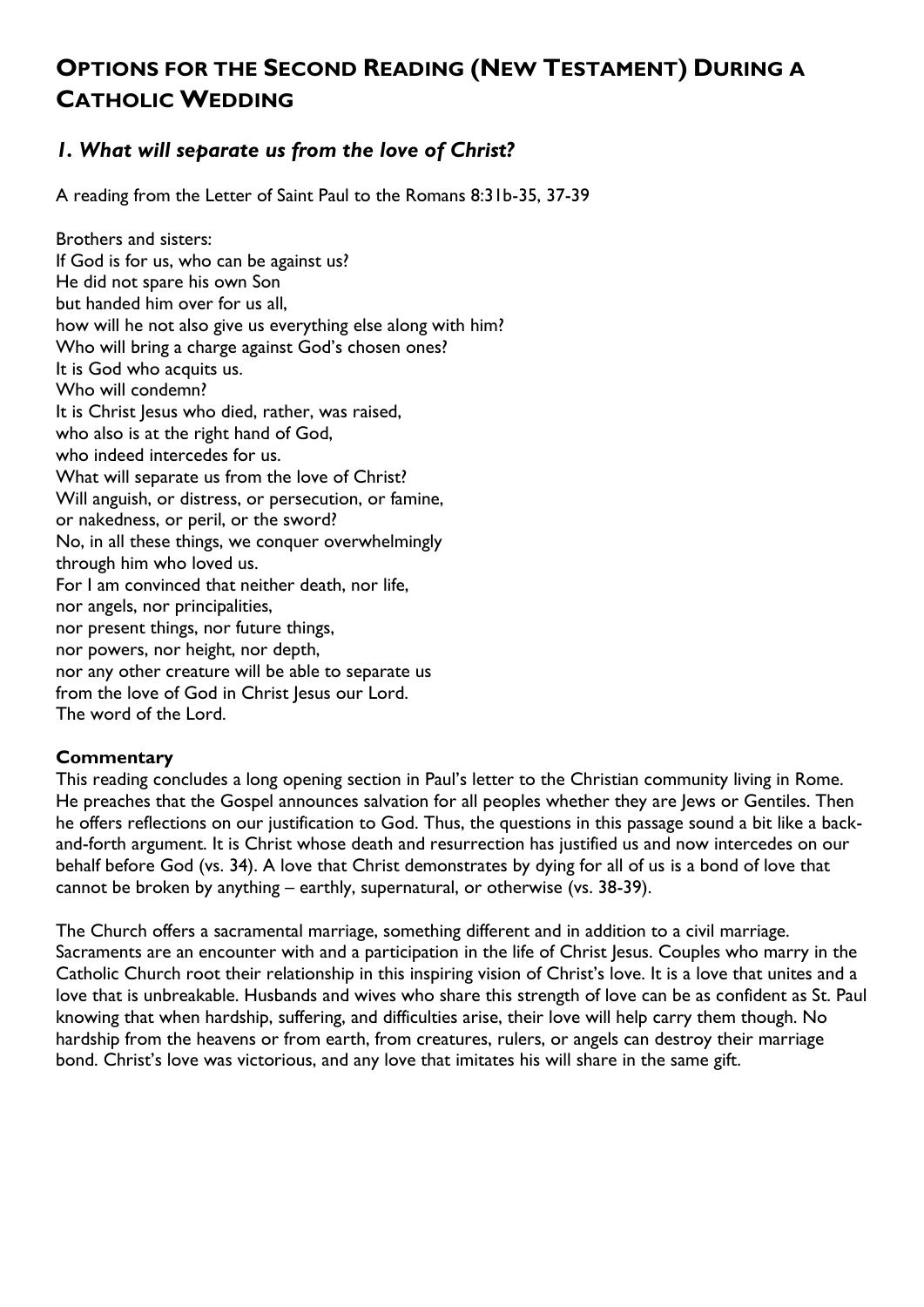# **OPTIONS FOR THE SECOND READING (NEW TESTAMENT) DURING A CATHOLIC WEDDING**

# *1. What will separate us from the love of Christ?*

A reading from the Letter of Saint Paul to the Romans 8:31b-35, 37-39

Brothers and sisters: If God is for us, who can be against us? He did not spare his own Son but handed him over for us all, how will he not also give us everything else along with him? Who will bring a charge against God's chosen ones? It is God who acquits us. Who will condemn? It is Christ Jesus who died, rather, was raised, who also is at the right hand of God, who indeed intercedes for us. What will separate us from the love of Christ? Will anguish, or distress, or persecution, or famine, or nakedness, or peril, or the sword? No, in all these things, we conquer overwhelmingly through him who loved us. For I am convinced that neither death, nor life, nor angels, nor principalities, nor present things, nor future things, nor powers, nor height, nor depth, nor any other creature will be able to separate us from the love of God in Christ Jesus our Lord. The word of the Lord.

#### **Commentary**

This reading concludes a long opening section in Paul's letter to the Christian community living in Rome. He preaches that the Gospel announces salvation for all peoples whether they are Jews or Gentiles. Then he offers reflections on our justification to God. Thus, the questions in this passage sound a bit like a backand-forth argument. It is Christ whose death and resurrection has justified us and now intercedes on our behalf before God (vs. 34). A love that Christ demonstrates by dying for all of us is a bond of love that cannot be broken by anything – earthly, supernatural, or otherwise (vs. 38-39).

The Church offers a sacramental marriage, something different and in addition to a civil marriage. Sacraments are an encounter with and a participation in the life of Christ Jesus. Couples who marry in the Catholic Church root their relationship in this inspiring vision of Christ's love. It is a love that unites and a love that is unbreakable. Husbands and wives who share this strength of love can be as confident as St. Paul knowing that when hardship, suffering, and difficulties arise, their love will help carry them though. No hardship from the heavens or from earth, from creatures, rulers, or angels can destroy their marriage bond. Christ's love was victorious, and any love that imitates his will share in the same gift.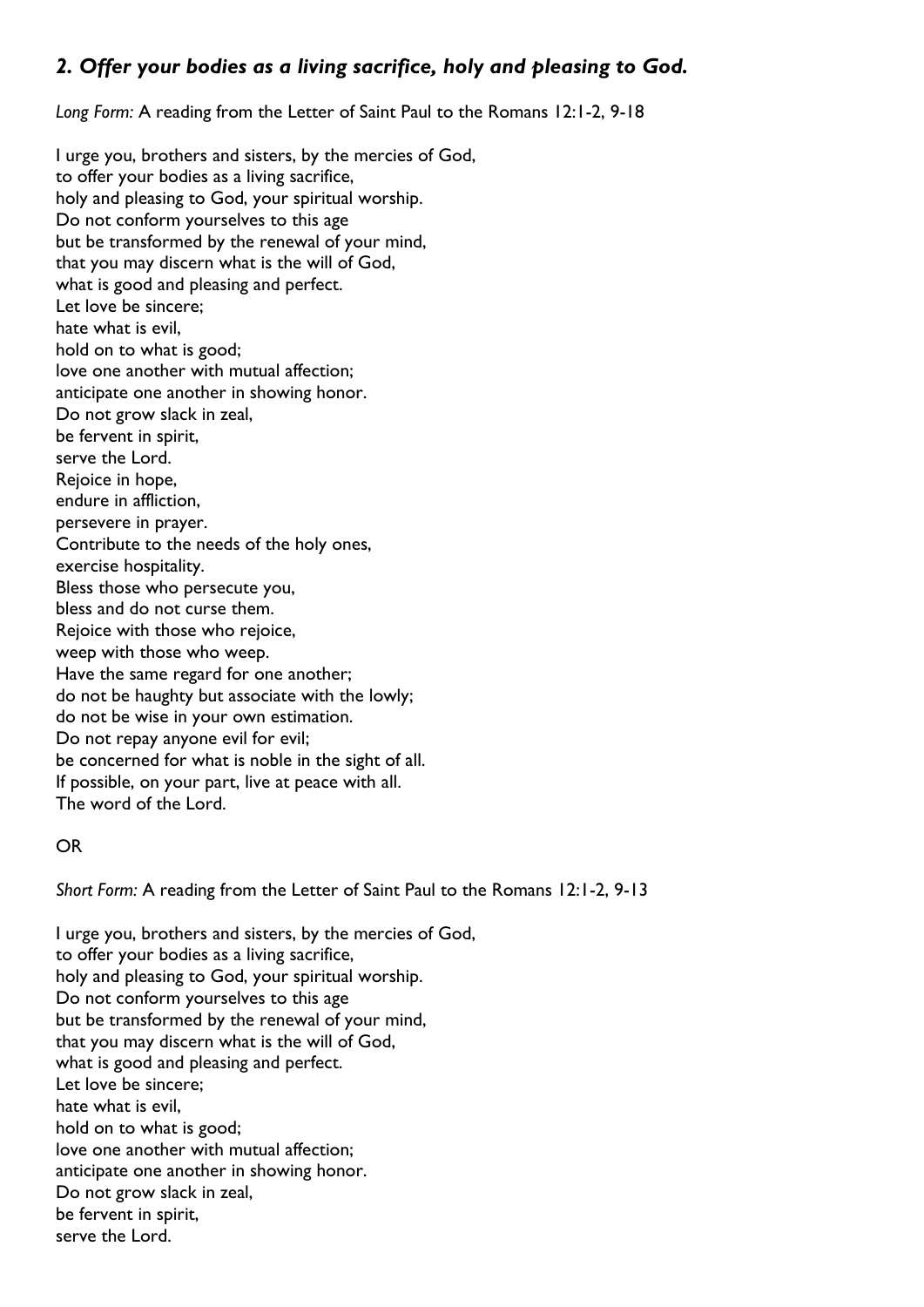# *2. Offer your bodies as a living sacrifice, holy and pleasing to God.*

*Long Form:* A reading from the Letter of Saint Paul to the Romans 12:1-2, 9-18

I urge you, brothers and sisters, by the mercies of God, to offer your bodies as a living sacrifice, holy and pleasing to God, your spiritual worship. Do not conform yourselves to this age but be transformed by the renewal of your mind, that you may discern what is the will of God, what is good and pleasing and perfect. Let love be sincere; hate what is evil, hold on to what is good; love one another with mutual affection; anticipate one another in showing honor. Do not grow slack in zeal, be fervent in spirit, serve the Lord. Rejoice in hope, endure in affliction, persevere in prayer. Contribute to the needs of the holy ones, exercise hospitality. Bless those who persecute you, bless and do not curse them. Rejoice with those who rejoice, weep with those who weep. Have the same regard for one another; do not be haughty but associate with the lowly; do not be wise in your own estimation. Do not repay anyone evil for evil; be concerned for what is noble in the sight of all. If possible, on your part, live at peace with all. The word of the Lord.

#### OR

*Short Form:* A reading from the Letter of Saint Paul to the Romans 12:1-2, 9-13

I urge you, brothers and sisters, by the mercies of God, to offer your bodies as a living sacrifice, holy and pleasing to God, your spiritual worship. Do not conform yourselves to this age but be transformed by the renewal of your mind, that you may discern what is the will of God, what is good and pleasing and perfect. Let love be sincere; hate what is evil, hold on to what is good; love one another with mutual affection; anticipate one another in showing honor. Do not grow slack in zeal, be fervent in spirit, serve the Lord.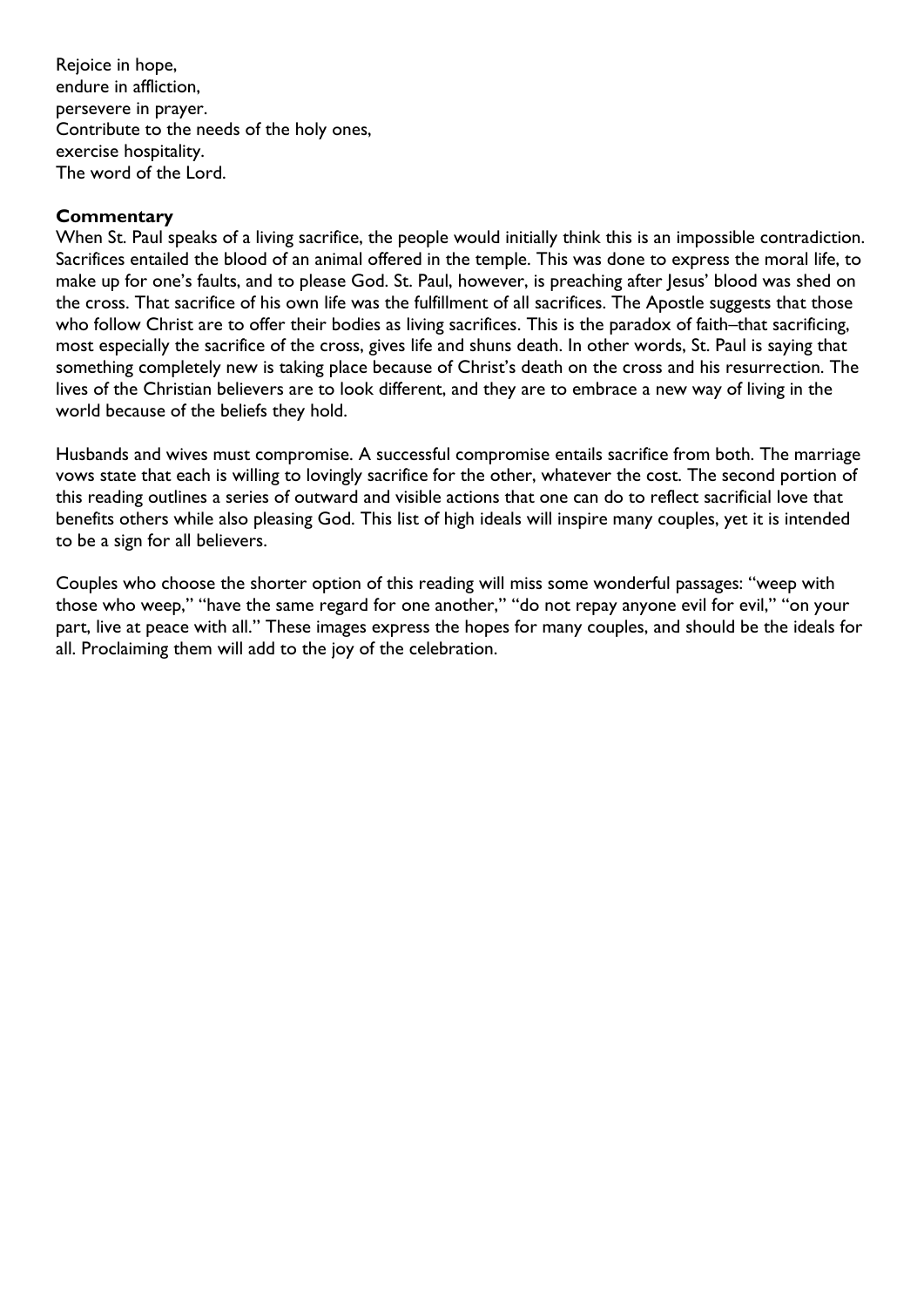Rejoice in hope, endure in affliction, persevere in prayer. Contribute to the needs of the holy ones, exercise hospitality. The word of the Lord.

#### **Commentary**

When St. Paul speaks of a living sacrifice, the people would initially think this is an impossible contradiction. Sacrifices entailed the blood of an animal offered in the temple. This was done to express the moral life, to make up for one's faults, and to please God. St. Paul, however, is preaching after Jesus' blood was shed on the cross. That sacrifice of his own life was the fulfillment of all sacrifices. The Apostle suggests that those who follow Christ are to offer their bodies as living sacrifices. This is the paradox of faith–that sacrificing, most especially the sacrifice of the cross, gives life and shuns death. In other words, St. Paul is saying that something completely new is taking place because of Christ's death on the cross and his resurrection. The lives of the Christian believers are to look different, and they are to embrace a new way of living in the world because of the beliefs they hold.

Husbands and wives must compromise. A successful compromise entails sacrifice from both. The marriage vows state that each is willing to lovingly sacrifice for the other, whatever the cost. The second portion of this reading outlines a series of outward and visible actions that one can do to reflect sacrificial love that benefits others while also pleasing God. This list of high ideals will inspire many couples, yet it is intended to be a sign for all believers.

Couples who choose the shorter option of this reading will miss some wonderful passages: "weep with those who weep," "have the same regard for one another," "do not repay anyone evil for evil," "on your part, live at peace with all." These images express the hopes for many couples, and should be the ideals for all. Proclaiming them will add to the joy of the celebration.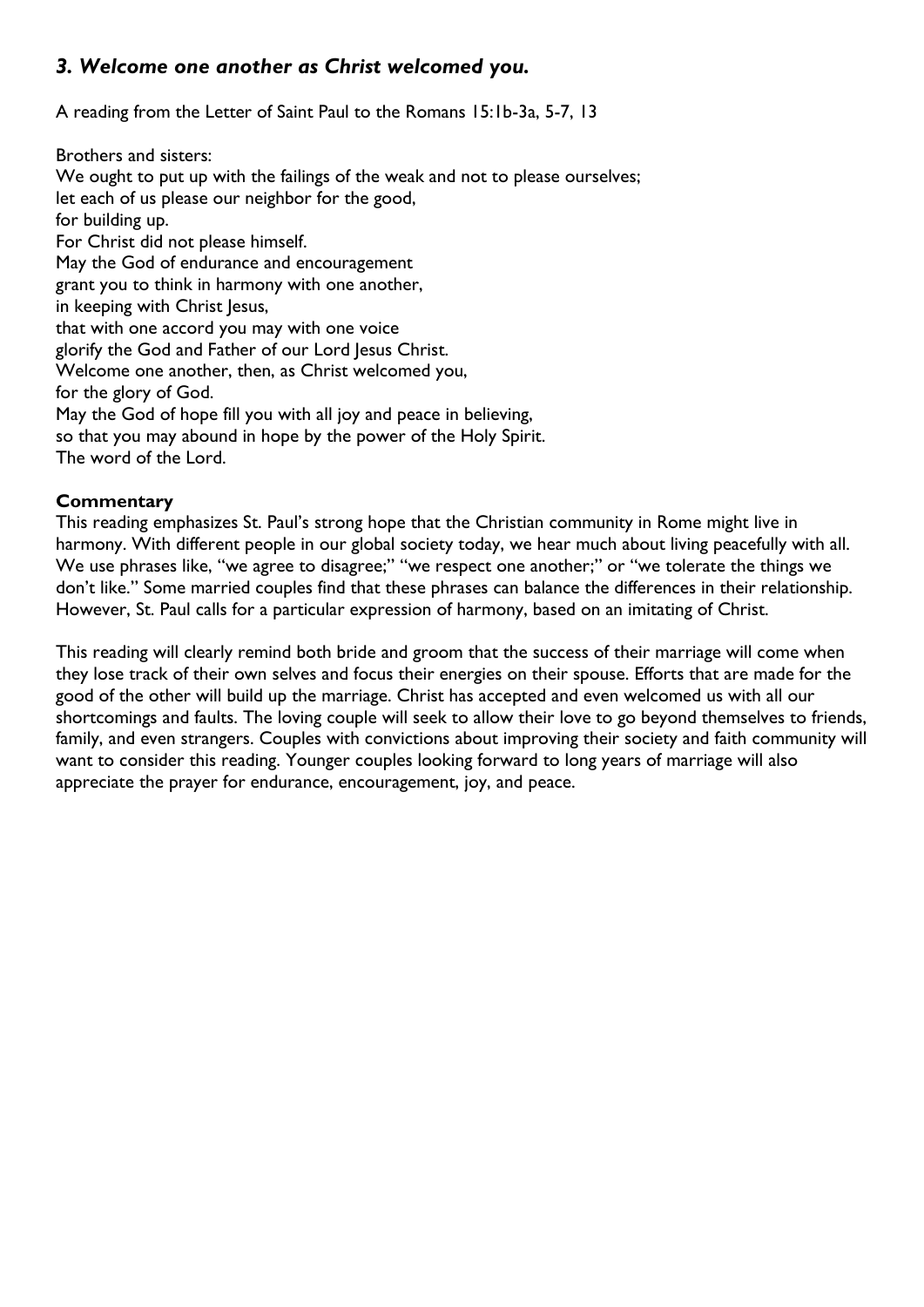# *3. Welcome one another as Christ welcomed you.*

A reading from the Letter of Saint Paul to the Romans 15:1b-3a, 5-7, 13

Brothers and sisters: We ought to put up with the failings of the weak and not to please ourselves; let each of us please our neighbor for the good, for building up. For Christ did not please himself. May the God of endurance and encouragement grant you to think in harmony with one another, in keeping with Christ Jesus, that with one accord you may with one voice glorify the God and Father of our Lord Jesus Christ. Welcome one another, then, as Christ welcomed you, for the glory of God. May the God of hope fill you with all joy and peace in believing, so that you may abound in hope by the power of the Holy Spirit. The word of the Lord.

#### **Commentary**

This reading emphasizes St. Paul's strong hope that the Christian community in Rome might live in harmony. With different people in our global society today, we hear much about living peacefully with all. We use phrases like, "we agree to disagree;" "we respect one another;" or "we tolerate the things we don't like." Some married couples find that these phrases can balance the differences in their relationship. However, St. Paul calls for a particular expression of harmony, based on an imitating of Christ.

This reading will clearly remind both bride and groom that the success of their marriage will come when they lose track of their own selves and focus their energies on their spouse. Efforts that are made for the good of the other will build up the marriage. Christ has accepted and even welcomed us with all our shortcomings and faults. The loving couple will seek to allow their love to go beyond themselves to friends, family, and even strangers. Couples with convictions about improving their society and faith community will want to consider this reading. Younger couples looking forward to long years of marriage will also appreciate the prayer for endurance, encouragement, joy, and peace.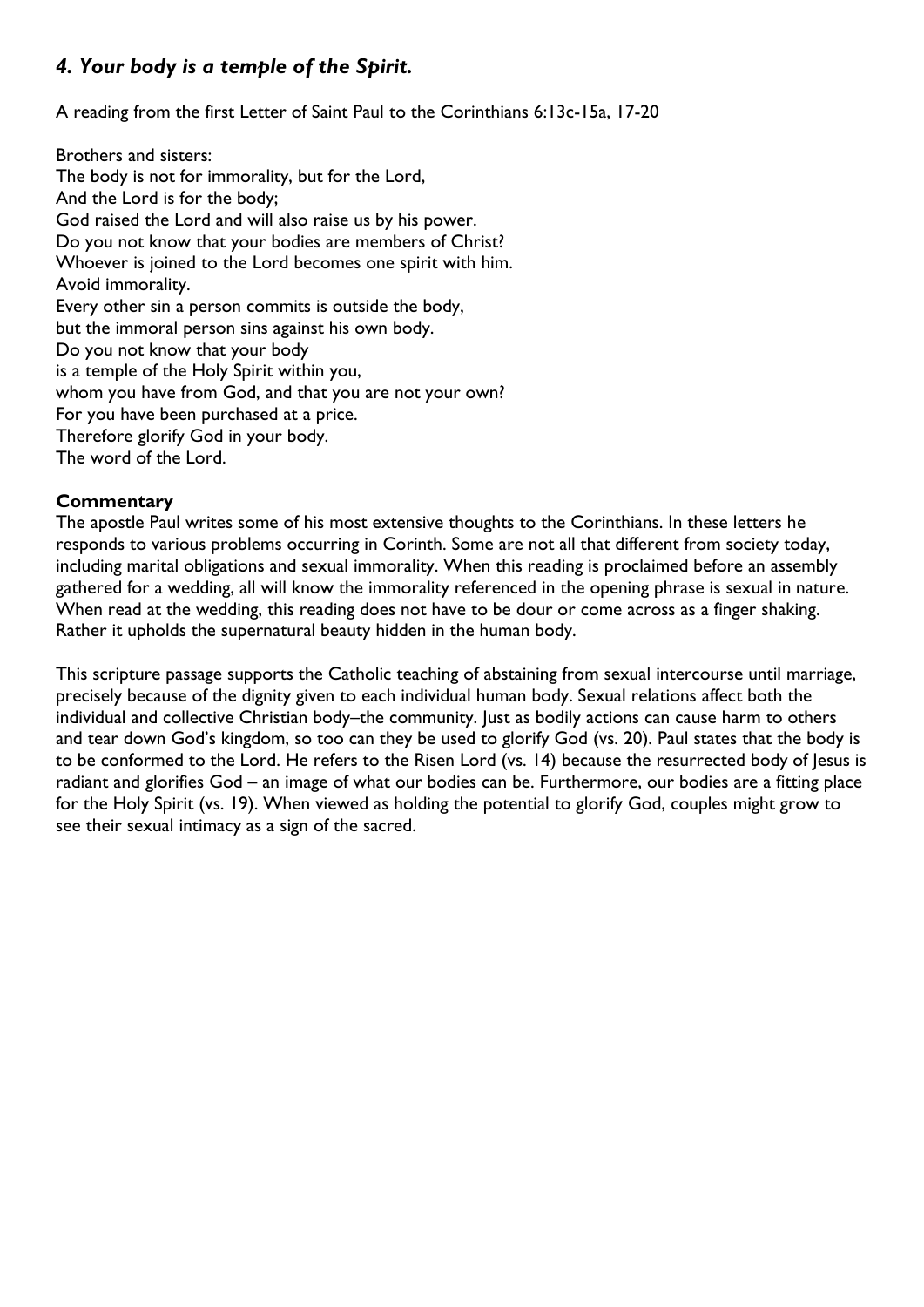# *4. Your body is a temple of the Spirit.*

A reading from the first Letter of Saint Paul to the Corinthians 6:13c-15a, 17-20

Brothers and sisters: The body is not for immorality, but for the Lord, And the Lord is for the body; God raised the Lord and will also raise us by his power. Do you not know that your bodies are members of Christ? Whoever is joined to the Lord becomes one spirit with him. Avoid immorality. Every other sin a person commits is outside the body, but the immoral person sins against his own body. Do you not know that your body is a temple of the Holy Spirit within you, whom you have from God, and that you are not your own? For you have been purchased at a price. Therefore glorify God in your body. The word of the Lord.

#### **Commentary**

The apostle Paul writes some of his most extensive thoughts to the Corinthians. In these letters he responds to various problems occurring in Corinth. Some are not all that different from society today, including marital obligations and sexual immorality. When this reading is proclaimed before an assembly gathered for a wedding, all will know the immorality referenced in the opening phrase is sexual in nature. When read at the wedding, this reading does not have to be dour or come across as a finger shaking. Rather it upholds the supernatural beauty hidden in the human body.

This scripture passage supports the Catholic teaching of abstaining from sexual intercourse until marriage, precisely because of the dignity given to each individual human body. Sexual relations affect both the individual and collective Christian body–the community. Just as bodily actions can cause harm to others and tear down God's kingdom, so too can they be used to glorify God (vs. 20). Paul states that the body is to be conformed to the Lord. He refers to the Risen Lord (vs. 14) because the resurrected body of Jesus is radiant and glorifies God – an image of what our bodies can be. Furthermore, our bodies are a fitting place for the Holy Spirit (vs. 19). When viewed as holding the potential to glorify God, couples might grow to see their sexual intimacy as a sign of the sacred.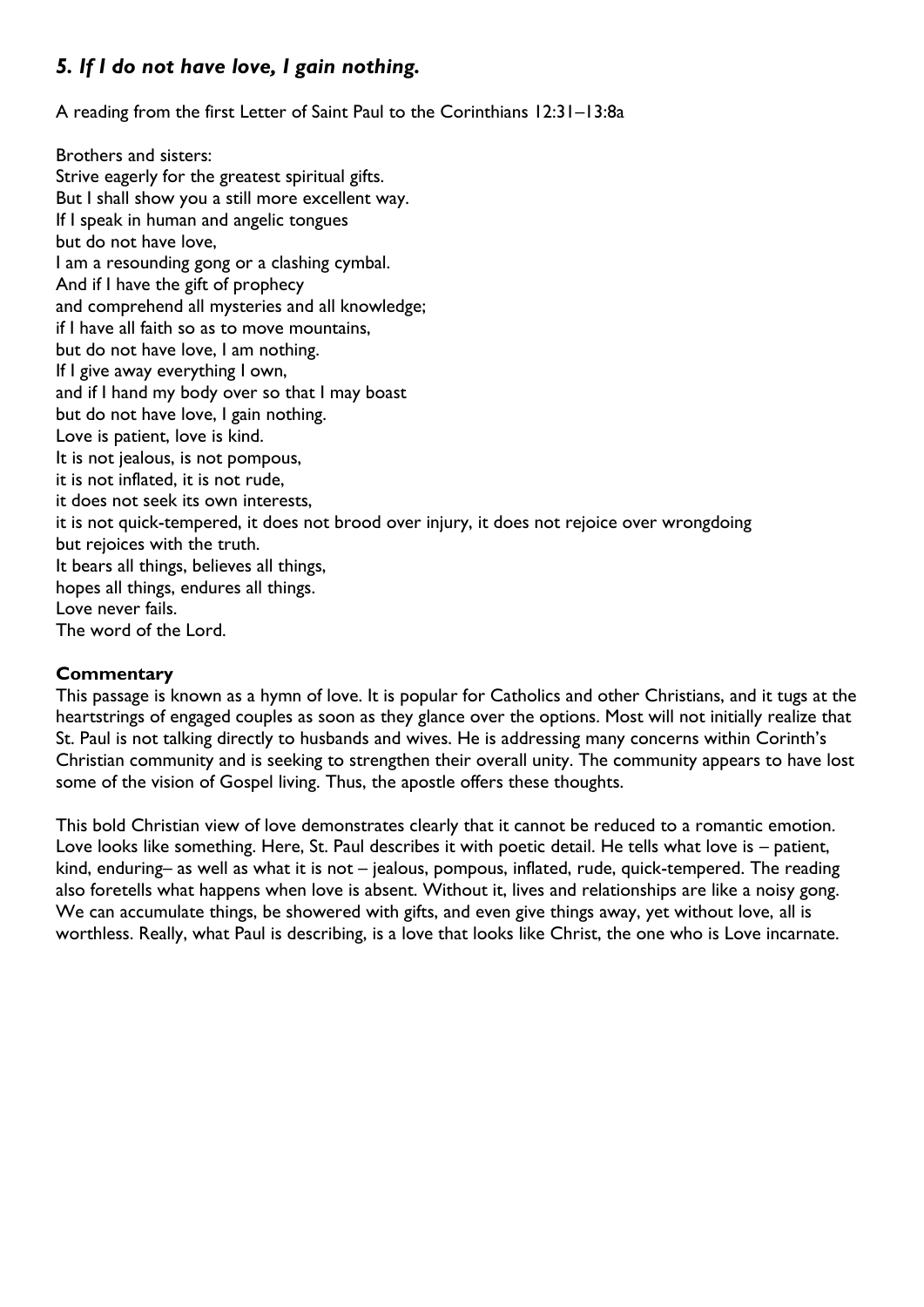# *5. If I do not have love, I gain nothing.*

A reading from the first Letter of Saint Paul to the Corinthians 12:31–13:8a

Brothers and sisters: Strive eagerly for the greatest spiritual gifts. But I shall show you a still more excellent way. If I speak in human and angelic tongues but do not have love, I am a resounding gong or a clashing cymbal. And if I have the gift of prophecy and comprehend all mysteries and all knowledge; if I have all faith so as to move mountains, but do not have love, I am nothing. If I give away everything I own, and if I hand my body over so that I may boast but do not have love, I gain nothing. Love is patient, love is kind. It is not jealous, is not pompous, it is not inflated, it is not rude, it does not seek its own interests, it is not quick-tempered, it does not brood over injury, it does not rejoice over wrongdoing but rejoices with the truth. It bears all things, believes all things, hopes all things, endures all things. Love never fails. The word of the Lord.

#### **Commentary**

This passage is known as a hymn of love. It is popular for Catholics and other Christians, and it tugs at the heartstrings of engaged couples as soon as they glance over the options. Most will not initially realize that St. Paul is not talking directly to husbands and wives. He is addressing many concerns within Corinth's Christian community and is seeking to strengthen their overall unity. The community appears to have lost some of the vision of Gospel living. Thus, the apostle offers these thoughts.

This bold Christian view of love demonstrates clearly that it cannot be reduced to a romantic emotion. Love looks like something. Here, St. Paul describes it with poetic detail. He tells what love is – patient, kind, enduring– as well as what it is not – jealous, pompous, inflated, rude, quick-tempered. The reading also foretells what happens when love is absent. Without it, lives and relationships are like a noisy gong. We can accumulate things, be showered with gifts, and even give things away, yet without love, all is worthless. Really, what Paul is describing, is a love that looks like Christ, the one who is Love incarnate.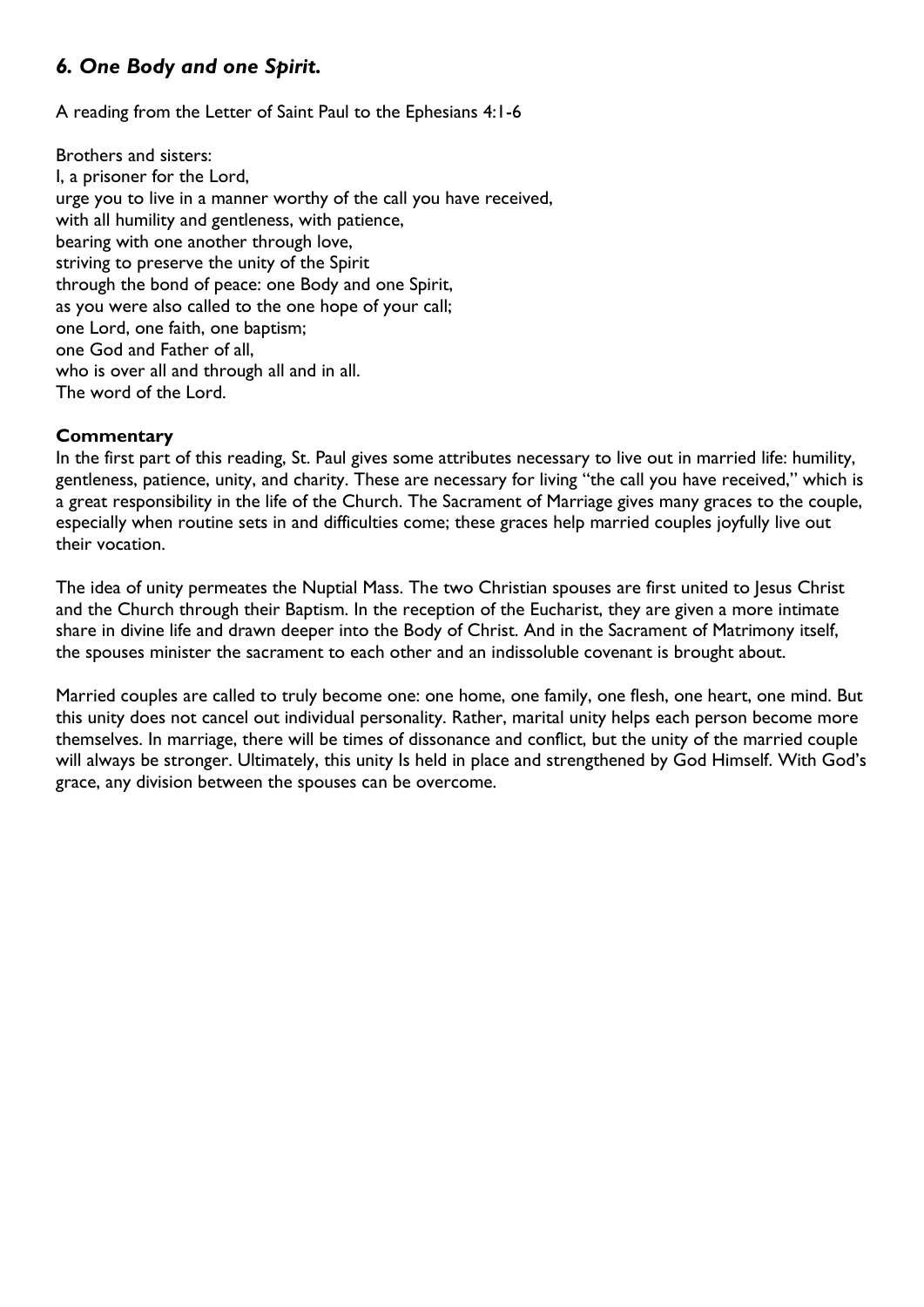# *6. One Body and one Spirit.*

A reading from the Letter of Saint Paul to the Ephesians 4:1-6

Brothers and sisters: I, a prisoner for the Lord, urge you to live in a manner worthy of the call you have received, with all humility and gentleness, with patience, bearing with one another through love, striving to preserve the unity of the Spirit through the bond of peace: one Body and one Spirit, as you were also called to the one hope of your call; one Lord, one faith, one baptism; one God and Father of all, who is over all and through all and in all. The word of the Lord.

#### **Commentary**

In the first part of this reading, St. Paul gives some attributes necessary to live out in married life: humility, gentleness, patience, unity, and charity. These are necessary for living "the call you have received," which is a great responsibility in the life of the Church. The Sacrament of Marriage gives many graces to the couple, especially when routine sets in and difficulties come; these graces help married couples joyfully live out their vocation.

The idea of unity permeates the Nuptial Mass. The two Christian spouses are first united to Jesus Christ and the Church through their Baptism. In the reception of the Eucharist, they are given a more intimate share in divine life and drawn deeper into the Body of Christ. And in the Sacrament of Matrimony itself, the spouses minister the sacrament to each other and an indissoluble covenant is brought about.

Married couples are called to truly become one: one home, one family, one flesh, one heart, one mind. But this unity does not cancel out individual personality. Rather, marital unity helps each person become more themselves. In marriage, there will be times of dissonance and conflict, but the unity of the married couple will always be stronger. Ultimately, this unity Is held in place and strengthened by God Himself. With God's grace, any division between the spouses can be overcome.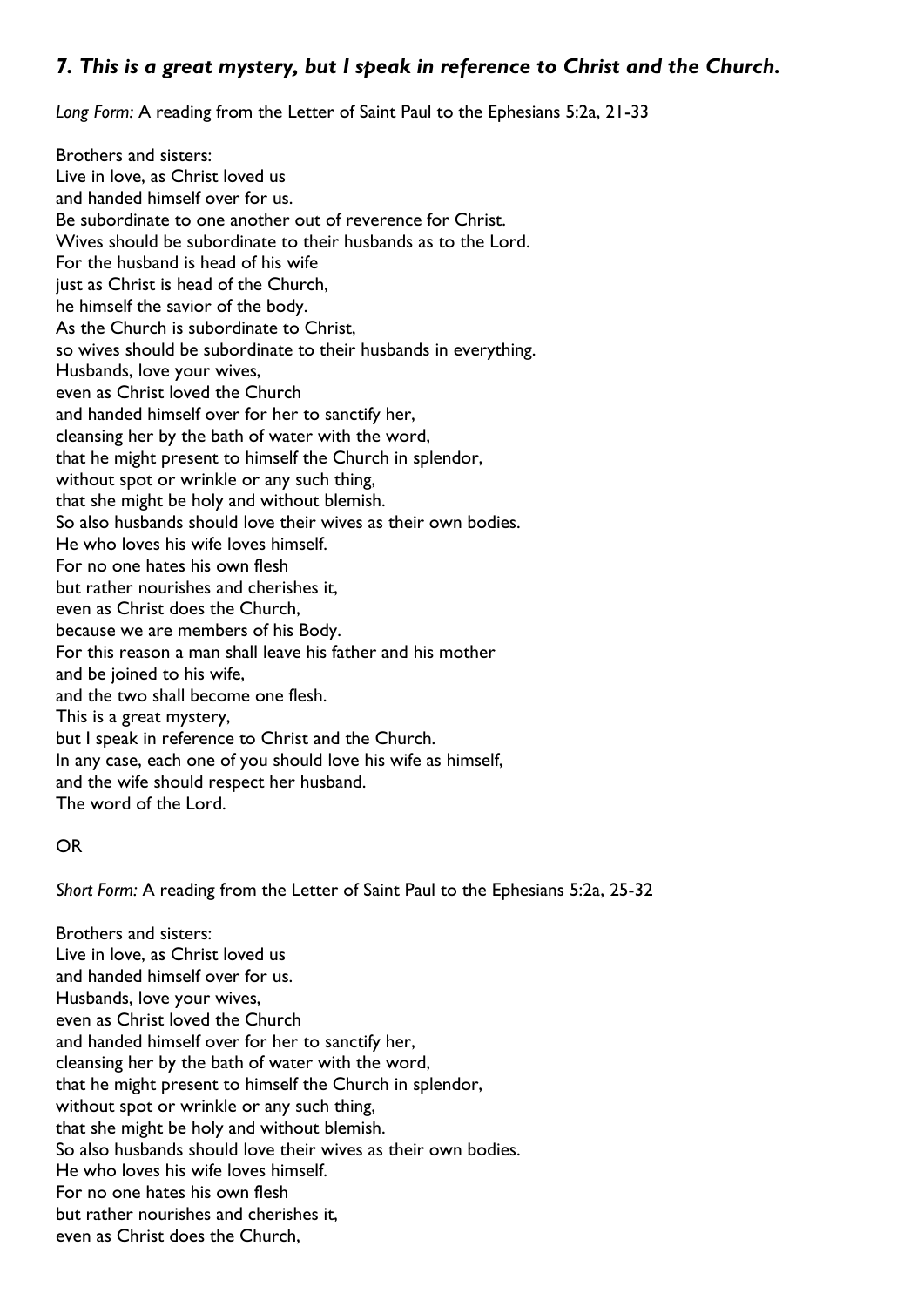# *7. This is a great mystery, but I speak in reference to Christ and the Church.*

*Long Form:* A reading from the Letter of Saint Paul to the Ephesians 5:2a, 21-33

Brothers and sisters: Live in love, as Christ loved us and handed himself over for us. Be subordinate to one another out of reverence for Christ. Wives should be subordinate to their husbands as to the Lord. For the husband is head of his wife just as Christ is head of the Church, he himself the savior of the body. As the Church is subordinate to Christ, so wives should be subordinate to their husbands in everything. Husbands, love your wives, even as Christ loved the Church and handed himself over for her to sanctify her, cleansing her by the bath of water with the word, that he might present to himself the Church in splendor, without spot or wrinkle or any such thing, that she might be holy and without blemish. So also husbands should love their wives as their own bodies. He who loves his wife loves himself. For no one hates his own flesh but rather nourishes and cherishes it, even as Christ does the Church, because we are members of his Body. For this reason a man shall leave his father and his mother and be joined to his wife, and the two shall become one flesh. This is a great mystery, but I speak in reference to Christ and the Church. In any case, each one of you should love his wife as himself, and the wife should respect her husband. The word of the Lord.

#### OR

*Short Form:* A reading from the Letter of Saint Paul to the Ephesians 5:2a, 25-32

Brothers and sisters: Live in love, as Christ loved us and handed himself over for us. Husbands, love your wives, even as Christ loved the Church and handed himself over for her to sanctify her, cleansing her by the bath of water with the word, that he might present to himself the Church in splendor, without spot or wrinkle or any such thing, that she might be holy and without blemish. So also husbands should love their wives as their own bodies. He who loves his wife loves himself. For no one hates his own flesh but rather nourishes and cherishes it, even as Christ does the Church,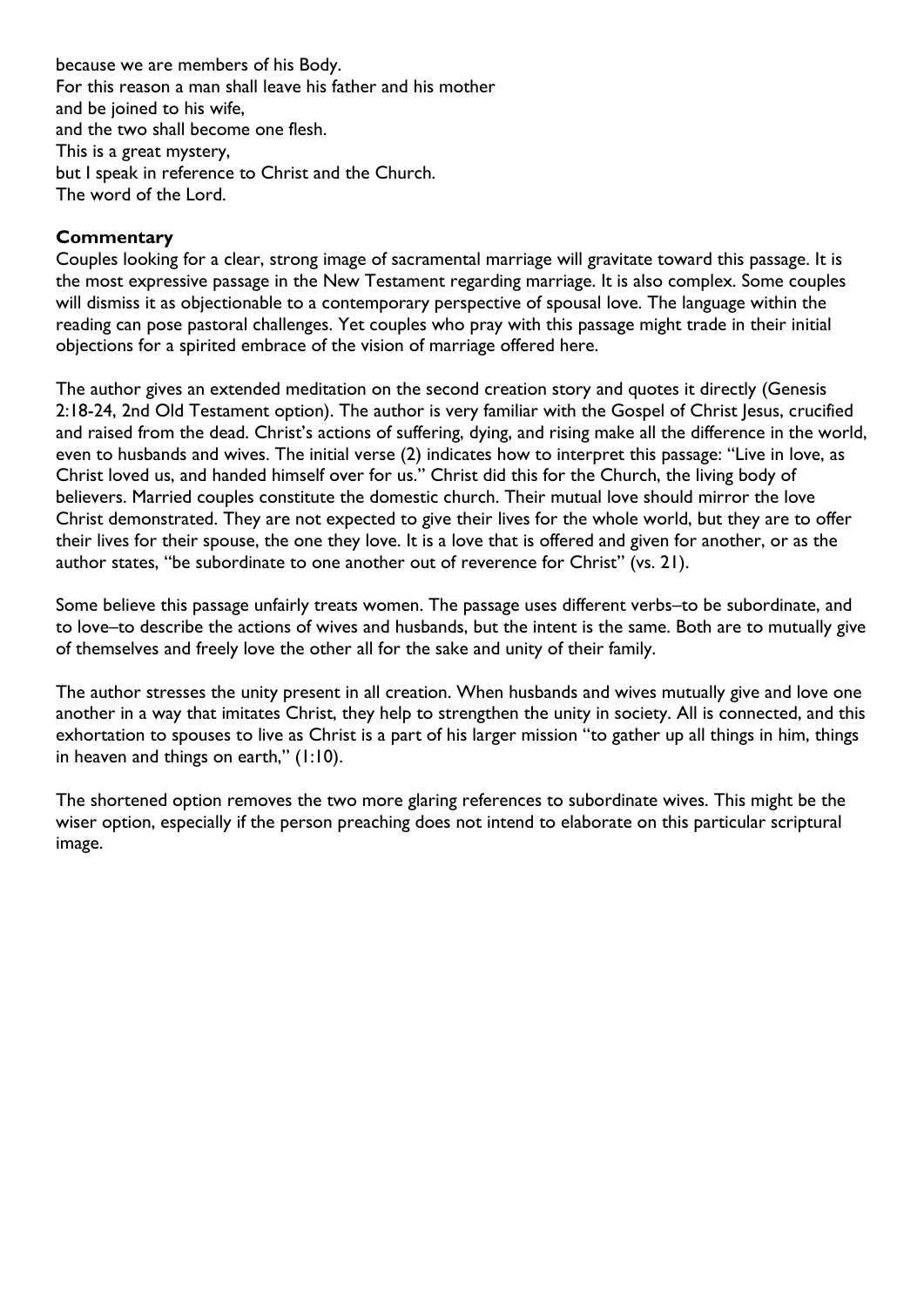because we are members of his Body. For this reason a man shall leave his father and his mother and be joined to his wife, and the two shall become one flesh. This is a great mystery, but I speak in reference to Christ and the Church. The word of the Lord.

#### **Commentary**

Couples looking for a clear, strong image of sacramental marriage will gravitate toward this passage. It is the most expressive passage in the New Testament regarding marriage. It is also complex. Some couples will dismiss it as objectionable to a contemporary perspective of spousal love. The language within the reading can pose pastoral challenges. Yet couples who pray with this passage might trade in their initial objections for a spirited embrace of the vision of marriage offered here.

The author gives an extended meditation on the second creation story and quotes it directly (Genesis 2:18-24, 2nd Old Testament option). The author is very familiar with the Gospel of Christ Jesus, crucified and raised from the dead. Christ's actions of suffering, dying, and rising make all the difference in the world, even to husbands and wives. The initial verse (2) indicates how to interpret this passage: "Live in love, as Christ loved us, and handed himself over for us." Christ did this for the Church, the living body of believers. Married couples constitute the domestic church. Their mutual love should mirror the love Christ demonstrated. They are not expected to give their lives for the whole world, but they are to offer their lives for their spouse, the one they love. It is a love that is offered and given for another, or as the author states, "be subordinate to one another out of reverence for Christ" (vs. 21).

Some believe this passage unfairly treats women. The passage uses different verbs–to be subordinate, and to love–to describe the actions of wives and husbands, but the intent is the same. Both are to mutually give of themselves and freely love the other all for the sake and unity of their family.

The author stresses the unity present in all creation. When husbands and wives mutually give and love one another in a way that imitates Christ, they help to strengthen the unity in society. All is connected, and this exhortation to spouses to live as Christ is a part of his larger mission "to gather up all things in him, things in heaven and things on earth," (1:10).

The shortened option removes the two more glaring references to subordinate wives. This might be the wiser option, especially if the person preaching does not intend to elaborate on this particular scriptural image.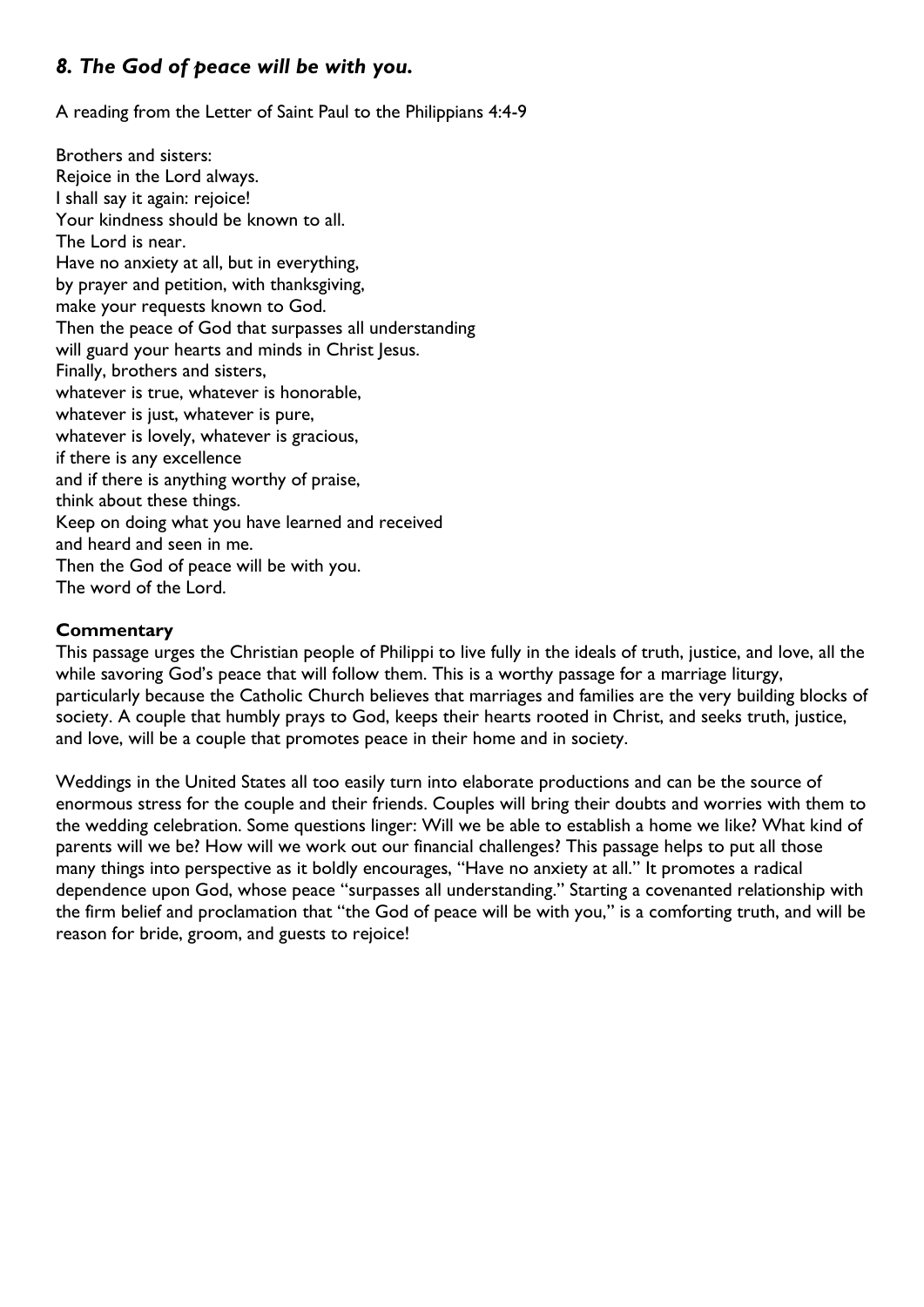# *8. The God of peace will be with you.*

A reading from the Letter of Saint Paul to the Philippians 4:4-9

Brothers and sisters: Rejoice in the Lord always. I shall say it again: rejoice! Your kindness should be known to all. The Lord is near. Have no anxiety at all, but in everything, by prayer and petition, with thanksgiving, make your requests known to God. Then the peace of God that surpasses all understanding will guard your hearts and minds in Christ Jesus. Finally, brothers and sisters, whatever is true, whatever is honorable, whatever is just, whatever is pure, whatever is lovely, whatever is gracious, if there is any excellence and if there is anything worthy of praise, think about these things. Keep on doing what you have learned and received and heard and seen in me. Then the God of peace will be with you. The word of the Lord.

#### **Commentary**

This passage urges the Christian people of Philippi to live fully in the ideals of truth, justice, and love, all the while savoring God's peace that will follow them. This is a worthy passage for a marriage liturgy, particularly because the Catholic Church believes that marriages and families are the very building blocks of society. A couple that humbly prays to God, keeps their hearts rooted in Christ, and seeks truth, justice, and love, will be a couple that promotes peace in their home and in society.

Weddings in the United States all too easily turn into elaborate productions and can be the source of enormous stress for the couple and their friends. Couples will bring their doubts and worries with them to the wedding celebration. Some questions linger: Will we be able to establish a home we like? What kind of parents will we be? How will we work out our financial challenges? This passage helps to put all those many things into perspective as it boldly encourages, "Have no anxiety at all." It promotes a radical dependence upon God, whose peace "surpasses all understanding." Starting a covenanted relationship with the firm belief and proclamation that "the God of peace will be with you," is a comforting truth, and will be reason for bride, groom, and guests to rejoice!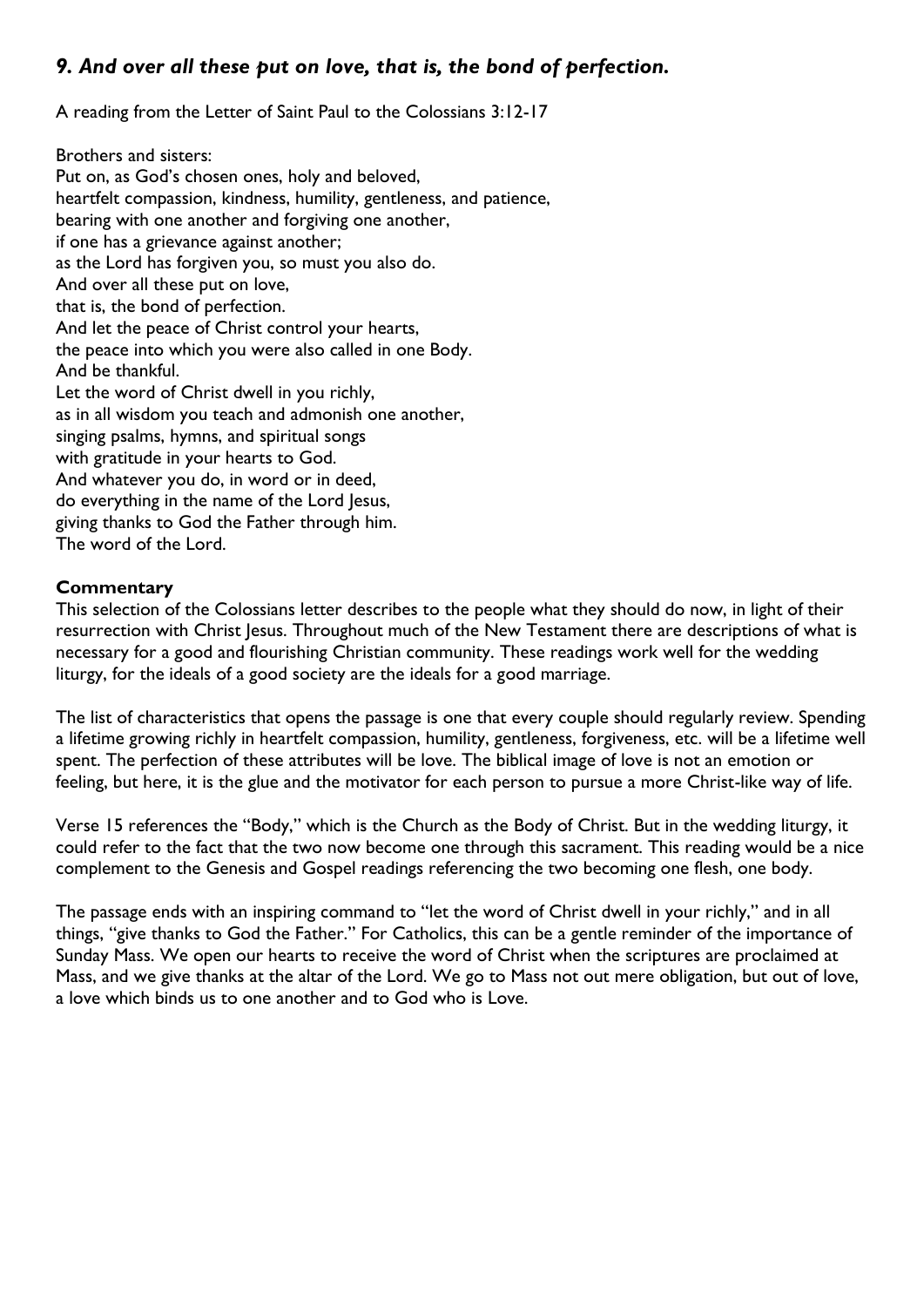# *9. And over all these put on love, that is, the bond of perfection.*

A reading from the Letter of Saint Paul to the Colossians 3:12-17

Brothers and sisters: Put on, as God's chosen ones, holy and beloved, heartfelt compassion, kindness, humility, gentleness, and patience, bearing with one another and forgiving one another, if one has a grievance against another; as the Lord has forgiven you, so must you also do. And over all these put on love, that is, the bond of perfection. And let the peace of Christ control your hearts, the peace into which you were also called in one Body. And be thankful. Let the word of Christ dwell in you richly, as in all wisdom you teach and admonish one another, singing psalms, hymns, and spiritual songs with gratitude in your hearts to God. And whatever you do, in word or in deed, do everything in the name of the Lord Jesus, giving thanks to God the Father through him. The word of the Lord.

#### **Commentary**

This selection of the Colossians letter describes to the people what they should do now, in light of their resurrection with Christ Jesus. Throughout much of the New Testament there are descriptions of what is necessary for a good and flourishing Christian community. These readings work well for the wedding liturgy, for the ideals of a good society are the ideals for a good marriage.

The list of characteristics that opens the passage is one that every couple should regularly review. Spending a lifetime growing richly in heartfelt compassion, humility, gentleness, forgiveness, etc. will be a lifetime well spent. The perfection of these attributes will be love. The biblical image of love is not an emotion or feeling, but here, it is the glue and the motivator for each person to pursue a more Christ-like way of life.

Verse 15 references the "Body," which is the Church as the Body of Christ. But in the wedding liturgy, it could refer to the fact that the two now become one through this sacrament. This reading would be a nice complement to the Genesis and Gospel readings referencing the two becoming one flesh, one body.

The passage ends with an inspiring command to "let the word of Christ dwell in your richly," and in all things, "give thanks to God the Father." For Catholics, this can be a gentle reminder of the importance of Sunday Mass. We open our hearts to receive the word of Christ when the scriptures are proclaimed at Mass, and we give thanks at the altar of the Lord. We go to Mass not out mere obligation, but out of love, a love which binds us to one another and to God who is Love.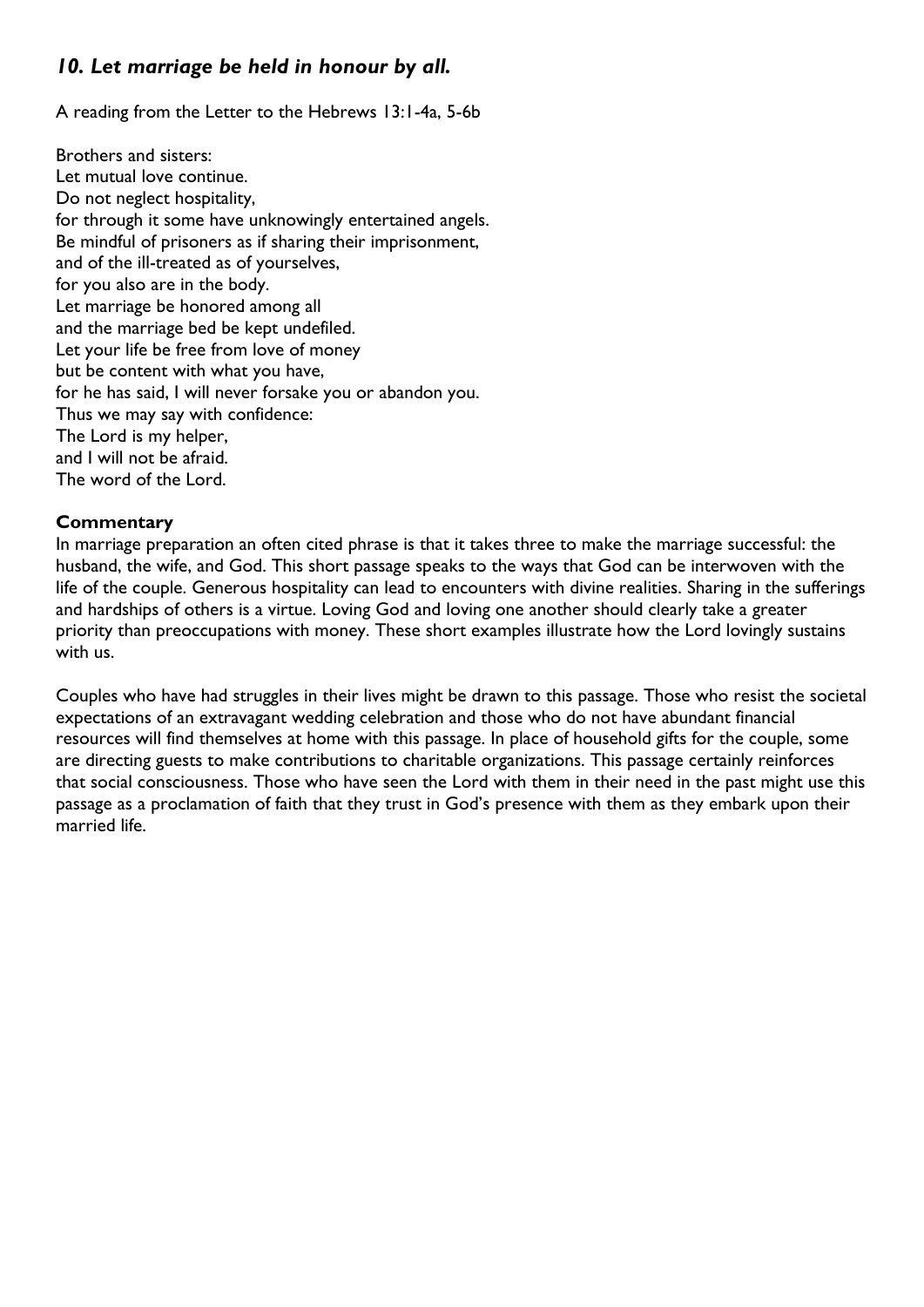# *10. Let marriage be held in honour by all.*

A reading from the Letter to the Hebrews 13:1-4a, 5-6b

Brothers and sisters: Let mutual love continue. Do not neglect hospitality, for through it some have unknowingly entertained angels. Be mindful of prisoners as if sharing their imprisonment, and of the ill-treated as of yourselves, for you also are in the body. Let marriage be honored among all and the marriage bed be kept undefiled. Let your life be free from love of money but be content with what you have, for he has said, I will never forsake you or abandon you. Thus we may say with confidence: The Lord is my helper, and I will not be afraid. The word of the Lord.

#### **Commentary**

In marriage preparation an often cited phrase is that it takes three to make the marriage successful: the husband, the wife, and God. This short passage speaks to the ways that God can be interwoven with the life of the couple. Generous hospitality can lead to encounters with divine realities. Sharing in the sufferings and hardships of others is a virtue. Loving God and loving one another should clearly take a greater priority than preoccupations with money. These short examples illustrate how the Lord lovingly sustains with us.

Couples who have had struggles in their lives might be drawn to this passage. Those who resist the societal expectations of an extravagant wedding celebration and those who do not have abundant financial resources will find themselves at home with this passage. In place of household gifts for the couple, some are directing guests to make contributions to charitable organizations. This passage certainly reinforces that social consciousness. Those who have seen the Lord with them in their need in the past might use this passage as a proclamation of faith that they trust in God's presence with them as they embark upon their married life.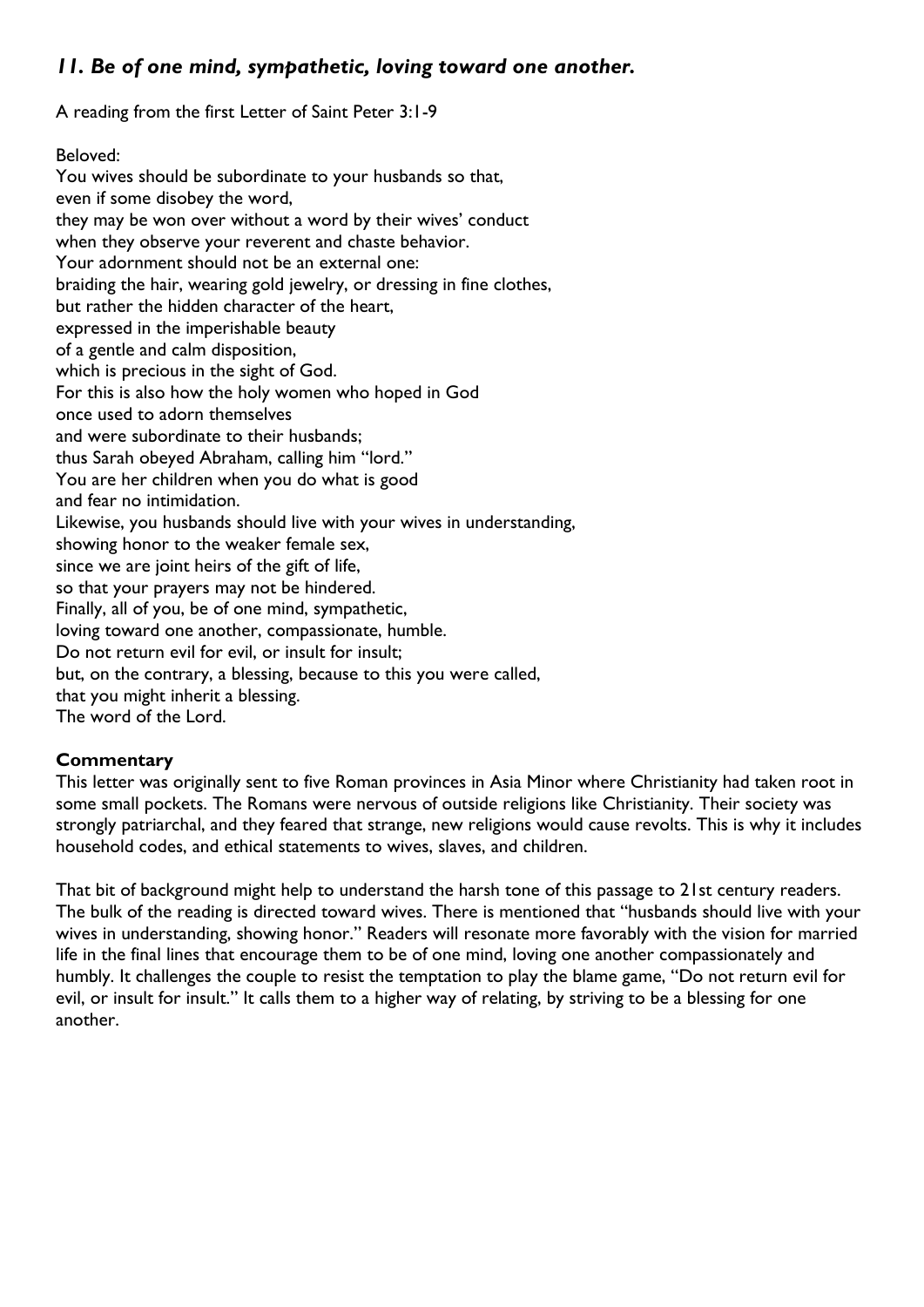# *11. Be of one mind, sympathetic, loving toward one another.*

A reading from the first Letter of Saint Peter 3:1-9

#### Beloved:

You wives should be subordinate to your husbands so that, even if some disobey the word, they may be won over without a word by their wives' conduct when they observe your reverent and chaste behavior. Your adornment should not be an external one: braiding the hair, wearing gold jewelry, or dressing in fine clothes, but rather the hidden character of the heart, expressed in the imperishable beauty of a gentle and calm disposition, which is precious in the sight of God. For this is also how the holy women who hoped in God once used to adorn themselves and were subordinate to their husbands; thus Sarah obeyed Abraham, calling him "lord." You are her children when you do what is good and fear no intimidation. Likewise, you husbands should live with your wives in understanding, showing honor to the weaker female sex, since we are joint heirs of the gift of life, so that your prayers may not be hindered. Finally, all of you, be of one mind, sympathetic, loving toward one another, compassionate, humble. Do not return evil for evil, or insult for insult; but, on the contrary, a blessing, because to this you were called, that you might inherit a blessing. The word of the Lord.

#### **Commentary**

This letter was originally sent to five Roman provinces in Asia Minor where Christianity had taken root in some small pockets. The Romans were nervous of outside religions like Christianity. Their society was strongly patriarchal, and they feared that strange, new religions would cause revolts. This is why it includes household codes, and ethical statements to wives, slaves, and children.

That bit of background might help to understand the harsh tone of this passage to 21st century readers. The bulk of the reading is directed toward wives. There is mentioned that "husbands should live with your wives in understanding, showing honor." Readers will resonate more favorably with the vision for married life in the final lines that encourage them to be of one mind, loving one another compassionately and humbly. It challenges the couple to resist the temptation to play the blame game, "Do not return evil for evil, or insult for insult." It calls them to a higher way of relating, by striving to be a blessing for one another.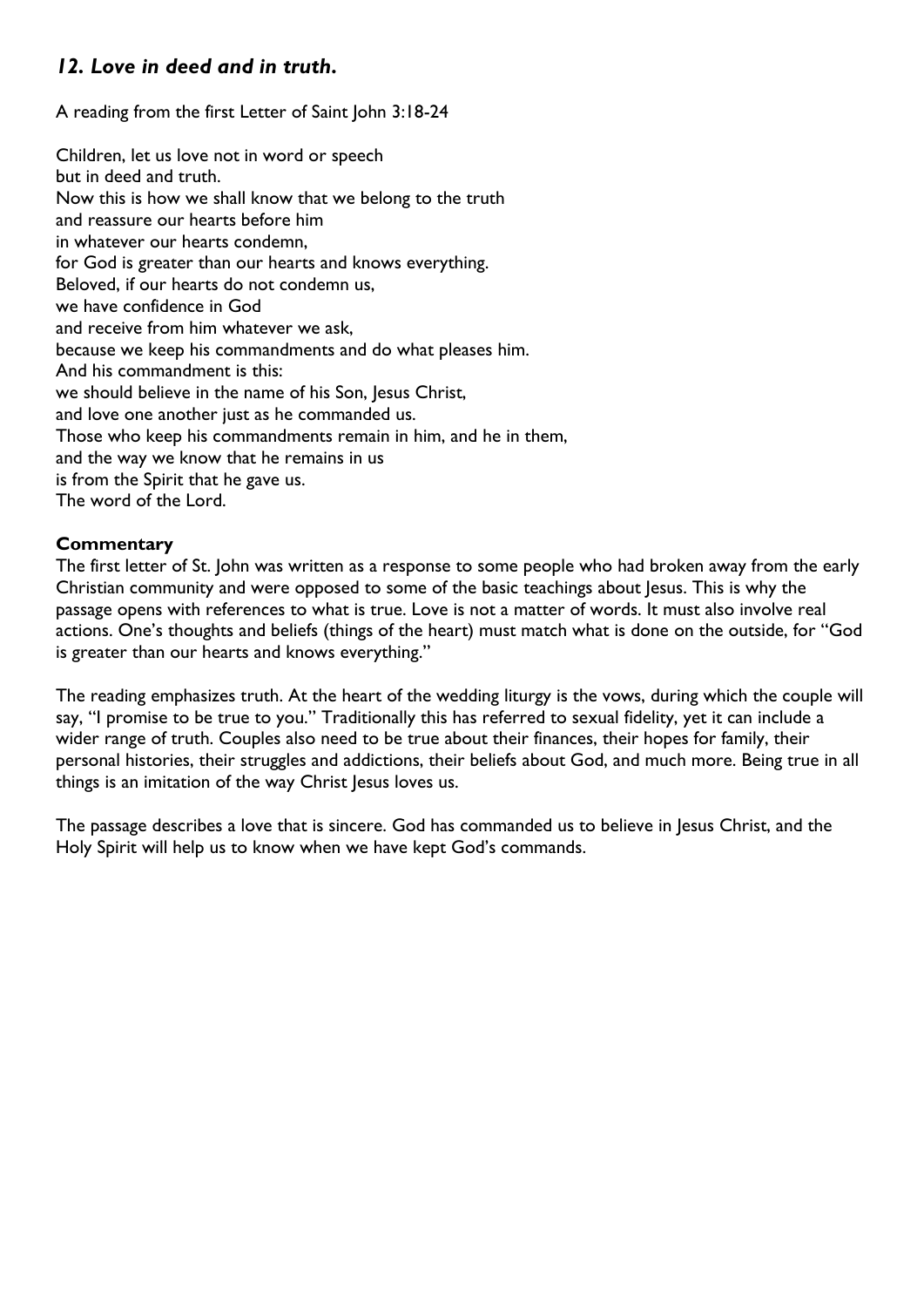# *12. Love in deed and in truth.*

A reading from the first Letter of Saint John 3:18-24

Children, let us love not in word or speech but in deed and truth. Now this is how we shall know that we belong to the truth and reassure our hearts before him in whatever our hearts condemn, for God is greater than our hearts and knows everything. Beloved, if our hearts do not condemn us, we have confidence in God and receive from him whatever we ask, because we keep his commandments and do what pleases him. And his commandment is this: we should believe in the name of his Son, Jesus Christ, and love one another just as he commanded us. Those who keep his commandments remain in him, and he in them, and the way we know that he remains in us is from the Spirit that he gave us. The word of the Lord.

#### **Commentary**

The first letter of St. John was written as a response to some people who had broken away from the early Christian community and were opposed to some of the basic teachings about Jesus. This is why the passage opens with references to what is true. Love is not a matter of words. It must also involve real actions. One's thoughts and beliefs (things of the heart) must match what is done on the outside, for "God is greater than our hearts and knows everything."

The reading emphasizes truth. At the heart of the wedding liturgy is the vows, during which the couple will say, "I promise to be true to you." Traditionally this has referred to sexual fidelity, yet it can include a wider range of truth. Couples also need to be true about their finances, their hopes for family, their personal histories, their struggles and addictions, their beliefs about God, and much more. Being true in all things is an imitation of the way Christ Jesus loves us.

The passage describes a love that is sincere. God has commanded us to believe in Jesus Christ, and the Holy Spirit will help us to know when we have kept God's commands.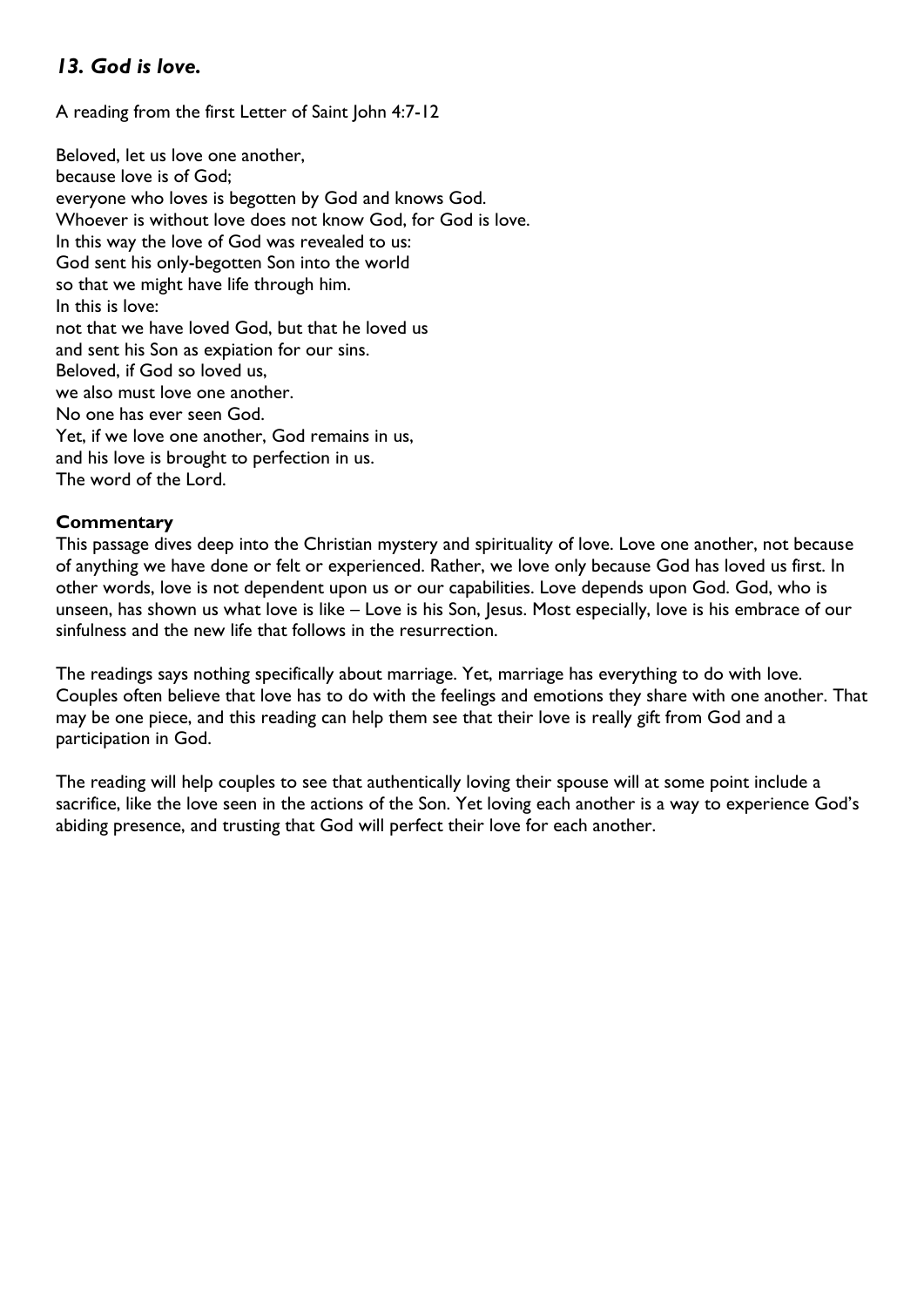# *13. God is love.*

A reading from the first Letter of Saint John 4:7-12

Beloved, let us love one another, because love is of God; everyone who loves is begotten by God and knows God. Whoever is without love does not know God, for God is love. In this way the love of God was revealed to us: God sent his only-begotten Son into the world so that we might have life through him. In this is love: not that we have loved God, but that he loved us and sent his Son as expiation for our sins. Beloved, if God so loved us, we also must love one another. No one has ever seen God. Yet, if we love one another, God remains in us, and his love is brought to perfection in us. The word of the Lord.

#### **Commentary**

This passage dives deep into the Christian mystery and spirituality of love. Love one another, not because of anything we have done or felt or experienced. Rather, we love only because God has loved us first. In other words, love is not dependent upon us or our capabilities. Love depends upon God. God, who is unseen, has shown us what love is like – Love is his Son, Jesus. Most especially, love is his embrace of our sinfulness and the new life that follows in the resurrection.

The readings says nothing specifically about marriage. Yet, marriage has everything to do with love. Couples often believe that love has to do with the feelings and emotions they share with one another. That may be one piece, and this reading can help them see that their love is really gift from God and a participation in God.

The reading will help couples to see that authentically loving their spouse will at some point include a sacrifice, like the love seen in the actions of the Son. Yet loving each another is a way to experience God's abiding presence, and trusting that God will perfect their love for each another.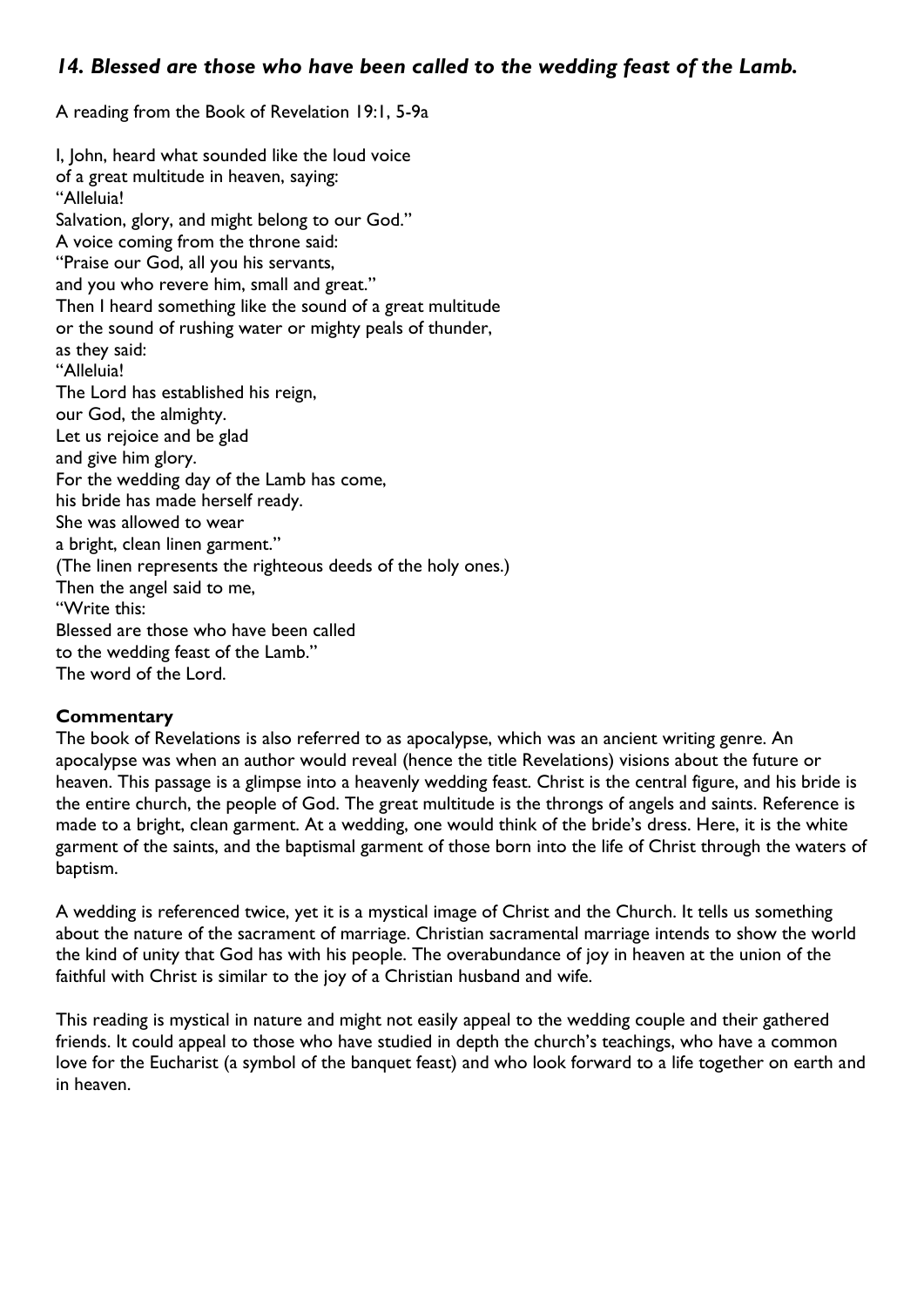# *14. Blessed are those who have been called to the wedding feast of the Lamb.*

A reading from the Book of Revelation 19:1, 5-9a

I, John, heard what sounded like the loud voice of a great multitude in heaven, saying: "Alleluia! Salvation, glory, and might belong to our God." A voice coming from the throne said: "Praise our God, all you his servants, and you who revere him, small and great." Then I heard something like the sound of a great multitude or the sound of rushing water or mighty peals of thunder, as they said: "Alleluia! The Lord has established his reign, our God, the almighty. Let us rejoice and be glad and give him glory. For the wedding day of the Lamb has come, his bride has made herself ready. She was allowed to wear a bright, clean linen garment." (The linen represents the righteous deeds of the holy ones.) Then the angel said to me, "Write this: Blessed are those who have been called to the wedding feast of the Lamb." The word of the Lord.

#### **Commentary**

The book of Revelations is also referred to as apocalypse, which was an ancient writing genre. An apocalypse was when an author would reveal (hence the title Revelations) visions about the future or heaven. This passage is a glimpse into a heavenly wedding feast. Christ is the central figure, and his bride is the entire church, the people of God. The great multitude is the throngs of angels and saints. Reference is made to a bright, clean garment. At a wedding, one would think of the bride's dress. Here, it is the white garment of the saints, and the baptismal garment of those born into the life of Christ through the waters of baptism.

A wedding is referenced twice, yet it is a mystical image of Christ and the Church. It tells us something about the nature of the sacrament of marriage. Christian sacramental marriage intends to show the world the kind of unity that God has with his people. The overabundance of joy in heaven at the union of the faithful with Christ is similar to the joy of a Christian husband and wife.

This reading is mystical in nature and might not easily appeal to the wedding couple and their gathered friends. It could appeal to those who have studied in depth the church's teachings, who have a common love for the Eucharist (a symbol of the banquet feast) and who look forward to a life together on earth and in heaven.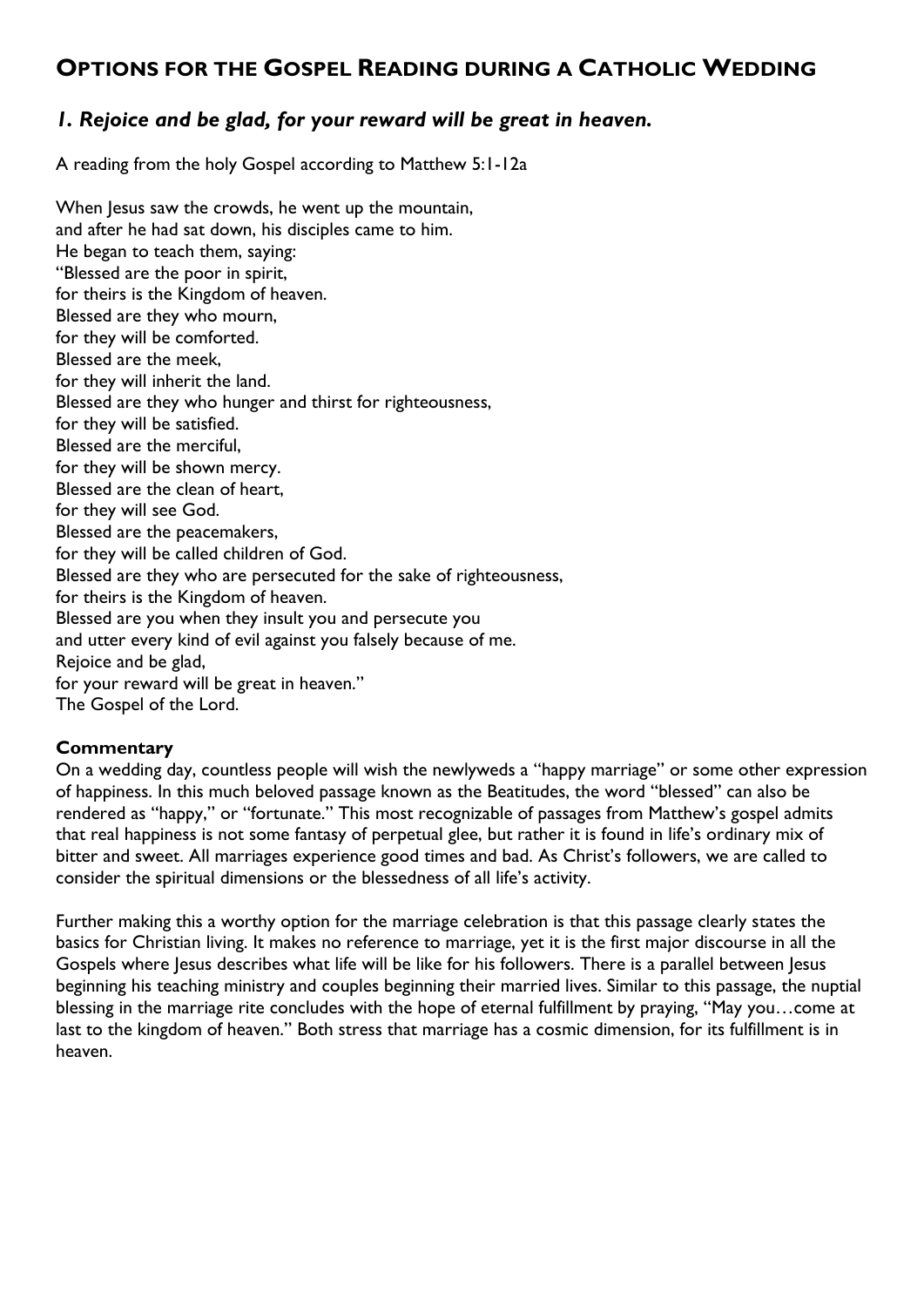# **OPTIONS FOR THE GOSPEL READING DURING A CATHOLIC WEDDING**

# *1. Rejoice and be glad, for your reward will be great in heaven.*

A reading from the holy Gospel according to Matthew 5:1-12a

When Jesus saw the crowds, he went up the mountain, and after he had sat down, his disciples came to him. He began to teach them, saying: "Blessed are the poor in spirit, for theirs is the Kingdom of heaven. Blessed are they who mourn, for they will be comforted. Blessed are the meek, for they will inherit the land. Blessed are they who hunger and thirst for righteousness, for they will be satisfied. Blessed are the merciful, for they will be shown mercy. Blessed are the clean of heart, for they will see God. Blessed are the peacemakers, for they will be called children of God. Blessed are they who are persecuted for the sake of righteousness, for theirs is the Kingdom of heaven. Blessed are you when they insult you and persecute you and utter every kind of evil against you falsely because of me. Rejoice and be glad, for your reward will be great in heaven." The Gospel of the Lord.

#### **Commentary**

On a wedding day, countless people will wish the newlyweds a "happy marriage" or some other expression of happiness. In this much beloved passage known as the Beatitudes, the word "blessed" can also be rendered as "happy," or "fortunate." This most recognizable of passages from Matthew's gospel admits that real happiness is not some fantasy of perpetual glee, but rather it is found in life's ordinary mix of bitter and sweet. All marriages experience good times and bad. As Christ's followers, we are called to consider the spiritual dimensions or the blessedness of all life's activity.

Further making this a worthy option for the marriage celebration is that this passage clearly states the basics for Christian living. It makes no reference to marriage, yet it is the first major discourse in all the Gospels where Jesus describes what life will be like for his followers. There is a parallel between Jesus beginning his teaching ministry and couples beginning their married lives. Similar to this passage, the nuptial blessing in the marriage rite concludes with the hope of eternal fulfillment by praying, "May you…come at last to the kingdom of heaven." Both stress that marriage has a cosmic dimension, for its fulfillment is in heaven.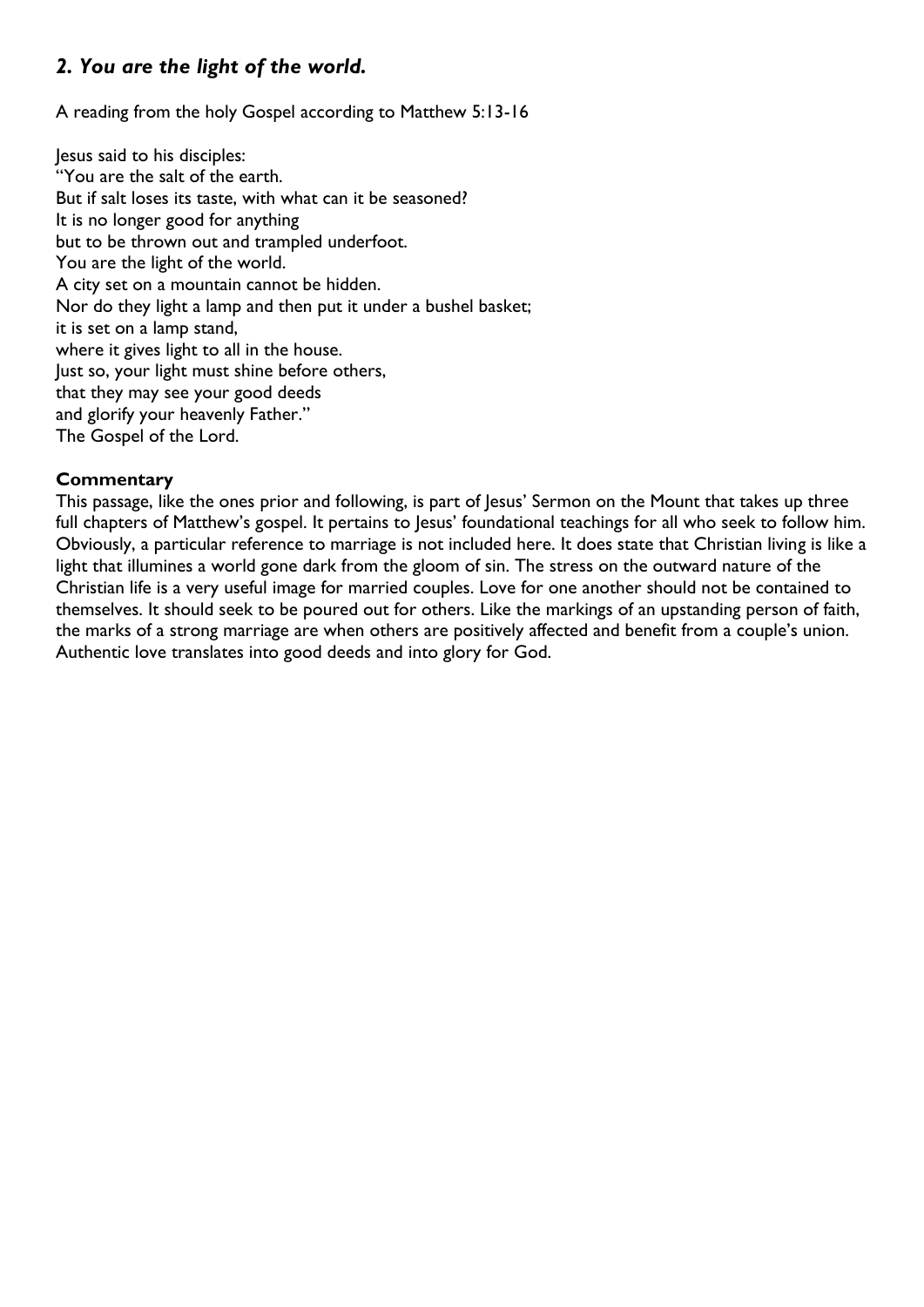# *2. You are the light of the world.*

A reading from the holy Gospel according to Matthew 5:13-16

Jesus said to his disciples: "You are the salt of the earth. But if salt loses its taste, with what can it be seasoned? It is no longer good for anything but to be thrown out and trampled underfoot. You are the light of the world. A city set on a mountain cannot be hidden. Nor do they light a lamp and then put it under a bushel basket; it is set on a lamp stand, where it gives light to all in the house. Just so, your light must shine before others, that they may see your good deeds and glorify your heavenly Father." The Gospel of the Lord.

#### **Commentary**

This passage, like the ones prior and following, is part of Jesus' Sermon on the Mount that takes up three full chapters of Matthew's gospel. It pertains to Jesus' foundational teachings for all who seek to follow him. Obviously, a particular reference to marriage is not included here. It does state that Christian living is like a light that illumines a world gone dark from the gloom of sin. The stress on the outward nature of the Christian life is a very useful image for married couples. Love for one another should not be contained to themselves. It should seek to be poured out for others. Like the markings of an upstanding person of faith, the marks of a strong marriage are when others are positively affected and benefit from a couple's union. Authentic love translates into good deeds and into glory for God.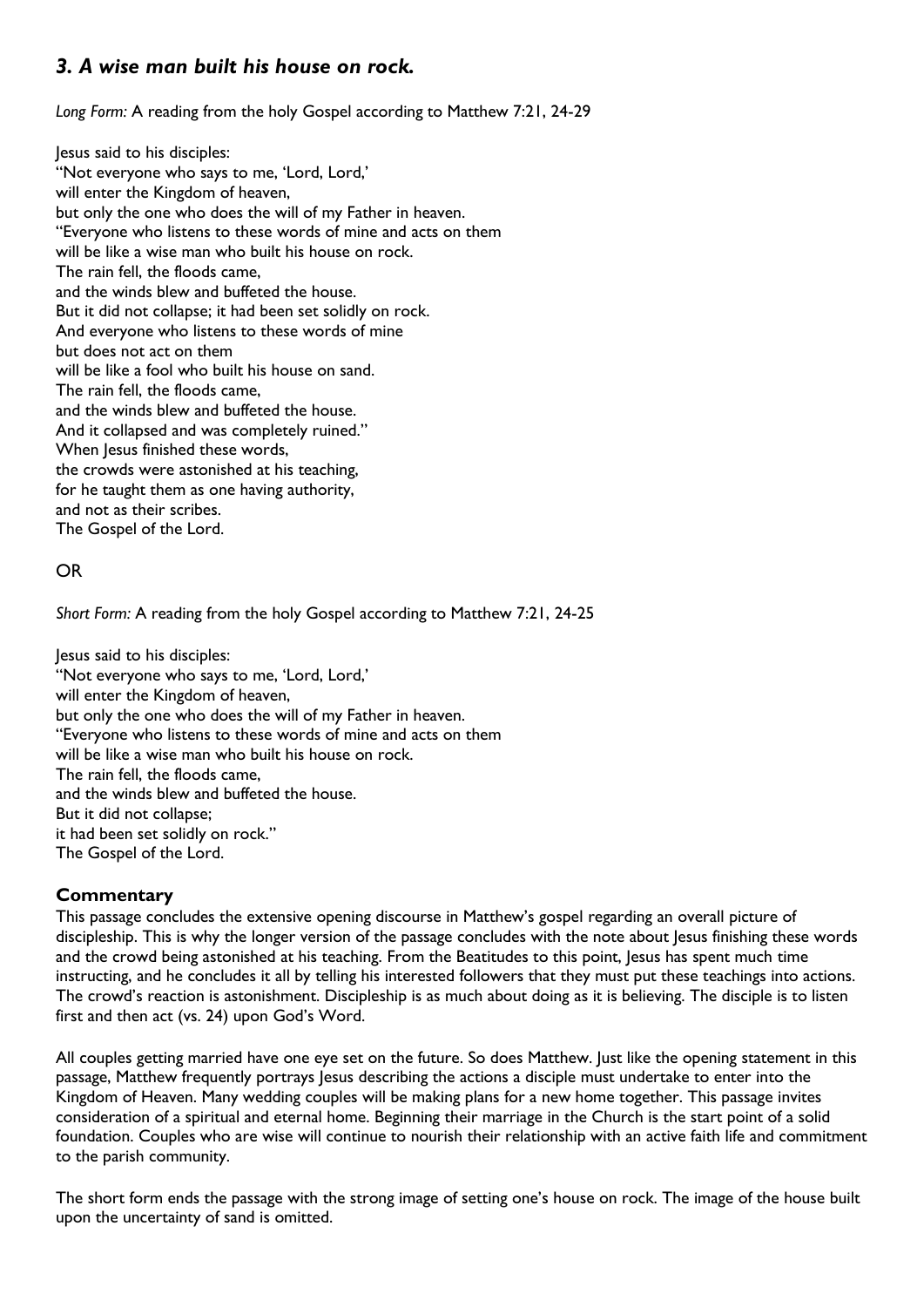# *3. A wise man built his house on rock.*

*Long Form:* A reading from the holy Gospel according to Matthew 7:21, 24-29

Jesus said to his disciples: "Not everyone who says to me, 'Lord, Lord,' will enter the Kingdom of heaven, but only the one who does the will of my Father in heaven. "Everyone who listens to these words of mine and acts on them will be like a wise man who built his house on rock. The rain fell, the floods came, and the winds blew and buffeted the house. But it did not collapse; it had been set solidly on rock. And everyone who listens to these words of mine but does not act on them will be like a fool who built his house on sand. The rain fell, the floods came, and the winds blew and buffeted the house. And it collapsed and was completely ruined." When Jesus finished these words, the crowds were astonished at his teaching, for he taught them as one having authority, and not as their scribes. The Gospel of the Lord.

#### OR

*Short Form:* A reading from the holy Gospel according to Matthew 7:21, 24-25

Jesus said to his disciples: "Not everyone who says to me, 'Lord, Lord,' will enter the Kingdom of heaven, but only the one who does the will of my Father in heaven. "Everyone who listens to these words of mine and acts on them will be like a wise man who built his house on rock. The rain fell, the floods came, and the winds blew and buffeted the house. But it did not collapse; it had been set solidly on rock." The Gospel of the Lord.

#### **Commentary**

This passage concludes the extensive opening discourse in Matthew's gospel regarding an overall picture of discipleship. This is why the longer version of the passage concludes with the note about Jesus finishing these words and the crowd being astonished at his teaching. From the Beatitudes to this point, Jesus has spent much time instructing, and he concludes it all by telling his interested followers that they must put these teachings into actions. The crowd's reaction is astonishment. Discipleship is as much about doing as it is believing. The disciple is to listen first and then act (vs. 24) upon God's Word.

All couples getting married have one eye set on the future. So does Matthew. Just like the opening statement in this passage, Matthew frequently portrays Jesus describing the actions a disciple must undertake to enter into the Kingdom of Heaven. Many wedding couples will be making plans for a new home together. This passage invites consideration of a spiritual and eternal home. Beginning their marriage in the Church is the start point of a solid foundation. Couples who are wise will continue to nourish their relationship with an active faith life and commitment to the parish community.

The short form ends the passage with the strong image of setting one's house on rock. The image of the house built upon the uncertainty of sand is omitted.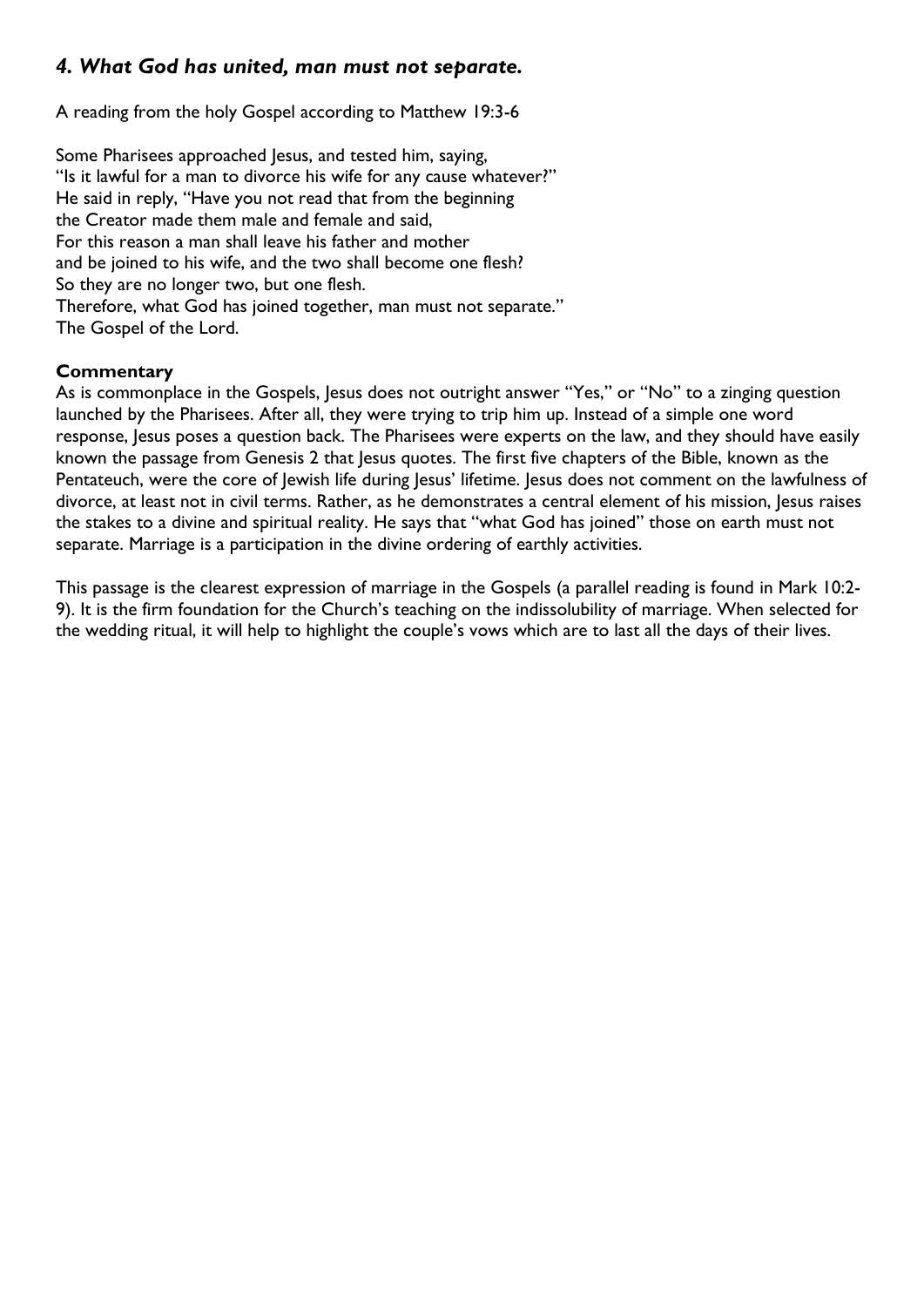# *4. What God has united, man must not separate.*

A reading from the holy Gospel according to Matthew 19:3-6

Some Pharisees approached Jesus, and tested him, saying, "Is it lawful for a man to divorce his wife for any cause whatever?" He said in reply, "Have you not read that from the beginning the Creator made them male and female and said, For this reason a man shall leave his father and mother and be joined to his wife, and the two shall become one flesh? So they are no longer two, but one flesh. Therefore, what God has joined together, man must not separate." The Gospel of the Lord.

#### **Commentary**

As is commonplace in the Gospels, Jesus does not outright answer "Yes," or "No" to a zinging question launched by the Pharisees. After all, they were trying to trip him up. Instead of a simple one word response, Jesus poses a question back. The Pharisees were experts on the law, and they should have easily known the passage from Genesis 2 that Jesus quotes. The first five chapters of the Bible, known as the Pentateuch, were the core of Jewish life during Jesus' lifetime. Jesus does not comment on the lawfulness of divorce, at least not in civil terms. Rather, as he demonstrates a central element of his mission, Jesus raises the stakes to a divine and spiritual reality. He says that "what God has joined" those on earth must not separate. Marriage is a participation in the divine ordering of earthly activities.

This passage is the clearest expression of marriage in the Gospels (a parallel reading is found in Mark 10:2- 9). It is the firm foundation for the Church's teaching on the indissolubility of marriage. When selected for the wedding ritual, it will help to highlight the couple's vows which are to last all the days of their lives.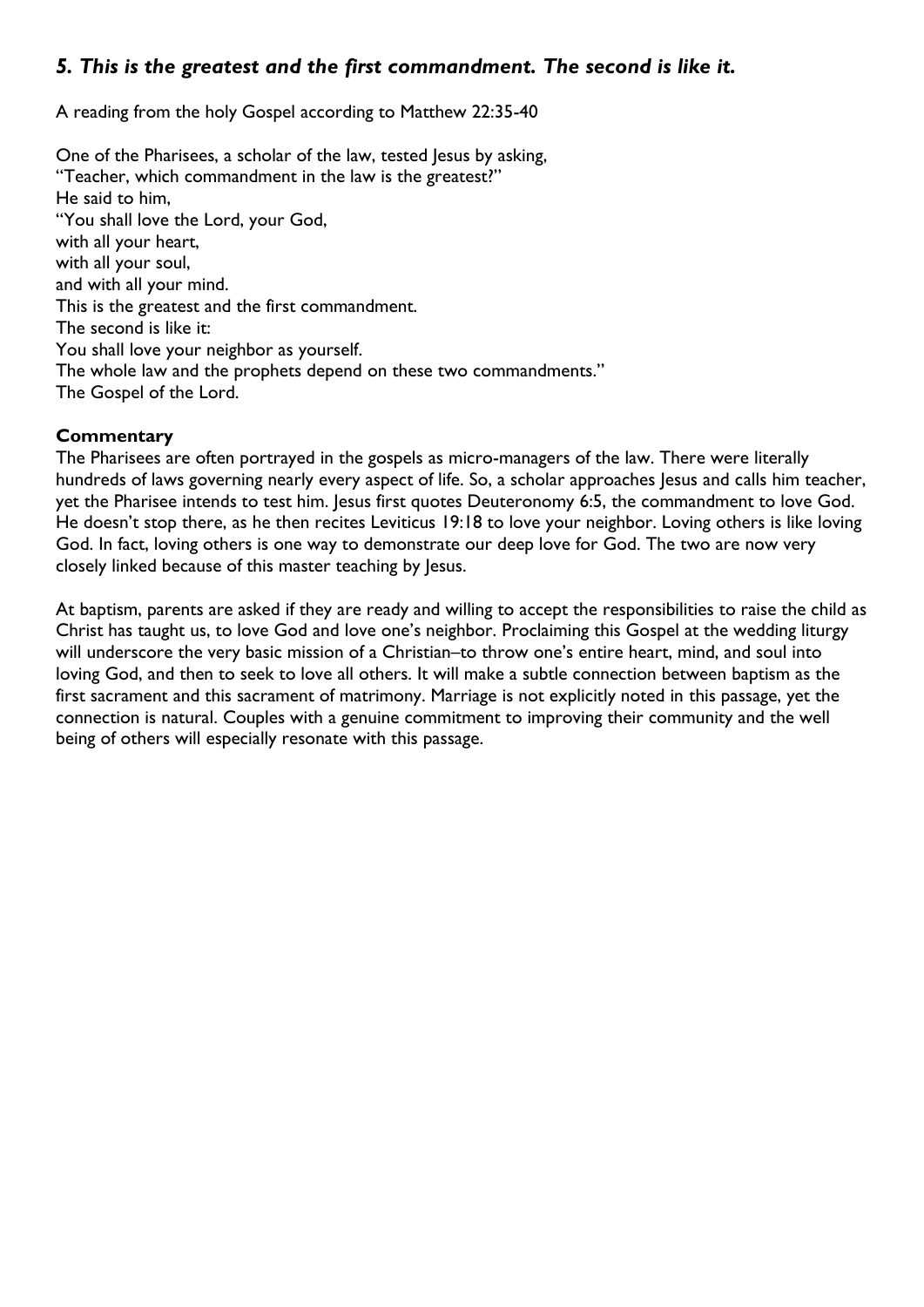# *5. This is the greatest and the first commandment. The second is like it.*

A reading from the holy Gospel according to Matthew 22:35-40

One of the Pharisees, a scholar of the law, tested Jesus by asking, "Teacher, which commandment in the law is the greatest?" He said to him, "You shall love the Lord, your God, with all your heart, with all your soul, and with all your mind. This is the greatest and the first commandment. The second is like it: You shall love your neighbor as yourself. The whole law and the prophets depend on these two commandments." The Gospel of the Lord.

#### **Commentary**

The Pharisees are often portrayed in the gospels as micro-managers of the law. There were literally hundreds of laws governing nearly every aspect of life. So, a scholar approaches Jesus and calls him teacher, yet the Pharisee intends to test him. Jesus first quotes Deuteronomy 6:5, the commandment to love God. He doesn't stop there, as he then recites Leviticus 19:18 to love your neighbor. Loving others is like loving God. In fact, loving others is one way to demonstrate our deep love for God. The two are now very closely linked because of this master teaching by Jesus.

At baptism, parents are asked if they are ready and willing to accept the responsibilities to raise the child as Christ has taught us, to love God and love one's neighbor. Proclaiming this Gospel at the wedding liturgy will underscore the very basic mission of a Christian–to throw one's entire heart, mind, and soul into loving God, and then to seek to love all others. It will make a subtle connection between baptism as the first sacrament and this sacrament of matrimony. Marriage is not explicitly noted in this passage, yet the connection is natural. Couples with a genuine commitment to improving their community and the well being of others will especially resonate with this passage.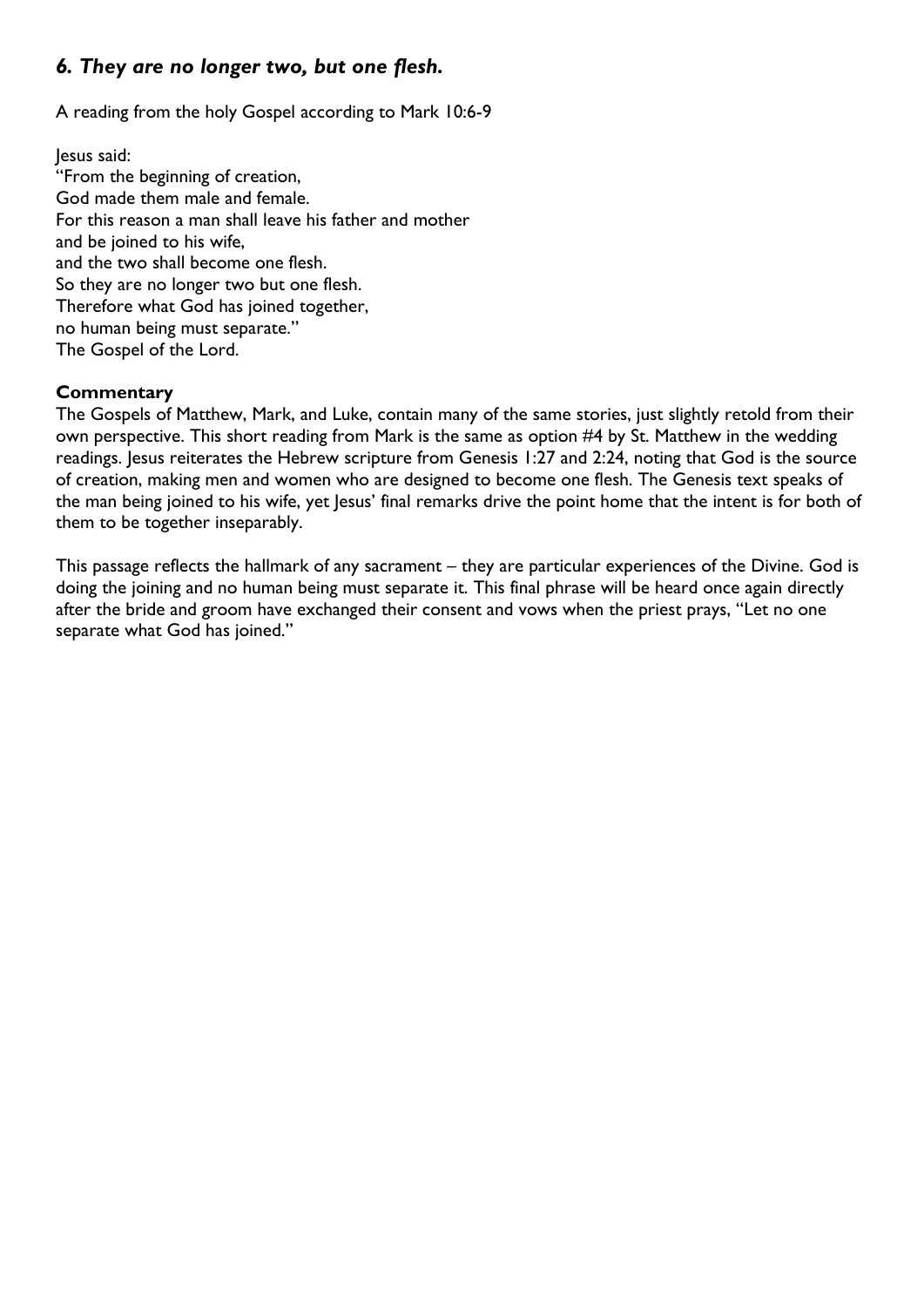# *6. They are no longer two, but one flesh.*

A reading from the holy Gospel according to Mark 10:6-9

Jesus said: "From the beginning of creation, God made them male and female. For this reason a man shall leave his father and mother and be joined to his wife, and the two shall become one flesh. So they are no longer two but one flesh. Therefore what God has joined together, no human being must separate." The Gospel of the Lord.

#### **Commentary**

The Gospels of Matthew, Mark, and Luke, contain many of the same stories, just slightly retold from their own perspective. This short reading from Mark is the same as option #4 by St. Matthew in the wedding readings. Jesus reiterates the Hebrew scripture from Genesis 1:27 and 2:24, noting that God is the source of creation, making men and women who are designed to become one flesh. The Genesis text speaks of the man being joined to his wife, yet Jesus' final remarks drive the point home that the intent is for both of them to be together inseparably.

This passage reflects the hallmark of any sacrament – they are particular experiences of the Divine. God is doing the joining and no human being must separate it. This final phrase will be heard once again directly after the bride and groom have exchanged their consent and vows when the priest prays, "Let no one separate what God has joined."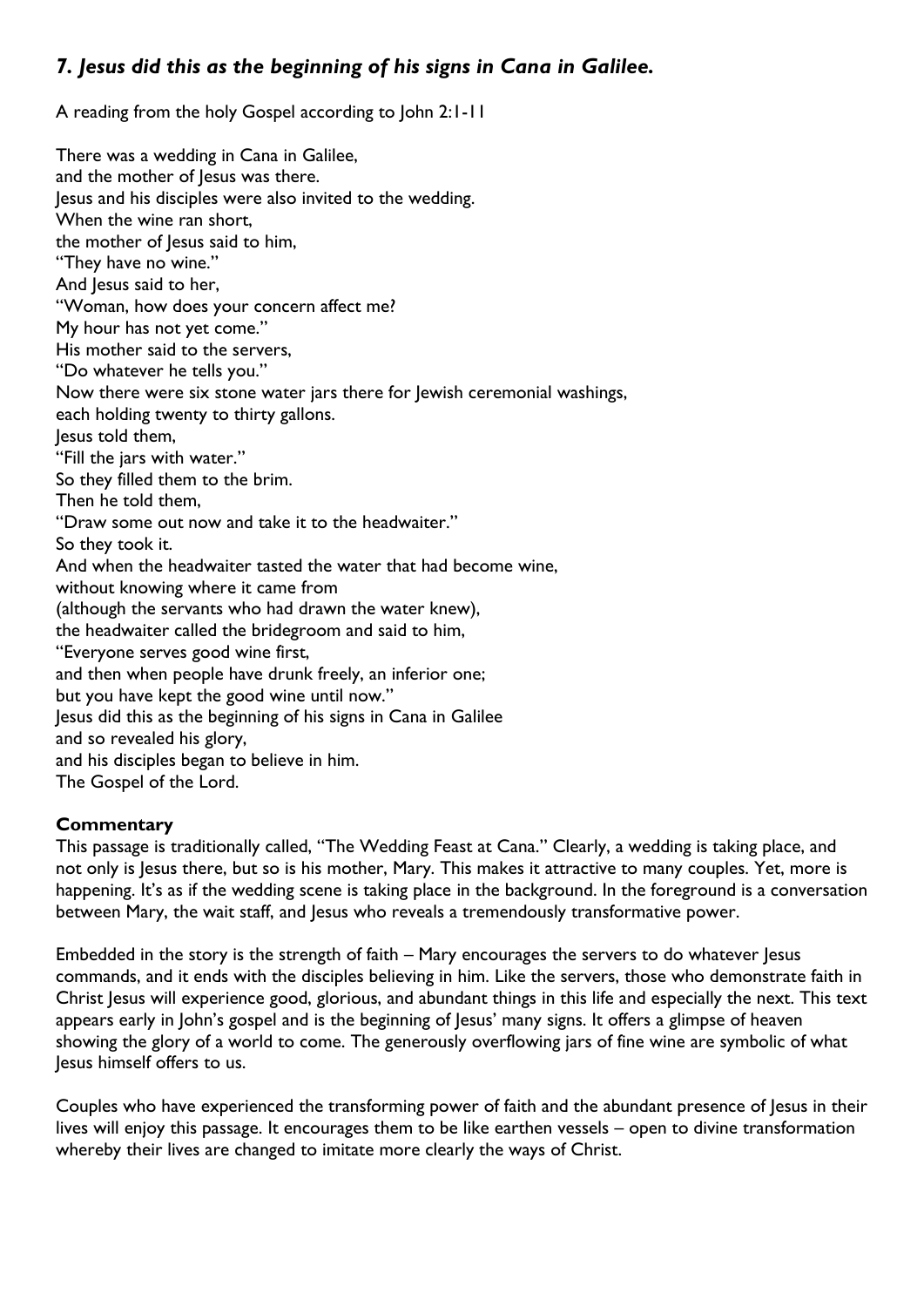# *7. Jesus did this as the beginning of his signs in Cana in Galilee.*

A reading from the holy Gospel according to John 2:1-11

There was a wedding in Cana in Galilee, and the mother of Jesus was there. Jesus and his disciples were also invited to the wedding. When the wine ran short, the mother of lesus said to him, "They have no wine." And Jesus said to her, "Woman, how does your concern affect me? My hour has not yet come." His mother said to the servers, "Do whatever he tells you." Now there were six stone water jars there for Jewish ceremonial washings, each holding twenty to thirty gallons. lesus told them. "Fill the jars with water." So they filled them to the brim. Then he told them, "Draw some out now and take it to the headwaiter." So they took it. And when the headwaiter tasted the water that had become wine, without knowing where it came from (although the servants who had drawn the water knew), the headwaiter called the bridegroom and said to him, "Everyone serves good wine first, and then when people have drunk freely, an inferior one; but you have kept the good wine until now." Jesus did this as the beginning of his signs in Cana in Galilee and so revealed his glory, and his disciples began to believe in him. The Gospel of the Lord.

#### **Commentary**

This passage is traditionally called, "The Wedding Feast at Cana." Clearly, a wedding is taking place, and not only is Jesus there, but so is his mother, Mary. This makes it attractive to many couples. Yet, more is happening. It's as if the wedding scene is taking place in the background. In the foreground is a conversation between Mary, the wait staff, and Jesus who reveals a tremendously transformative power.

Embedded in the story is the strength of faith – Mary encourages the servers to do whatever Jesus commands, and it ends with the disciples believing in him. Like the servers, those who demonstrate faith in Christ Jesus will experience good, glorious, and abundant things in this life and especially the next. This text appears early in John's gospel and is the beginning of Jesus' many signs. It offers a glimpse of heaven showing the glory of a world to come. The generously overflowing jars of fine wine are symbolic of what Jesus himself offers to us.

Couples who have experienced the transforming power of faith and the abundant presence of Jesus in their lives will enjoy this passage. It encourages them to be like earthen vessels – open to divine transformation whereby their lives are changed to imitate more clearly the ways of Christ.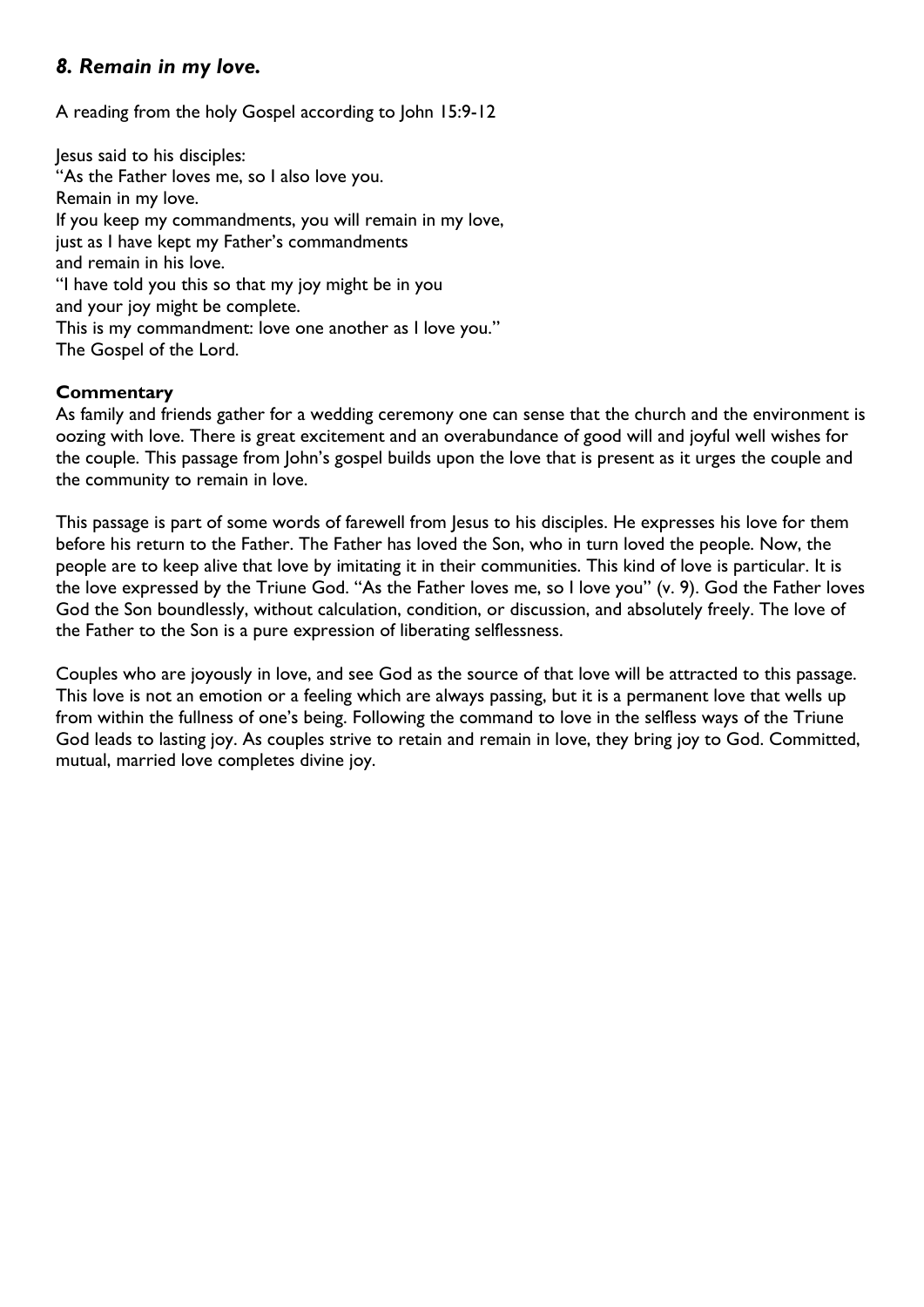# *8. Remain in my love.*

A reading from the holy Gospel according to John 15:9-12

Jesus said to his disciples: "As the Father loves me, so I also love you. Remain in my love. If you keep my commandments, you will remain in my love, just as I have kept my Father's commandments and remain in his love. "I have told you this so that my joy might be in you and your joy might be complete. This is my commandment: love one another as I love you." The Gospel of the Lord.

# **Commentary**

As family and friends gather for a wedding ceremony one can sense that the church and the environment is oozing with love. There is great excitement and an overabundance of good will and joyful well wishes for the couple. This passage from John's gospel builds upon the love that is present as it urges the couple and the community to remain in love.

This passage is part of some words of farewell from Jesus to his disciples. He expresses his love for them before his return to the Father. The Father has loved the Son, who in turn loved the people. Now, the people are to keep alive that love by imitating it in their communities. This kind of love is particular. It is the love expressed by the Triune God. "As the Father loves me, so I love you" (v. 9). God the Father loves God the Son boundlessly, without calculation, condition, or discussion, and absolutely freely. The love of the Father to the Son is a pure expression of liberating selflessness.

Couples who are joyously in love, and see God as the source of that love will be attracted to this passage. This love is not an emotion or a feeling which are always passing, but it is a permanent love that wells up from within the fullness of one's being. Following the command to love in the selfless ways of the Triune God leads to lasting joy. As couples strive to retain and remain in love, they bring joy to God. Committed, mutual, married love completes divine joy.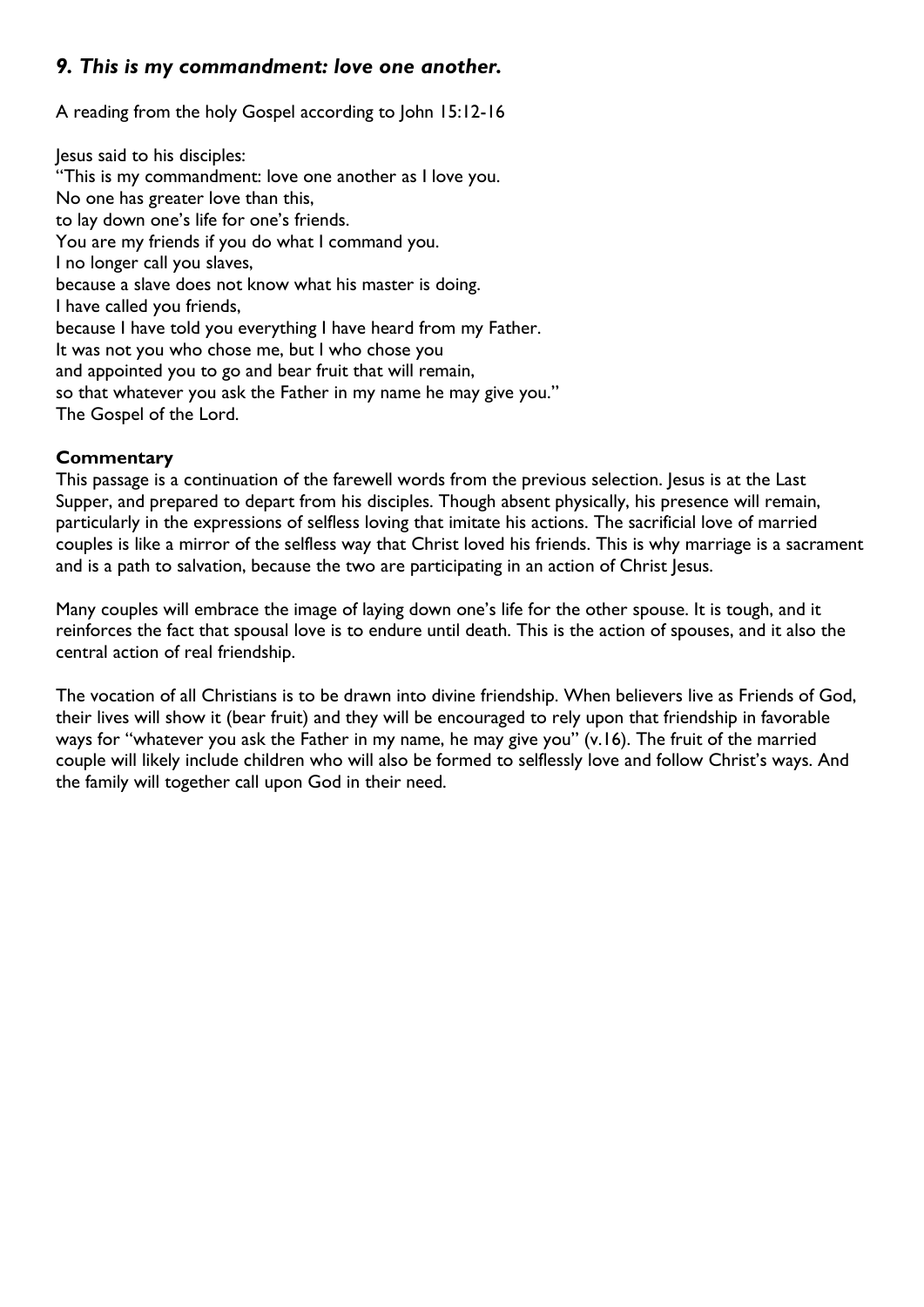# *9. This is my commandment: love one another.*

A reading from the holy Gospel according to John 15:12-16

Jesus said to his disciples: "This is my commandment: love one another as I love you. No one has greater love than this, to lay down one's life for one's friends. You are my friends if you do what I command you. I no longer call you slaves, because a slave does not know what his master is doing. I have called you friends, because I have told you everything I have heard from my Father. It was not you who chose me, but I who chose you and appointed you to go and bear fruit that will remain, so that whatever you ask the Father in my name he may give you." The Gospel of the Lord.

# **Commentary**

This passage is a continuation of the farewell words from the previous selection. Jesus is at the Last Supper, and prepared to depart from his disciples. Though absent physically, his presence will remain, particularly in the expressions of selfless loving that imitate his actions. The sacrificial love of married couples is like a mirror of the selfless way that Christ loved his friends. This is why marriage is a sacrament and is a path to salvation, because the two are participating in an action of Christ Jesus.

Many couples will embrace the image of laying down one's life for the other spouse. It is tough, and it reinforces the fact that spousal love is to endure until death. This is the action of spouses, and it also the central action of real friendship.

The vocation of all Christians is to be drawn into divine friendship. When believers live as Friends of God, their lives will show it (bear fruit) and they will be encouraged to rely upon that friendship in favorable ways for "whatever you ask the Father in my name, he may give you" (v.16). The fruit of the married couple will likely include children who will also be formed to selflessly love and follow Christ's ways. And the family will together call upon God in their need.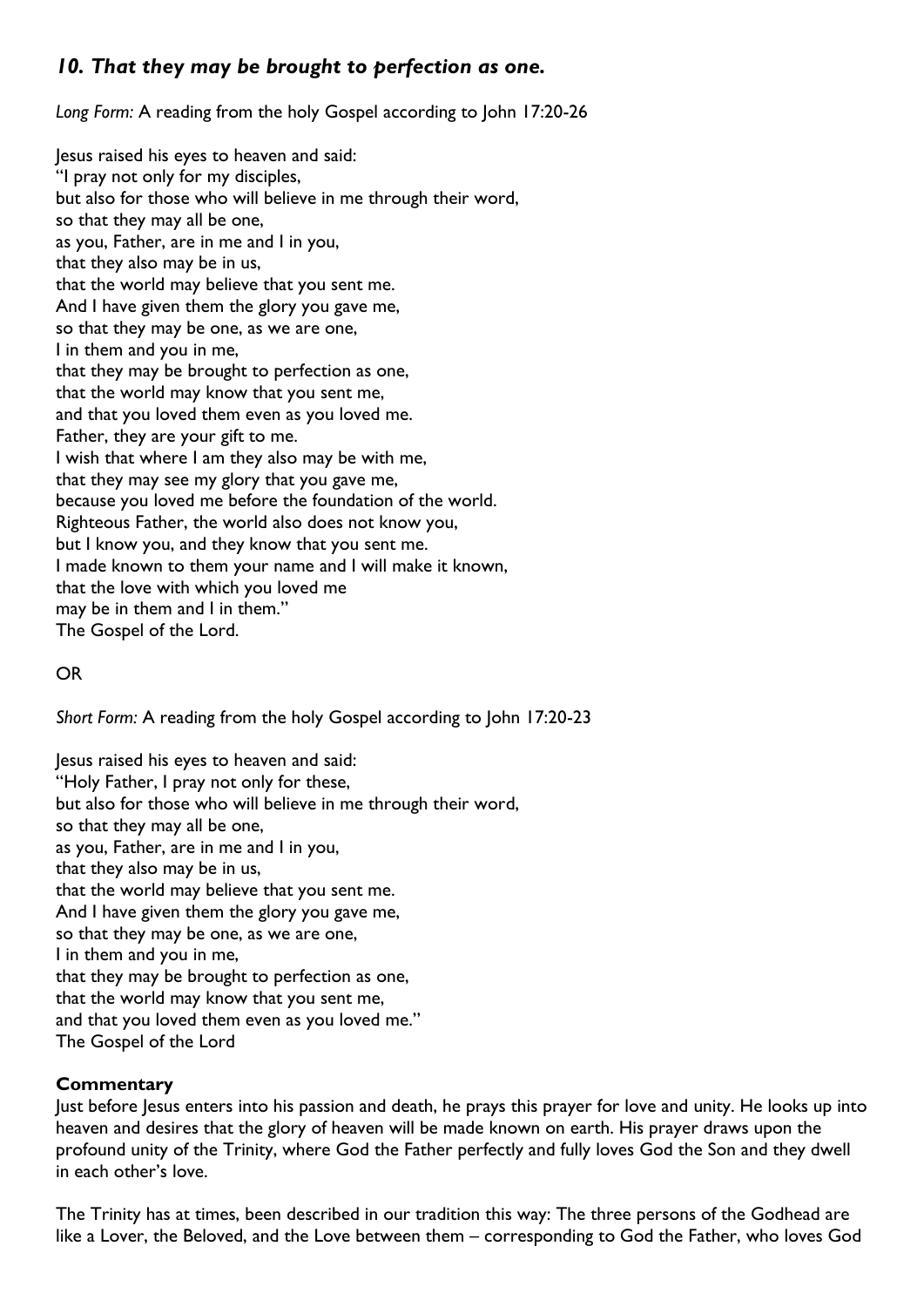# *10. That they may be brought to perfection as one.*

*Long Form:* A reading from the holy Gospel according to John 17:20-26

Jesus raised his eyes to heaven and said: "I pray not only for my disciples, but also for those who will believe in me through their word, so that they may all be one, as you, Father, are in me and I in you, that they also may be in us, that the world may believe that you sent me. And I have given them the glory you gave me, so that they may be one, as we are one, I in them and you in me, that they may be brought to perfection as one, that the world may know that you sent me, and that you loved them even as you loved me. Father, they are your gift to me. I wish that where I am they also may be with me, that they may see my glory that you gave me, because you loved me before the foundation of the world. Righteous Father, the world also does not know you, but I know you, and they know that you sent me. I made known to them your name and I will make it known, that the love with which you loved me may be in them and I in them." The Gospel of the Lord.

#### OR

*Short Form:* A reading from the holy Gospel according to John 17:20-23

Jesus raised his eyes to heaven and said: "Holy Father, I pray not only for these, but also for those who will believe in me through their word, so that they may all be one, as you, Father, are in me and I in you, that they also may be in us, that the world may believe that you sent me. And I have given them the glory you gave me, so that they may be one, as we are one, I in them and you in me, that they may be brought to perfection as one, that the world may know that you sent me, and that you loved them even as you loved me." The Gospel of the Lord

#### **Commentary**

Just before Jesus enters into his passion and death, he prays this prayer for love and unity. He looks up into heaven and desires that the glory of heaven will be made known on earth. His prayer draws upon the profound unity of the Trinity, where God the Father perfectly and fully loves God the Son and they dwell in each other's love.

The Trinity has at times, been described in our tradition this way: The three persons of the Godhead are like a Lover, the Beloved, and the Love between them – corresponding to God the Father, who loves God